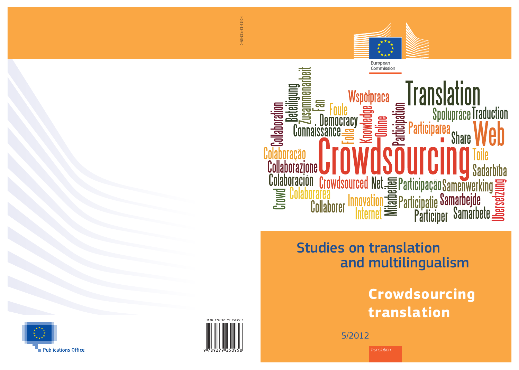5/2012

# Studies on translation and multilingualism



HC-31-12-733-EN-C HC-31-12-733-EN-C



# **Crowdsourcing translation**

*Translation*







# Collaboración Crowdsourced Net E Participação Samenwerking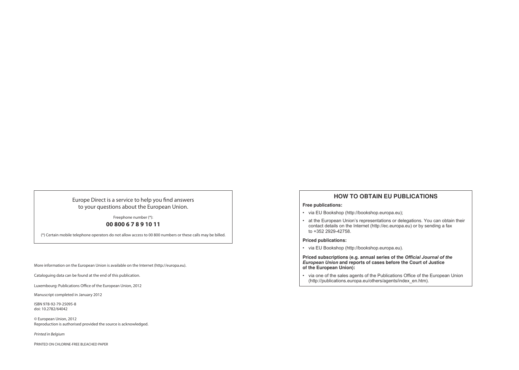More information on the European Union is available on the Internet (http://europa.eu).

Cataloguing data can be found at the end of this publication.

Luxembourg: Publications Office of the European Union, 2012

Manuscript completed in January 2012

ISBN 978-92-79-25095-8 doi: 10.2782/64042

© European Union, 2012 Reproduction is authorised provided the source is acknowledged.

Printed in Belgium

PRINTED ON CHLORINE-FREE BLEACHED PAPER

Europe Direct is a service to help you find answers to your questions about the European Union.

> Freephone number (\*): **00 800 6 7 8 9 10 11**

(\*) Certain mobile telephone operators do not allow access to 00 800 numbers or these calls may be billed.

## **HOW TO OBTAIN EU PUBLICATIONS**

#### **Free publications:**

• at the European Union's representations or delegations. You can obtain their

- via EU Bookshop (http://bookshop.europa.eu);
- contact details on the Internet (http://ec.europa.eu) or by sending a fax to +352 2929-42758.

#### **Priced publications:**

• via EU Bookshop (http://bookshop.europa.eu).

**Priced subscriptions (e.g. annual series of the** *Official Journal of the European Union* **and reports of cases before the Court of Justice of the European Union):** 

• via one of the sales agents of the Publications Office of the European Union (http://publications.europa.eu/others/agents/index\_en.htm).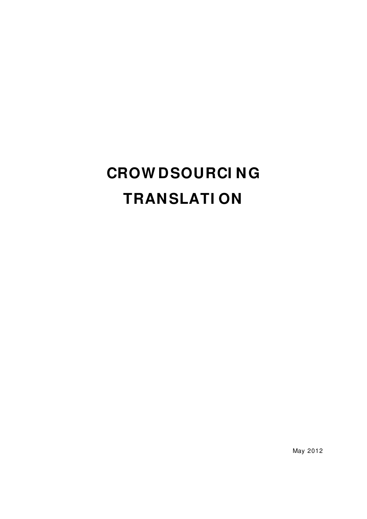# **CROW DSOURCI NG TRANSLATI ON**

May 2012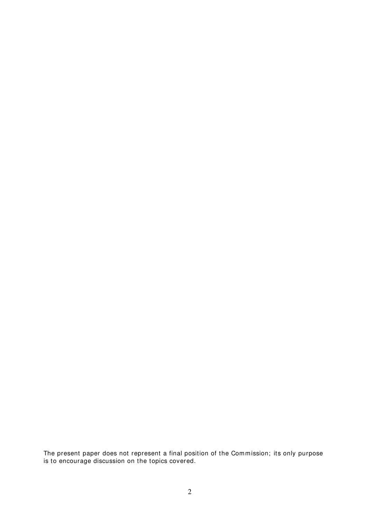The present paper does not represent a final position of the Commission; its only purpose is to encourage discussion on the topics covered.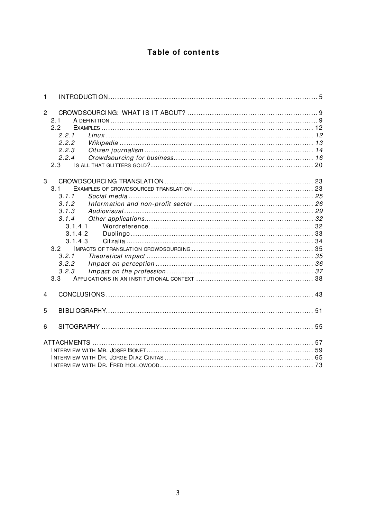## Table of contents

| $\mathbf{1}$   |                                                                                                                   |  |
|----------------|-------------------------------------------------------------------------------------------------------------------|--|
| $\overline{2}$ | 2.1<br>2.2<br>2.2.1<br>2.2.2<br>2.2.3<br>2.2.4                                                                    |  |
| 3              | 3.1<br>3.1.1<br>3.1.2<br>3.1.3<br>3.1.4<br>3.1.4.1<br>3.1.4.2<br>3.1.4.3<br>3.2<br>3.2.1<br>3.2.2<br>3.2.3<br>3.3 |  |
| 4              |                                                                                                                   |  |
| 5              |                                                                                                                   |  |
| 6              |                                                                                                                   |  |
|                |                                                                                                                   |  |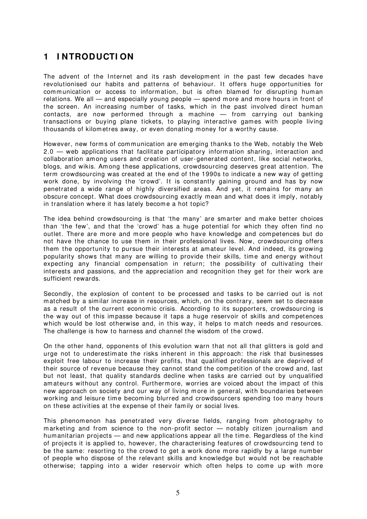## <span id="page-6-0"></span>**1 I NTRODUCTI ON**

The advent of the Internet and its rash development in the past few decades have revolutionised our habits and patterns of behaviour. It offers huge opportunities for communication or access to information, but is often blamed for disrupting human relations. We all — and especially young people — spend more and more hours in front of the screen. An increasing number of tasks, which in the past involved direct human contacts, are now performed through a machine - from carrying out banking transactions or buying plane tickets, to playing interactive games with people living thousands of kilometres away, or even donating money for a worthy cause.

However, new forms of communication are emerging thanks to the Web, notably the Web 2.0 — web applications that facilitate participatory information sharing, interaction and collaboration among users and creation of user-generated content, like social networks, blogs, and wikis. Among these applications, crowdsourcing deserves great attention. The term crowdsourcing was created at the end of the 1990s to indicate a new way of getting work done, by involving the 'crowd'. It is constantly gaining ground and has by now penetrated a wide range of highly diversified areas. And yet, it remains for many an obscure concept. What does crowdsourcing exactly mean and what does it imply, notably in translation where it has lately become a hot topic?

The idea behind crowdsourcing is that 'the many' are smarter and make better choices than 'the few', and that the 'crowd' has a huge potential for which they often find no outlet. There are more and more people who have knowledge and com petences but do not have the chance to use them in their professional lives. Now, crowdsourcing offers them the opportunity to pursue their interests at amateur level. And indeed, its growing popularity shows that many are willing to provide their skills, time and energy without expecting any financial compensation in return; the possibility of cultivating their interests and passions, and the appreciation and recognition they get for their work are sufficient rewards.

Secondly, the explosion of content to be processed and tasks to be carried out is not m atched by a sim ilar increase in resources, which, on the contrary, seem set to decrease as a result of the current economic crisis. According to its supporters, crowdsourcing is the way out of this impasse because it taps a huge reservoir of skills and competences which would be lost otherwise and, in this way, it helps to match needs and resources. The challenge is how to harness and channel the wisdom of the crowd.

On the other hand, opponents of this evolution warn that not all that glitters is gold and urge not to underestim ate the risks inherent in this approach: the risk that businesses exploit free labour to increase their profits, that qualified professionals are deprived of their source of revenue because they cannot stand the com petition of the crowd and, last but not least, that quality standards decline when tasks are carried out by unqualified am ateurs without any control. Furtherm ore, worries are voiced about the impact of this new approach on society and our way of living m ore in general, with boundaries between working and leisure time becoming blurred and crowdsourcers spending too many hours on these activities at the expense of their fam ily or social lives.

This phenom enon has penetrated very diverse fields, ranging from photography to m arketing and from science to the non-profit sector — notably citizen journalism and hum anitarian projects — and new applications appear all the tim e. Regardless of the kind of projects it is applied to, however, the characterising features of crowdsourcing tend to be the same: resorting to the crowd to get a work done more rapidly by a large number of people who dispose of the relevant skills and knowledge but would not be reachable otherwise; tapping into a wider reservoir which often helps to come up with more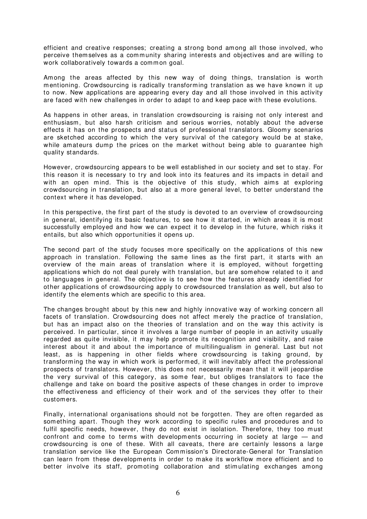efficient and creative responses; creating a strong bond am ong all those involved, who perceive themselves as a community sharing interests and objectives and are willing to work collaboratively towards a common goal.

Am ong the areas affected by this new way of doing things, translation is worth mentioning. Crowdsourcing is radically transform ing translation as we have known it up to now. New applications are appearing every day and all those involved in this activity are faced with new challenges in order to adapt to and keep pace with these evolutions.

As happens in other areas, in translation crowdsourcing is raising not only interest and enthusiasm, but also harsh criticism and serious worries, notably about the adverse effects it has on the prospects and status of professional translators. Gloomy scenarios are sketched according to which the very survival of the category would be at stake, while amateurs dump the prices on the market without being able to guarantee high quality standards.

However, crowdsourcing appears to be well established in our society and set to stay. For this reason it is necessary to try and look into its features and its impacts in detail and with an open mind. This is the objective of this study, which aims at exploring crowdsourcing in translation, but also at a m ore general level, to better understand the context where it has developed.

In this perspective, the first part of the study is devoted to an overview of crowdsourcing in general, identifying its basic features, to see how it started, in which areas it is most successfully em ployed and how we can expect it to develop in the future, which risks it entails, but also which opportunities it opens up.

The second part of the study focuses more specifically on the applications of this new approach in translation. Following the same lines as the first part, it starts with an overview of the main areas of translation where it is em ployed, without forgetting applications which do not deal purely with translation, but are somehow related to it and to languages in general. The objective is to see how the features already identified for other applications of crowdsourcing apply to crowdsourced translation as well, but also to identify the elem ents which are specific to this area.

The changes brought about by this new and highly innovative way of working concern all facets of translation. Crowdsourcing does not affect m erely the practice of translation, but has an impact also on the theories of translation and on the way this activity is perceived. In particular, since it involves a large number of people in an activity usually regarded as quite invisible, it may help promote its recognition and visibility, and raise interest about it and about the importance of multilingualism in general. Last but not least, as is happening in other fields where crowdsourcing is taking ground, by transforming the way in which work is performed, it will inevitably affect the professional prospects of translators. However, this does not necessarily mean that it will jeopardise the very survival of this category, as some fear, but obliges translators to face the challenge and take on board the positive aspects of these changes in order to im prove the effectiveness and efficiency of their work and of the services they offer to their customers.

Finally, international organisations should not be forgotten. They are often regarded as som ething apart. Though they work according to specific rules and procedures and to fulfil specific needs, however, they do not exist in isolation. Therefore, they too must confront and come to terms with developments occurring in society at large — and crowdsourcing is one of these. With all caveats, there are certainly lessons a large translation service like the European Commission's Directorate-General for Translation can learn from these developments in order to m ake its workflow more efficient and to better involve its staff, promoting collaboration and stimulating exchanges among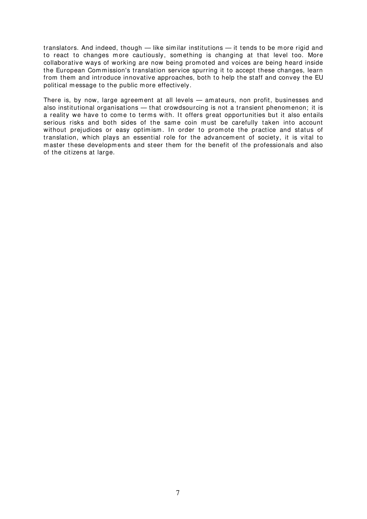translators. And indeed, though — like similar institutions — it tends to be more rigid and to react to changes more cautiously, something is changing at that level too. More collaborative ways of working are now being promoted and voices are being heard inside the European Commission's translation service spurring it to accept these changes, learn from them and introduce innovative approaches, both to help the staff and convey the EU political message to the public more effectively.

There is, by now, large agreement at all levels — am ateurs, non profit, businesses and also institutional organisations — that crowdsourcing is not a transient phenomenon; it is a reality we have to come to terms with. It offers great opportunities but it also entails serious risks and both sides of the same coin must be carefully taken into account without prejudices or easy optimism. In order to promote the practice and status of translation, which plays an essential role for the advancement of society, it is vital to master these developm ents and steer them for the benefit of the professionals and also of the citizens at large.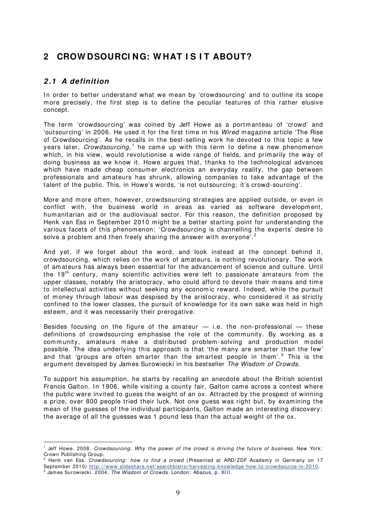# <span id="page-10-0"></span>**2 CROW DSOURCI NG: W HAT I S I T ABOUT?**

#### <span id="page-10-1"></span>**2 .1 A definition**

 $\overline{a}$ 

In order to better understand what we mean by 'crowdsourcing' and to outline its scope more precisely, the first step is to define the peculiar features of this rather elusive concept.

The term 'crowdsourcing' was coined by Jeff Howe as a portm anteau of 'crowd' and 'outsourcing' in 2006. He used it for the first time in his Wired magazine article 'The Rise of Crowdsourcing'. As he recalls in the best-selling work he devoted to this topic a few years later, Crowdsourcing,  $^1$  $^1$  he came up with this term to define a new phenomenon which, in his view, would revolutionise a wide range of fields, and primarily the way of doing business as we know it. Howe argues that, thanks to the technological advances which have made cheap consumer electronics an everyday reality, the gap between professionals and am ateurs has shrunk, allowing com panies to take advantage of the talent of the public. This, in Howe's words, 'is not outsourcing; it's crowd-sourcing'.

More and more often, however, crowdsourcing strategies are applied outside, or even in conflict with, the business world in areas as varied as software development, humanitarian aid or the audiovisual sector. For this reason, the definition proposed by Henk van Ess in September 2010 might be a better starting point for understanding the various facets of this phenomenon: 'Crowdsourcing is channelling the experts' desire to solve a problem and then freely sharing the answer with everyone'.<sup>[2](#page-10-3)</sup>

And yet, if we forget about the word, and look instead at the concept behind it, crowdsourcing, which relies on the work of amateurs, is nothing revolutionary. The work of am ateurs has always been essential for the advancement of science and culture. Until the 19<sup>th</sup> century, many scientific activities were left to passionate amateurs from the upper classes, notably the aristocracy, who could afford to devote their m eans and time to intellectual activities without seeking any economic reward. Indeed, while the pursuit of m oney through labour was despised by the aristocracy, who considered it as strictly confined to the lower classes, the pursuit of knowledge for its own sake was held in high esteem, and it was necessarily their prerogative.

Besides focusing on the figure of the amateur  $-$  i.e. the non-professional  $-$  these definitions of crowdsourcing emphasise the role of the community. By working as a community, amateurs make a distributed problem-solving and production model possible. The idea underlying this approach is that 'the many are smarter than the few' and that 'groups are often smarter than the smartest people in them'. $^3$  $^3$  This is the argum ent developed by James Surowiecki in his bestseller The Wisdom of Crowds.

To support his assum ption, he starts by recalling an anecdote about the British scientist Francis Galton. In 1906, while visiting a county fair, Galton came across a contest where the public were invited to guess the weight of an ox. Attracted by the prospect of winning a prize, over 800 people tried their luck. Not one guess was right but, by exam ining the m ean of the guesses of the individual participants, Galton made an interesting discovery: the average of all the guesses was 1 pound less than the actual weight of the ox.

<span id="page-10-2"></span><sup>&</sup>lt;sup>1</sup> Jeff Howe. 2008. Crowdsourcing, Why the power of the crowd is driving the future of business. New York: Crown Publishing Group.

<span id="page-10-4"></span><span id="page-10-3"></span><sup>&</sup>lt;sup>2</sup> Henk van Ess. Crowdsourcing: how to find a crowd (Presented at ARD/ZDF Academy in Germany on 17 September 2010) [http: / / www.slideshare.net/ searchbistro/ harvesting-knowledge-how-to-crowdsource-in-2010.](http://www.slideshare.net/searchbistro/harvesting-knowledge-how-to-crowdsource-in-2010) <sup>3</sup> James Surowiecki. 2004. The Wisdom of Crowds. London: Abacus, p. XIII.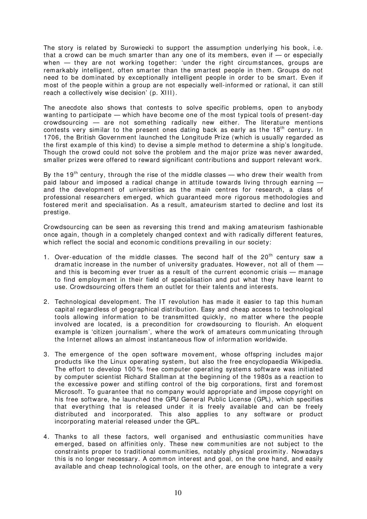The story is related by Surowiecki to support the assumption underlying his book, i.e. that a crowd can be much smarter than any one of its members, even if  $-$  or especially when - they are not working together: 'under the right circumstances, groups are rem arkably intelligent, often sm arter than the smartest people in them. Groups do not need to be dominated by exceptionally intelligent people in order to be smart. Even if m ost of the people within a group are not especially well-inform ed or rational, it can still reach a collectively wise decision' (p. XIII).

The anecdote also shows that contests to solve specific problems, open to anybody wanting to participate — which have become one of the m ost typical tools of present-day  $c$ rowdsourcing  $-$  are not something radically new either. The literature mentions contests very similar to the present ones dating back as early as the  $18<sup>th</sup>$  century. In 1706, the British Government launched the Longitude Prize (which is usually regarded as the first exam ple of this kind) to devise a simple method to determine a ship's longitude. Though the crowd could not solve the problem and the m ajor prize was never awarded, smaller prizes were offered to reward significant contributions and support relevant work.

By the 19<sup>th</sup> century, through the rise of the middle classes — who drew their wealth from paid labour and imposed a radical change in attitude towards living through earning and the development of universities as the m ain centres for research, a class of professional researchers emerged, which guaranteed more rigorous methodologies and fostered merit and specialisation. As a result, amateurism started to decline and lost its prestige.

Crowdsourcing can be seen as reversing this trend and making am ateurism fashionable once again, though in a completely changed context and with radically different features, which reflect the social and economic conditions prevailing in our society:

- 1. Over-education of the middle classes. The second half of the  $20<sup>th</sup>$  century saw a dramatic increase in the number of university graduates. However, not all of them and this is becoming ever truer as a result of the current economic crisis — manage to find em ploym ent in their field of specialisation and put what they have learnt to use. Crowdsourcing offers them an outlet for their talents and interests.
- 2. Technological development. The IT revolution has made it easier to tap this human capital regardless of geographical distribution. Easy and cheap access to technological tools allowing information to be transmitted quickly, no matter where the people involved are located, is a precondition for crowdsourcing to flourish. An eloquent example is 'citizen journalism', where the work of amateurs communicating through the I nternet allows an almost instantaneous flow of information worldwide.
- 3. The emergence of the open software movement, whose offspring includes major products like the Linux operating system , but also the free encyclopaedia Wikipedia. The effort to develop 100% free computer operating systems software was initiated by com puter scientist Richard Stallman at the beginning of the 1980s as a reaction to the excessive power and stifling control of the big corporations, first and foremost Microsoft. To guarantee that no com pany would appropriate and im pose copyright on his free software, he launched the GPU General Public License (GPL), which specifies that everything that is released under it is freely available and can be freely distributed and incorporated. This also applies to any software or product incorporating material released under the GPL.
- 4. Thanks to all these factors, well organised and enthusiastic communities have em erged, based on affinities only. These new comm unities are not subject to the constraints proper to traditional communities, notably physical proximity. Nowadays this is no longer necessary. A common interest and goal, on the one hand, and easily available and cheap technological tools, on the other, are enough to integrate a very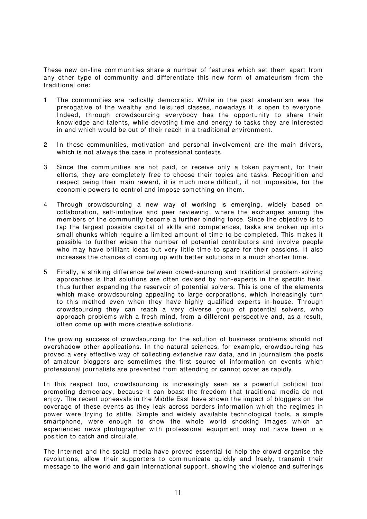These new on-line communities share a number of features which set them apart from any other type of community and differentiate this new form of amateurism from the traditional one:

- 1 The communities are radically democratic. While in the past am ateurism was the prerogative of the wealthy and leisured classes, nowadays it is open to everyone. Indeed, through crowdsourcing everybody has the opportunity to share their knowledge and talents, while devoting time and energy to tasks they are interested in and which would be out of their reach in a traditional environment.
- 2 In these communities, motivation and personal involvement are the main drivers, which is not always the case in professional contexts.
- 3 Since the communities are not paid, or receive only a token payment, for their efforts, they are completely free to choose their topics and tasks. Recognition and respect being their main reward, it is much more difficult, if not impossible, for the econom ic powers to control and impose something on them.
- 4 Through crowdsourcing a new way of working is emerging, widely based on collaboration, self-initiative and peer reviewing, where the exchanges am ong the members of the community become a further binding force. Since the objective is to tap the largest possible capital of skills and com petences, tasks are broken up into small chunks which require a limited amount of time to be completed. This makes it possible to further widen the number of potential contributors and involve people who may have brilliant ideas but very little time to spare for their passions. It also increases the chances of coming up with better solutions in a much shorter time.
- 5 Finally, a striking difference between crowd-sourcing and traditional problem-solving approaches is that solutions are often devised by non-experts in the specific field, thus further expanding the reservoir of potential solvers. This is one of the elem ents which make crowdsourcing appealing to large corporations, which increasingly turn to this method even when they have highly qualified experts in-house. Through crowdsourcing they can reach a very diverse group of potential solvers, who approach problems with a fresh mind, from a different perspective and, as a result, often come up with more creative solutions.

The growing success of crowdsourcing for the solution of business problems should not overshadow other applications. In the natural sciences, for example, crowdsourcing has proved a very effective way of collecting extensive raw data, and in journalism the posts of amateur bloggers are sometimes the first source of information on events which professional journalists are prevented from attending or cannot cover as rapidly.

In this respect too, crowdsourcing is increasingly seen as a powerful political tool prom oting dem ocracy, because it can boast the freedom that traditional m edia do not enjoy. The recent upheavals in the Middle East have shown the impact of bloggers on the coverage of these events as they leak across borders information which the regimes in power were trying to stifle. Simple and widely available technological tools, a simple sm artphone, were enough to show the whole world shocking images which an experienced news photographer with professional equipment may not have been in a position to catch and circulate.

The Internet and the social media have proved essential to help the crowd organise the revolutions, allow their supporters to communicate quickly and freely, transmit their m essage to the world and gain international support, showing the violence and sufferings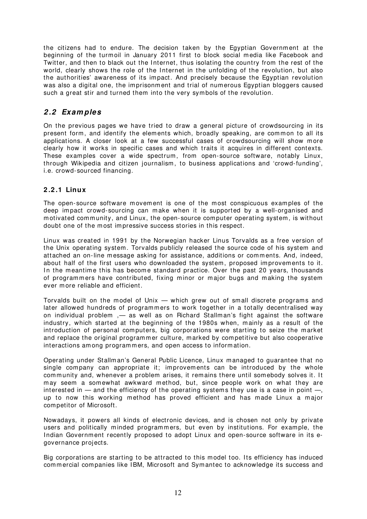the citizens had to endure. The decision taken by the Egyptian Governm ent at the beginning of the turmoil in January 2011 first to block social media like Facebook and Twitter, and then to black out the Internet, thus isolating the country from the rest of the world, clearly shows the role of the Internet in the unfolding of the revolution, but also the authorities' awareness of its im pact. And precisely because the Egyptian revolution was also a digital one, the imprisonment and trial of numerous Egyptian bloggers caused such a great stir and turned them into the very sym bols of the revolution.

#### <span id="page-13-0"></span>**2 .2 Exam ples**

On the previous pages we have tried to draw a general picture of crowdsourcing in its present form, and identify the elements which, broadly speaking, are common to all its applications. A closer look at a few successful cases of crowdsourcing will show m ore clearly how it works in specific cases and which traits it acquires in different contexts. These examples cover a wide spectrum, from open-source software, notably Linux, through Wikipedia and citizen journalism , to business applications and 'crowd-funding', i.e. crowd-sourced financing.

#### <span id="page-13-1"></span>**2 .2 .1 Linux**

The open-source software movement is one of the most conspicuous examples of the deep im pact crowd-sourcing can m ake when it is supported by a well-organised and motivated community, and Linux, the open-source computer operating system, is without doubt one of the most impressive success stories in this respect.

Linux was created in 1991 by the Norwegian hacker Linus Torvalds as a free version of the Unix operating system. Torvalds publicly released the source code of his system and attached an on-line message asking for assistance, additions or comments. And, indeed, about half of the first users who downloaded the system, proposed improvements to it. In the meantime this has become standard practice. Over the past 20 years, thousands of programmers have contributed, fixing minor or major bugs and making the system ever more reliable and efficient.

Torvalds built on the model of Unix — which grew out of small discrete programs and later allowed hundreds of programmers to work together in a totally decentralised way on individual problem ,- as well as on Richard Stallman's fight against the software industry, which started at the beginning of the 1980s when, mainly as a result of the introduction of personal computers, big corporations were starting to seize the market and replace the original programmer culture, marked by competitive but also cooperative interactions am ong program mers, and open access to inform ation.

Operating under Stallm an's General Public Licence, Linux m anaged to guarantee that no single company can appropriate it; improvements can be introduced by the whole community and, whenever a problem arises, it remains there until somebody solves it. I t may seem a somewhat awkward method, but, since people work on what they are interested in  $-$  and the efficiency of the operating systems they use is a case in point  $-$ , up to now this working m ethod has proved efficient and has made Linux a m ajor com petitor of Microsoft.

Nowadays, it powers all kinds of electronic devices, and is chosen not only by private users and politically minded programmers, but even by institutions. For example, the Indian Government recently proposed to adopt Linux and open-source software in its egovernance projects.

Big corporations are starting to be attracted to this model too. I ts efficiency has induced com m ercial com panies like I BM, Microsoft and Sym antec to acknowledge its success and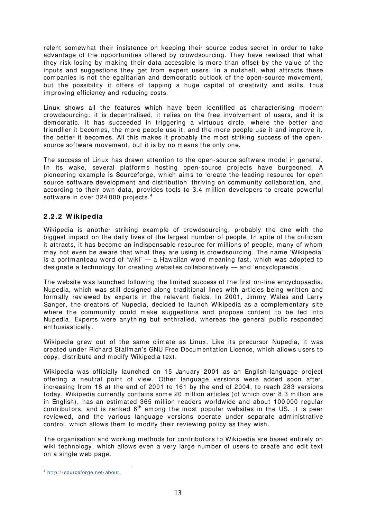relent somewhat their insistence on keeping their source codes secret in order to take advantage of the opportunities offered by crowdsourcing. They have realised that what they risk losing by making their data accessible is more than offset by the value of the inputs and suggestions they get from expert users. In a nutshell, what attracts these companies is not the egalitarian and democratic outlook of the open-source movement, but the possibility it offers of tapping a huge capital of creativity and skills, thus improving efficiency and reducing costs.

Linux shows all the features which have been identified as characterising modern crowdsourcing: it is decentralised, it relies on the free involvement of users, and it is dem ocratic. It has succeeded in triggering a virtuous circle, where the better and friendlier it becomes, the more people use it, and the more people use it and improve it, the better it becomes. All this makes it probably the most striking success of the opensource software movement, but it is by no means the only one.

The success of Linux has drawn attention to the open-source software model in general. In its wake, several platforms hosting open-source projects have burgeoned. A pioneering example is Sourceforge, which aims to 'create the leading resource for open source software development and distribution' thriving on community collaboration, and, according to their own data, provides tools to 3.4 million developers to create powerful software in over 32[4](#page-14-1) 000 projects.<sup>4</sup>

#### <span id="page-14-0"></span>**2 .2 .2 W ikipedia**

Wikipedia is another striking example of crowdsourcing, probably the one with the biggest impact on the daily lives of the largest number of people. In spite of the criticism it attracts, it has become an indispensable resource for millions of people, many of whom m ay not even be aware that what they are using is crowdsourcing. The name 'Wikipedia' is a portmanteau word of 'wiki' — a Hawaiian word meaning fast, which was adopted to designate a technology for creating websites collaboratively — and 'encyclopaedia'.

The website was launched following the limited success of the first on-line encyclopaedia, Nupedia, which was still designed along traditional lines with articles being written and formally reviewed by experts in the relevant fields. In 2001, Jimmy Wales and Larry Sanger, the creators of Nupedia, decided to launch Wikipedia as a complementary site where the community could make suggestions and propose content to be fed into Nupedia. Experts were anything but enthralled, whereas the general public responded enthusiastically.

Wikipedia grew out of the same climate as Linux. Like its precursor Nupedia, it was created under Richard Stallman's GNU Free Docum entation Licence, which allows users to copy, distribute and modify Wikipedia text.

Wikipedia was officially launched on 15 January 2001 as an English-language project offering a neutral point of view. Other language versions were added soon after, increasing from 18 at the end of 2001 to 161 by the end of 2004, to reach 283 versions today. Wikipedia currently contains some 20 million articles (of which over 8.3 million are in English), has an estimated 365 million readers worldwide and about 100 000 regular contributors, and is ranked  $6<sup>th</sup>$  among the most popular websites in the US. It is peer reviewed, and the various language versions operate under separate administrative control, which allows them to modify their reviewing policy as they wish.

The organisation and working methods for contributors to Wikipedia are based entirely on wiki technology, which allows even a very large number of users to create and edit text on a single web page.

<span id="page-14-1"></span><sup>4</sup> [http: / / sourceforge.net/ about.](http://sourceforge.net/about)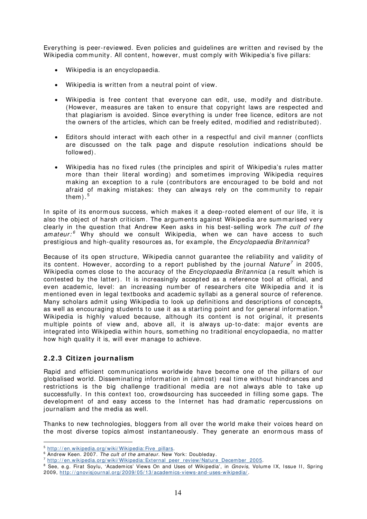Everything is peer-reviewed. Even policies and guidelines are written and revised by the Wikipedia community. All content, however, must comply with Wikipedia's five pillars:

- Wikipedia is an encyclopaedia.
- Wikipedia is written from a neutral point of view.
- Wikipedia is free content that everyone can edit, use, modify and distribute. (However, m easures are taken to ensure that copyright laws are respected and that plagiarism is avoided. Since everything is under free licence, editors are not the owners of the articles, which can be freely edited, modified and redistributed).
- Editors should interact with each other in a respectful and civil manner (conflicts are discussed on the talk page and dispute resolution indications should be followed).
- Wikipedia has no fixed rules (the principles and spirit of Wikipedia's rules matter more than their literal wording) and sometimes improving Wikipedia requires making an exception to a rule (contributors are encouraged to be bold and not afraid of making mistakes: they can always rely on the community to repair them ). [5](#page-15-1)

In spite of its enormous success, which makes it a deep-rooted element of our life, it is also the object of harsh criticism. The arguments against Wikipedia are summarised very clearly in the question that Andrew Keen asks in his best-selling work The cult of the amateur: $6$  Why should we consult Wikipedia, when we can have access to such prestigious and high-quality resources as, for example, the *Encyclopaedia Britannica*?

Because of its open structure, Wikipedia cannot guarantee the reliability and validity of its content. However, according to a report published by the journal Nature<sup>[7](#page-15-3)</sup> in 2005, Wikipedia comes close to the accuracy of the *Encyclopaedia Britannica* (a result which is contested by the latter). It is increasingly accepted as a reference tool at official, and even academic, level: an increasing number of researchers cite Wikipedia and it is mentioned even in legal textbooks and academic syllabi as a general source of reference. Many scholars admit using Wikipedia to look up definitions and descriptions of concepts, as well as encouraging students to use it as a starting point and for general information.<sup>[8](#page-15-4)</sup> Wikipedia is highly valued because, although its content is not original, it presents multiple points of view and, above all, it is always up-to-date: major events are integrated into Wikipedia within hours, something no traditional encyclopaedia, no matter how high quality it is, will ever manage to achieve.

#### <span id="page-15-0"></span>**2 .2 .3 Citizen journalism**

 $\overline{a}$ 

Rapid and efficient communications worldwide have become one of the pillars of our globalised world. Dissem inating inform ation in (almost) real tim e without hindrances and restrictions is the big challenge traditional media are not always able to take up successfully. In this context too, crowdsourcing has succeeded in filling some gaps. The developm ent of and easy access to the I nternet has had dram atic repercussions on journalism and the media as well.

Thanks to new technologies, bloggers from all over the world make their voices heard on the most diverse topics almost instantaneously. They generate an enormous mass of

<span id="page-15-1"></span><sup>&</sup>lt;sup>5</sup> http://en.wikipedia.org/wiki/Wikipedia: Five\_pillars.

<span id="page-15-2"></span><sup>&</sup>lt;sup>6</sup> Andrew Keen. 2007. The cult of the amateur. New York: Doubleday.

<span id="page-15-3"></span><sup>&</sup>lt;sup>7</sup> http://en.wikipedia.org/wiki/Wikipedia: External\_peer\_review/Nature\_December\_2005.

<span id="page-15-4"></span><sup>&</sup>lt;sup>8</sup> See, e.g. Firat Soylu, 'Academics' Views On and Uses of Wikipedia', in Gnovis, Volume IX, Issue II, Spring 2009, http://gnovisjournal.org/2009/05/13/academics-views-and-uses-wikipedia/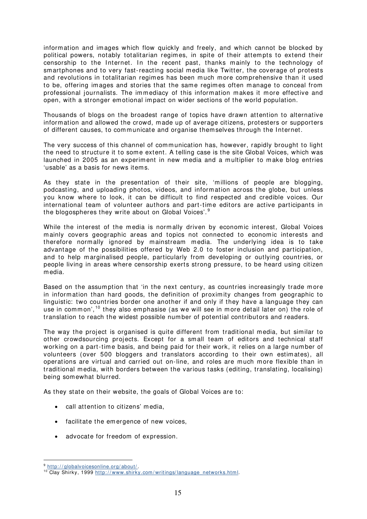information and images which flow quickly and freely, and which cannot be blocked by political powers, notably totalitarian regim es, in spite of their attem pts to extend their censorship to the Internet. In the recent past, thanks mainly to the technology of sm artphones and to very fast-reacting social media like Twitter, the coverage of protests and revolutions in totalitarian regimes has been much more comprehensive than it used to be, offering im ages and stories that the same regimes often manage to conceal from professional journalists. The immediacy of this information makes it more effective and open, with a stronger emotional im pact on wider sections of the world population.

Thousands of blogs on the broadest range of topics have drawn attention to alternative inform ation and allowed the crowd, made up of average citizens, protesters or supporters of different causes, to communicate and organise themselves through the Internet.

The very success of this channel of communication has, however, rapidly brought to light the need to structure it to some extent. A telling case is the site Global Voices, which was launched in 2005 as an experiment in new media and a multiplier to make blog entries 'usable' as a basis for news items.

As they state in the presentation of their site, 'm illions of people are blogging, podcasting, and uploading photos, videos, and inform ation across the globe, but unless you know where to look, it can be difficult to find respected and credible voices. Our international team of volunteer authors and part-time editors are active participants in the blogospheres they write about on Global Voices'. [9](#page-16-0)

While the interest of the media is normally driven by economic interest, Global Voices mainly covers geographic areas and topics not connected to economic interests and therefore normally ignored by mainstream media. The underlying idea is to take advantage of the possibilities offered by Web 2.0 to foster inclusion and participation, and to help marginalised people, particularly from developing or outlying countries, or people living in areas where censorship exerts strong pressure, to be heard using citizen media.

Based on the assumption that 'in the next century, as countries increasingly trade more in information than hard goods, the definition of proximity changes from geographic to linguistic: two countries border one another if and only if they have a language they can use in common', <sup>[10](#page-16-1)</sup> they also emphasise (as we will see in more detail later on) the role of translation to reach the widest possible number of potential contributors and readers.

The way the project is organised is quite different from traditional media, but similar to other crowdsourcing projects. Except for a small team of editors and technical staff working on a part-time basis, and being paid for their work, it relies on a large number of volunteers (over 500 bloggers and translators according to their own estimates), all operations are virtual and carried out on-line, and roles are much more flexible than in traditional m edia, with borders between the various tasks (editing, translating, localising) being som ewhat blurred.

As they state on their website, the goals of Global Voices are to:

- call attention to citizens' media.
- facilitate the emergence of new voices,
- advocate for freedom of expression.

<span id="page-16-0"></span><sup>&</sup>lt;sup>9</sup> http://globalvoicesonline.org/about/.

<span id="page-16-1"></span><sup>&</sup>lt;sup>10</sup> Clay Shirky, 1999 http://www.shirky.com/writings/language\_networks.html.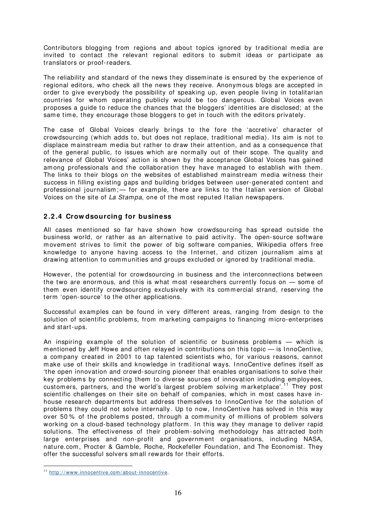Contributors blogging from regions and about topics ignored by traditional m edia are invited to contact the relevant regional editors to submit ideas or participate as translators or proof-readers.

The reliability and standard of the news they dissem inate is ensured by the experience of regional editors, who check all the news they receive. Anonym ous blogs are accepted in order to give everybody the possibility of speaking up, even people living in totalitarian countries for whom operating publicly would be too dangerous. Global Voices even proposes a guide to reduce the chances that the bloggers' identities are disclosed; at the same time, they encourage those bloggers to get in touch with the editors privately.

The case of Global Voices clearly brings to the fore the 'accretive' character of crowdsourcing (which adds to, but does not replace, traditional media). I ts aim is not to displace mainstream media but rather to draw their attention, and as a consequence that of the general public, to issues which are normally out of their scope. The quality and relevance of Global Voices' action is shown by the acceptance Global Voices has gained among professionals and the collaboration they have managed to establish with them. The links to their blogs on the websites of established mainstream media witness their success in filling existing gaps and building bridges between user-generated content and professional journalism; - for example, there are links to the Italian version of Global Voices on the site of La Stampa, one of the most reputed Italian newspapers.

#### <span id="page-17-0"></span>**2 .2 .4 Crow dsourcing for business**

All cases mentioned so far have shown how crowdsourcing has spread outside the business world, or rather as an alternative to paid activity. The open-source software movement strives to limit the power of big software companies, Wikipedia offers free knowledge to anyone having access to the I nternet, and citizen journalism aims at drawing attention to communities and groups excluded or ignored by traditional media.

However, the potential for crowdsourcing in business and the interconnections between the two are enormous, and this is what most researchers currently focus on — some of them even identify crowdsourcing exclusively with its commercial strand, reserving the term 'open-source' to the other applications.

Successful examples can be found in very different areas, ranging from design to the solution of scientific problems, from marketing campaigns to financing micro-enterprises and start-ups.

An inspiring example of the solution of scientific or business problems — which is mentioned by Jeff Howe and often relayed in contributions on this topic  $-$  is InnoCentive, a com pany created in 2001 to tap talented scientists who, for various reasons, cannot make use of their skills and knowledge in traditional ways. I nnoCentive defines itself as 'the open innovation and crowd-sourcing pioneer that enables organisations to solve their key problems by connecting them to diverse sources of innovation including employees, customers, partners, and the world's largest problem solving marketplace'.<sup>[11](#page-17-1)</sup> They post scientific challenges on their site on behalf of companies, which in most cases have inhouse research departm ents but address themselves to I nnoCentive for the solution of problems they could not solve internally. Up to now, I nnoCentive has solved in this way over 50 % of the problem s posted, through a com munity of millions of problem solvers working on a cloud-based technology platform. In this way they manage to deliver rapid solutions. The effectiveness of their problem-solving methodology has attracted both large enterprises and non-profit and government organisations, including NASA, nature.com, Procter & Gamble, Roche, Rockefeller Foundation, and The Economist. They offer the successful solvers small rewards for their efforts.

<span id="page-17-1"></span><sup>11</sup> [http: / / www.innocentive.com / about-innocentive.](http://www.innocentive.com/about-innocentive)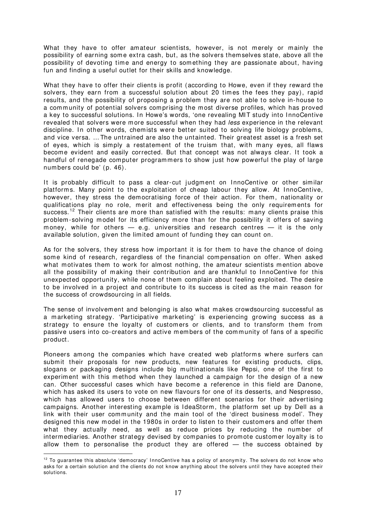What they have to offer amateur scientists, however, is not merely or mainly the possibility of earning som e extra cash, but, as the solvers themselves state, above all the possibility of devoting time and energy to something they are passionate about, having fun and finding a useful outlet for their skills and knowledge.

What they have to offer their clients is profit (according to Howe, even if they reward the solvers, they earn from a successful solution about 20 times the fees they pay), rapid results, and the possibility of proposing a problem they are not able to solve in-house to a community of potential solvers comprising the most diverse profiles, which has proved a key to successful solutions. In Howe's words, 'one revealing MIT study into InnoCentive revealed that solvers were more successful when they had *less* experience in the relevant discipline. In other words, chemists were better suited to solving life biology problems, and vice versa. … The untrained are also the untainted. Their greatest asset is a fresh set of eyes, which is sim ply a restatem ent of the truism that, with m any eyes, all flaws become evident and easily corrected. But that concept was not always clear. It took a handful of renegade computer programmers to show just how powerful the play of large num bers could be' (p. 46).

It is probably difficult to pass a clear-cut judgment on InnoCentive or other similar platforms. Many point to the exploitation of cheap labour they allow. At InnoCentive, however, they stress the dem ocratising force of their action. For them, nationality or qualifications play no role, merit and effectiveness being the only requirements for success.<sup>[12](#page-18-0)</sup> Their clients are more than satisfied with the results: many clients praise this problem -solving m odel for its efficiency m ore than for the possibility it offers of saving money, while for others  $-$  e.g. universities and research centres  $-$  it is the only available solution, given the limited amount of funding they can count on.

As for the solvers, they stress how important it is for them to have the chance of doing some kind of research, regardless of the financial compensation on offer. When asked what motivates them to work for almost nothing, the amateur scientists mention above all the possibility of making their contribution and are thankful to InnoCentive for this unexpected opportunity, while none of them complain about feeling exploited. The desire to be involved in a project and contribute to its success is cited as the main reason for the success of crowdsourcing in all fields.

The sense of involvement and belonging is also what m akes crowdsourcing successful as a m arketing strategy. 'Participative m arketing' is experiencing growing success as a strategy to ensure the loyalty of customers or clients, and to transform them from passive users into co-creators and active members of the community of fans of a specific product.

Pioneers am ong the com panies which have created web platforms where surfers can submit their proposals for new products, new features for existing products, clips, slogans or packaging designs include big multinationals like Pepsi, one of the first to experiment with this method when they launched a campaign for the design of a new can. Other successful cases which have become a reference in this field are Danone, which has asked its users to vote on new flavours for one of its desserts, and Nespresso, which has allowed users to choose between different scenarios for their advertising campaigns. Another interesting example is I deaStorm, the platform set up by Dell as a link with their user community and the main tool of the 'direct business model'. They designed this new model in the 1980s in order to listen to their customers and offer them what they actually need, as well as reduce prices by reducing the number of interm ediaries. Another strategy devised by companies to promote customer loyalty is to allow them to personalise the product they are offered — the success obtained by

<span id="page-18-0"></span> $12$  To guarantee this absolute 'dem ocracy' InnoCentive has a policy of anonymity. The solvers do not know who asks for a certain solution and the clients do not know anything about the solvers until they have accepted their solutions.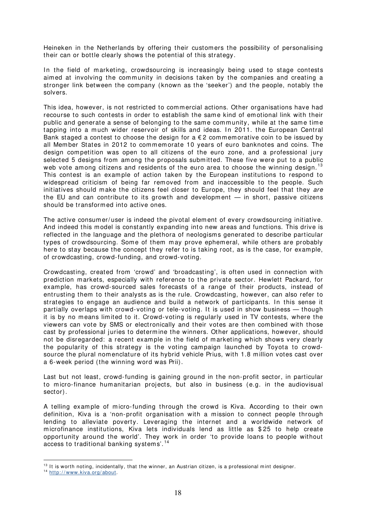Heineken in the Netherlands by offering their customers the possibility of personalising their can or bottle clearly shows the potential of this strategy.

In the field of marketing, crowdsourcing is increasingly being used to stage contests aimed at involving the community in decisions taken by the companies and creating a stronger link between the company (known as the 'seeker') and the people, notably the solvers.

This idea, however, is not restricted to commercial actions. Other organisations have had recourse to such contests in order to establish the same kind of emotional link with their public and generate a sense of belonging to the same community, while at the same time tapping into a much wider reservoir of skills and ideas. In 2011. the European Central Bank staged a contest to choose the design for a  $E$  2 commemorative coin to be issued by all Member States in 2012 to commemorate 10 years of euro banknotes and coins. The design com petition was open to all citizens of the euro zone, and a professional jury selected 5 designs from among the proposals submitted. These five were put to a public web vote among citizens and residents of the euro area to choose the winning design.<sup>[13](#page-19-0)</sup> This contest is an example of action taken by the European institutions to respond to widespread criticism of being far removed from and inaccessible to the people. Such initiatives should make the citizens feel closer to Europe, they should feel that they are the EU and can contribute to its growth and development — in short, passive citizens should be transform ed into active ones.

The active consumer/ user is indeed the pivotal element of every crowdsourcing initiative. And indeed this model is constantly expanding into new areas and functions. This drive is reflected in the language and the plethora of neologisms generated to describe particular types of crowdsourcing. Some of them may prove ephemeral, while others are probably here to stay because the concept they refer to is taking root, as is the case, for example, of crowdcasting, crowd-funding, and crowd-voting.

Crowdcasting, created from 'crowd' and 'broadcasting', is often used in connection with prediction markets, especially with reference to the private sector. Hewlett Packard, for exam ple, has crowd-sourced sales forecasts of a range of their products, instead of entrusting them to their analysts as is the rule. Crowdcasting, however, can also refer to strategies to engage an audience and build a network of participants. In this sense it partially overlaps with crowd-voting or tele-voting. It is used in show business — though it is by no means lim ited to it. Crowd-voting is regularly used in TV contests, where the viewers can vote by SMS or electronically and their votes are then com bined with those cast by professional juries to determ ine the winners. Other applications, however, should not be disregarded: a recent example in the field of m arketing which shows very clearly the popularity of this strategy is the voting cam paign launched by Toyota to crowdsource the plural nomenclature of its hybrid vehicle Prius, with 1.8 million votes cast over a 6-week period (the winning word was Prii).

Last but not least, crowd-funding is gaining ground in the non-profit sector, in particular to m icro-finance humanitarian projects, but also in business (e.g. in the audiovisual sector).

A telling example of m icro-funding through the crowd is Kiva. According to their own definition, Kiva is a 'non-profit organisation with a mission to connect people through lending to alleviate poverty. Leveraging the internet and a worldwide network of microfinance institutions, Kiva lets individuals lend as little as \$ 25 to help create opportunity around the world'. They work in order 'to provide loans to people without access to traditional banking systems'. [14](#page-19-1)

<span id="page-19-0"></span> $13$  It is worth noting, incidentally, that the winner, an Austrian citizen, is a professional mint designer.

<span id="page-19-1"></span><sup>&</sup>lt;sup>14</sup> http://www.kiva.org/about.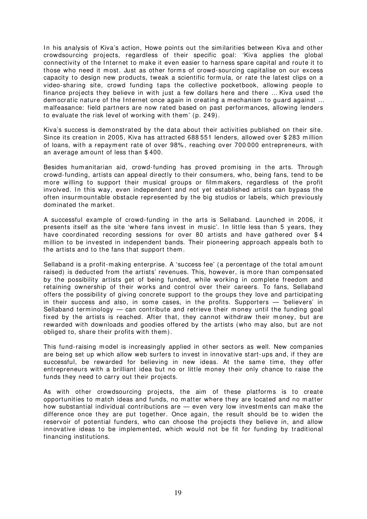In his analysis of Kiva's action, Howe points out the similarities between Kiva and other crowdsourcing projects, regardless of their specific goal: 'Kiva applies the global connectivity of the Internet to make it even easier to harness spare capital and route it to those who need it most. Just as other forms of crowd-sourcing capitalise on our excess capacity to design new products, tweak a scientific form ula, or rate the latest clips on a video-sharing site, crowd funding taps the collective pocketbook, allowing people to finance projects they believe in with just a few dollars here and there … Kiva used the dem ocratic nature of the Internet once again in creating a mechanism to quard against ... malfeasance: field partners are now rated based on past perform ances, allowing lenders to evaluate the risk level of working with them' (p. 249).

Kiva's success is dem onstrated by the data about their activities published on their site. Since its creation in 2005, Kiva has attracted 688 551 lenders, allowed over \$283 million of loans, with a repaym ent rate of over 98% , reaching over 700 000 entrepreneurs, with an average am ount of less than \$ 400.

Besides humanitarian aid, crowd-funding has proved promising in the arts. Through crowd-funding, artists can appeal directly to their consum ers, who, being fans, tend to be m ore willing to support their musical groups or filmm akers, regardless of the profit involved. In this way, even independent and not yet established artists can bypass the often insurmountable obstacle represented by the big studios or labels, which previously dominated the market.

A successful example of crowd-funding in the arts is Sellaband. Launched in 2006, it presents itself as the site 'where fans invest in music'. In little less than 5 years, they have coordinated recording sessions for over 80 artists and have gathered over \$4 million to be invested in independent bands. Their pioneering approach appeals both to the artists and to the fans that support them .

Sellaband is a profit-making enterprise. A 'success fee' (a percentage of the total am ount raised) is deducted from the artists' revenues. This, however, is more than compensated by the possibility artists get of being funded, while working in complete freedom and retaining ownership of their works and control over their careers. To fans, Sellaband offers the possibility of giving concrete support to the groups they love and participating in their success and also, in some cases, in the profits. Supporters — 'believers' in Sellaband terminology  $-$  can contribute and retrieve their money until the funding goal fixed by the artists is reached. After that, they cannot withdraw their money, but are rewarded with downloads and goodies offered by the artists (who may also, but are not obliged to, share their profits with them ).

This fund-raising model is increasingly applied in other sectors as well. New companies are being set up which allow web surfers to invest in innovative start-ups and, if they are successful, be rewarded for believing in new ideas. At the same time, they offer entrepreneurs with a brilliant idea but no or little money their only chance to raise the funds they need to carry out their projects.

As with other crowdsourcing projects, the aim of these platforms is to create opportunities to m atch ideas and funds, no matter where they are located and no m atter how substantial individual contributions are — even very low investments can make the difference once they are put together. Once again, the result should be to widen the reservoir of potential funders, who can choose the projects they believe in, and allow innovative ideas to be implemented, which would not be fit for funding by traditional financing institutions.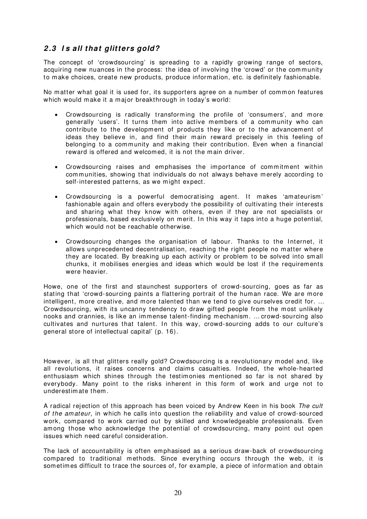### <span id="page-21-0"></span>**2 .3 I s all that glitters gold?**

The concept of 'crowdsourcing' is spreading to a rapidly growing range of sectors, acquiring new nuances in the process: the idea of involving the 'crowd' or the community to make choices, create new products, produce information, etc. is definitely fashionable.

No matter what goal it is used for, its supporters agree on a number of common features which would make it a major breakthrough in today's world:

- Crowdsourcing is radically transforming the profile of 'consumers', and more generally 'users'. It turns them into active members of a community who can contribute to the developm ent of products they like or to the advancement of ideas they believe in, and find their main reward precisely in this feeling of belonging to a community and making their contribution. Even when a financial reward is offered and welcomed, it is not the main driver.
- Crowdsourcing raises and emphasises the importance of commitment within communities, showing that individuals do not always behave merely according to self-interested patterns, as we might expect.
- Crowdsourcing is a powerful democratising agent. It makes 'amateurism' fashionable again and offers everybody the possibility of cultivating their interests and sharing what they know with others, even if they are not specialists or professionals, based exclusively on merit. In this way it taps into a huge potential, which would not be reachable otherwise.
- Crowdsourcing changes the organisation of labour. Thanks to the Internet, it allows unprecedented decentralisation, reaching the right people no m atter where they are located. By breaking up each activity or problem to be solved into small chunks, it mobilises energies and ideas which would be lost if the requirements were heavier.

Howe, one of the first and staunchest supporters of crowd-sourcing, goes as far as stating that 'crowd-sourcing paints a flattering portrait of the human race. We are more intelligent, more creative, and more talented than we tend to give ourselves credit for. ... Crowdsourcing, with its uncanny tendency to draw gifted people from the most unlikely nooks and crannies, is like an immense talent-finding mechanism, ... crowd-sourcing also cultivates and nurtures that talent. In this way, crowd-sourcing adds to our culture's general store of intellectual capital' (p. 16).

However, is all that glitters really gold? Crowdsourcing is a revolutionary model and, like all revolutions, it raises concerns and claims casualties. Indeed, the whole-hearted enthusiasm which shines through the testimonies mentioned so far is not shared by everybody. Many point to the risks inherent in this form of work and urge not to underestim ate them .

A radical rejection of this approach has been voiced by Andrew Keen in his book The cult of the am ateur, in which he calls into question the reliability and value of crowd-sourced work, compared to work carried out by skilled and knowledgeable professionals. Even among those who acknowledge the potential of crowdsourcing, many point out open issues which need careful consideration.

The lack of accountability is often emphasised as a serious draw-back of crowdsourcing com pared to traditional m ethods. Since everything occurs through the web, it is som etim es difficult to trace the sources of, for example, a piece of information and obtain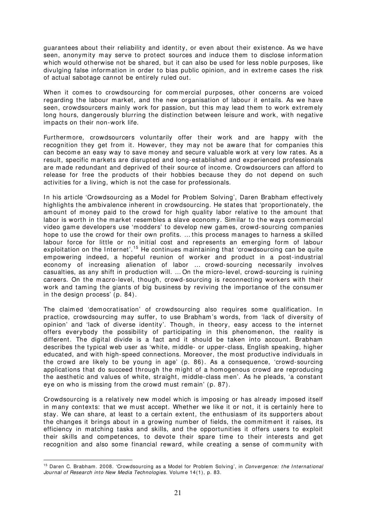guarantees about their reliability and identity, or even about their existence. As we have seen, anonym ity m ay serve to protect sources and induce them to disclose information which would otherwise not be shared, but it can also be used for less noble purposes, like divulging false information in order to bias public opinion, and in extreme cases the risk of actual sabotage cannot be entirely ruled out.

When it comes to crowdsourcing for commercial purposes, other concerns are voiced regarding the labour m arket, and the new organisation of labour it entails. As we have seen, crowdsourcers mainly work for passion, but this may lead them to work extremely long hours, dangerously blurring the distinction between leisure and work, with negative impacts on their non-work life.

Furtherm ore, crowdsourcers voluntarily offer their work and are happy with the recognition they get from it. However, they may not be aware that for companies this can become an easy way to save money and secure valuable work at very low rates. As a result, specific markets are disrupted and long-established and experienced professionals are m ade redundant and deprived of their source of incom e. Crowdsourcers can afford to release for free the products of their hobbies because they do not depend on such activities for a living, which is not the case for professionals.

In his article 'Crowdsourcing as a Model for Problem Solving', Daren Brabham effectively highlights the ambivalence inherent in crowdsourcing. He states that 'proportionately, the am ount of m oney paid to the crowd for high quality labor relative to the amount that labor is worth in the market resembles a slave economy. Similar to the ways commercial video game developers use 'modders' to develop new gam es, crowd-sourcing com panies hope to use the crowd for their own profits. … this process manages to harness a skilled labour force for little or no initial cost and represents an emerging form of labour exploitation on the Internet'.<sup>[15](#page-22-0)</sup> He continues maintaining that 'crowdsourcing can be quite em powering indeed, a hopeful reunion of worker and product in a post-industrial economy of increasing alienation of labor … crowd-sourcing necessarily involves casualties, as any shift in production will. … On the micro-level, crowd-sourcing is ruining careers. On the macro-level, though, crowd-sourcing is reconnecting workers with their work and taming the giants of big business by reviving the importance of the consumer in the design process' (p. 84).

The claimed 'democratisation' of crowdsourcing also requires some qualification. In practice, crowdsourcing m ay suffer, to use Brabham 's words, from 'lack of diversity of opinion' and 'lack of diverse identity'. Though, in theory, easy access to the internet offers everybody the possibility of participating in this phenomenon, the reality is different. The digital divide is a fact and it should be taken into account. Brabham describes the typical web user as 'white, m iddle- or upper-class, English speaking, higher educated, and with high-speed connections. Moreover, the m ost productive individuals in the crowd are likely to be young in age' (p. 86). As a consequence, 'crowd-sourcing applications that do succeed through the might of a homogenous crowd are reproducing the aesthetic and values of white, straight, middle-class men'. As he pleads, 'a constant eye on who is missing from the crowd must remain' (p. 87).

Crowdsourcing is a relatively new model which is imposing or has already imposed itself in many contexts: that we must accept. Whether we like it or not, it is certainly here to stay. We can share, at least to a certain extent, the enthusiasm of its supporters about the changes it brings about in a growing number of fields, the commitment it raises, its efficiency in m atching tasks and skills, and the opportunities it offers users to exploit their skills and com petences, to devote their spare time to their interests and get recognition and also some financial reward, while creating a sense of community with

<span id="page-22-0"></span><sup>&</sup>lt;sup>15</sup> Daren C. Brabham. 2008. 'Crowdsourcing as a Model for Problem Solving', in Convergence: the International Journal of Research into New Media Technologies. Volume 14(1), p. 83.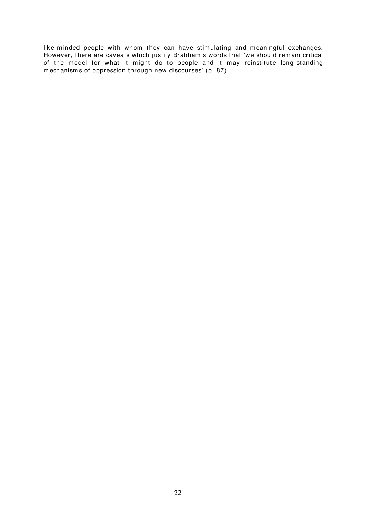like-m inded people with whom they can have stimulating and meaningful exchanges. However, there are caveats which justify Brabham 's words that 'we should rem ain critical of the model for what it might do to people and it may reinstitute long-standing m echanism s of oppression through new discourses' (p. 87).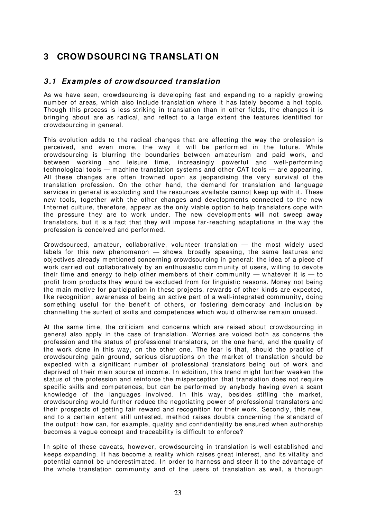# <span id="page-24-0"></span>**3 CROW DSOURCI NG TRANSLATI ON**

#### <span id="page-24-1"></span>**3 .1 Exam ples of crow dsourced translation**

As we have seen, crowdsourcing is developing fast and expanding to a rapidly growing number of areas, which also include translation where it has lately become a hot topic. Though this process is less striking in translation than in other fields, the changes it is bringing about are as radical, and reflect to a large extent the features identified for crowdsourcing in general.

This evolution adds to the radical changes that are affecting the way the profession is perceived, and even more, the way it will be performed in the future. While crowdsourcing is blurring the boundaries between amateurism and paid work, and between working and leisure time, increasingly powerful and well-performing technological tools — machine translation systems and other CAT tools — are appearing. All these changes are often frowned upon as jeopardising the very survival of the translation profession. On the other hand, the demand for translation and language services in general is exploding and the resources available cannot keep up with it. These new tools, together with the other changes and developments connected to the new Internet culture, therefore, appear as the only viable option to help translators cope with the pressure they are to work under. The new developments will not sweep away translators, but it is a fact that they will impose far-reaching adaptations in the way the profession is conceived and perform ed.

Crowdsourced, amateur, collaborative, volunteer translation — the m ost widely used labels for this new phenomenon  $-$  shows, broadly speaking, the same features and objectives already mentioned concerning crowdsourcing in general: the idea of a piece of work carried out collaboratively by an enthusiastic community of users, willing to devote their time and energy to help other members of their community — whatever it is  $-$  to profit from products they would be excluded from for linguistic reasons. Money not being the main m otive for participation in these projects, rewards of other kinds are expected, like recognition, awareness of being an active part of a well-integrated community, doing som ething useful for the benefit of others, or fostering democracy and inclusion by channelling the surfeit of skills and com petences which would otherwise rem ain unused.

At the same tim e, the criticism and concerns which are raised about crowdsourcing in general also apply in the case of translation. Worries are voiced both as concerns the profession and the status of professional translators, on the one hand, and the quality of the work done in this way, on the other one. The fear is that, should the practice of crowdsourcing gain ground, serious disruptions on the m arket of translation should be expected with a significant number of professional translators being out of work and deprived of their main source of income. In addition, this trend might further weaken the status of the profession and reinforce the m isperception that translation does not require specific skills and competences, but can be performed by anybody having even a scant knowledge of the languages involved. In this way, besides stifling the market, crowdsourcing would further reduce the negotiating power of professional translators and their prospects of getting fair reward and recognition for their work. Secondly, this new, and to a certain extent still untested, m ethod raises doubts concerning the standard of the output: how can, for exam ple, quality and confidentiality be ensured when authorship becom es a vague concept and traceability is difficult to enforce?

In spite of these caveats, however, crowdsourcing in translation is well established and keeps expanding. It has become a reality which raises great interest, and its vitality and potential cannot be underestimated. In order to harness and steer it to the advantage of the whole translation community and of the users of translation as well, a thorough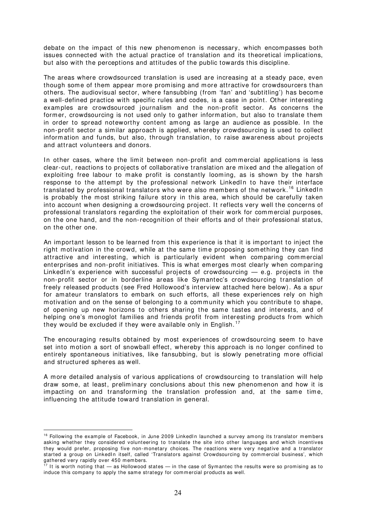debate on the impact of this new phenomenon is necessary, which encompasses both issues connected with the actual practice of translation and its theoretical implications, but also with the perceptions and attitudes of the public towards this discipline.

The areas where crowdsourced translation is used are increasing at a steady pace, even though some of them appear more promising and more attractive for crowdsourcers than others. The audiovisual sector, where fansubbing (from 'fan' and 'subtitling') has becom e a well-defined practice with specific rules and codes, is a case in point. Other interesting examples are crowdsourced journalism and the non-profit sector. As concerns the form er, crowdsourcing is not used only to gather inform ation, but also to translate them in order to spread noteworthy content among as large an audience as possible. In the non-profit sector a similar approach is applied, whereby crowdsourcing is used to collect inform ation and funds, but also, through translation, to raise awareness about projects and attract volunteers and donors.

In other cases, where the limit between non-profit and commercial applications is less clear-cut, reactions to projects of collaborative translation are mixed and the allegation of exploiting free labour to make profit is constantly looming, as is shown by the harsh response to the attempt by the professional network LinkedIn to have their interface translated by professional translators who were also members of the network.<sup>[16](#page-25-0)</sup> LinkedIn is probably the most striking failure story in this area, which should be carefully taken into account when designing a crowdsourcing project. It reflects very well the concerns of professional translators regarding the exploitation of their work for commercial purposes, on the one hand, and the non-recognition of their efforts and of their professional status, on the other one.

An important lesson to be learned from this experience is that it is im portant to inject the right motivation in the crowd, while at the same time proposing something they can find attractive and interesting, which is particularly evident when comparing commercial enterprises and non-profit initiatives. This is what emerges most clearly when comparing LinkedIn's experience with successful projects of crowdsourcing  $-$  e.g. projects in the non-profit sector or in borderline areas like Symantec's crowdsourcing translation of freely released products (see Fred Hollowood's interview attached here below). As a spur for amateur translators to embark on such efforts, all these experiences rely on high motivation and on the sense of belonging to a community which you contribute to shape, of opening up new horizons to others sharing the same tastes and interests, and of helping one's monoglot families and friends profit from interesting products from which they would be excluded if they were available only in English.<sup>[17](#page-25-1)</sup>

The encouraging results obtained by most experiences of crowdsourcing seem to have set into motion a sort of snowball effect, whereby this approach is no longer confined to entirely spontaneous initiatives, like fansubbing, but is slowly penetrating more official and structured spheres as well.

A m ore detailed analysis of various applications of crowdsourcing to translation will help draw some, at least, prelim inary conclusions about this new phenomenon and how it is impacting on and transforming the translation profession and, at the same time, influencing the attitude toward translation in general.

<span id="page-25-0"></span> $16$  Following the example of Facebook, in June 2009 LinkedIn launched a survey among its translator members asking whether they considered volunteering to translate the site into other languages and which incentives they would prefer, proposing five non-m onetary choices. The reactions were very negative and a translator started a group on LinkedIn itself, called 'Translators against Crowdsourcing by commercial business', which gathered very rapidly over 450 m em bers.

<span id="page-25-1"></span> $17$  It is worth noting that — as Hollowood states — in the case of Symantec the results were so promising as to induce this company to apply the same strategy for commercial products as well.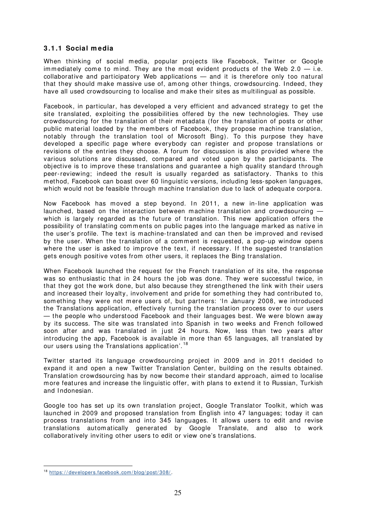#### <span id="page-26-0"></span>**3 .1 .1 Social m edia**

When thinking of social media, popular projects like Facebook, Twitter or Google immediately come to mind. They are the most evident products of the Web  $2.0 - i.e.$ collaborative and participatory Web applications — and it is therefore only too natural that they should m ake m assive use of, am ong other things, crowdsourcing. I ndeed, they have all used crowdsourcing to localise and make their sites as multilingual as possible.

Facebook, in particular, has developed a very efficient and advanced strategy to get the site translated, exploiting the possibilities offered by the new technologies. They use crowdsourcing for the translation of their m etadata (for the translation of posts or other public material loaded by the members of Facebook, they propose m achine translation, notably through the translation tool of Microsoft Bing). To this purpose they have developed a specific page where everybody can register and propose translations or revisions of the entries they choose. A forum for discussion is also provided where the various solutions are discussed, com pared and voted upon by the participants. The objective is to improve these translations and guarantee a high quality standard through peer-reviewing; indeed the result is usually regarded as satisfactory. Thanks to this method, Facebook can boast over 60 linguistic versions, including less-spoken languages, which would not be feasible through machine translation due to lack of adequate corpora.

Now Facebook has moved a step beyond. In 2011, a new in-line application was launched, based on the interaction between machine translation and crowdsourcing which is largely regarded as the future of translation. This new application offers the possibility of translating comments on public pages into the language marked as native in the user's profile. The text is m achine-translated and can then be improved and revised by the user. When the translation of a comment is requested, a pop-up window opens where the user is asked to improve the text, if necessary. If the suggested translation gets enough positive votes from other users, it replaces the Bing translation.

When Facebook launched the request for the French translation of its site, the response was so enthusiastic that in 24 hours the job was done. They were successful twice, in that they got the work done, but also because they strengthened the link with their users and increased their loyalty, involvement and pride for som ething they had contributed to, something they were not mere users of, but partners: 'In January 2008, we introduced the Translations application, effectively turning the translation process over to our users — the people who understood Facebook and their languages best. We were blown away by its success. The site was translated into Spanish in two weeks and French followed soon after and was translated in just 24 hours. Now, less than two years after introducing the app, Facebook is available in more than 65 languages, all translated by our users using the Translations application'.<sup>[18](#page-26-1)</sup>

Twitter started its language crowdsourcing project in 2009 and in 2011 decided to expand it and open a new Twitter Translation Center, building on the results obtained. Translation crowdsourcing has by now becom e their standard approach, aimed to localise more features and increase the linguistic offer, with plans to extend it to Russian, Turkish and Indonesian.

Google too has set up its own translation project, Google Translator Toolkit, which was launched in 2009 and proposed translation from English into 47 languages; today it can process translations from and into 345 languages. I t allows users to edit and revise translations autom atically generated by Google Translate, and also to work collaboratively inviting other users to edit or view one's translations.

<span id="page-26-1"></span><sup>18</sup> [https: / / developers.facebook.com / blog/ post/ 308/](https://developers.facebook.com/blog/post/308/) .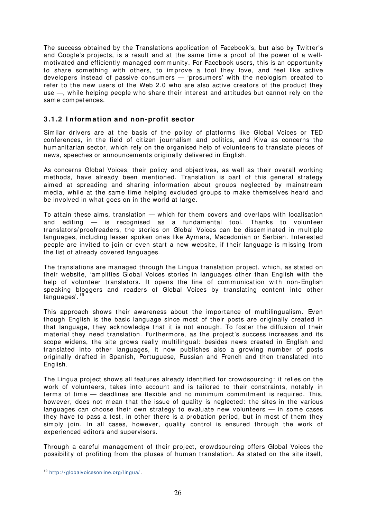The success obtained by the Translations application of Facebook's, but also by Twitter's and Google's projects, is a result and at the same time a proof of the power of a wellmotivated and efficiently managed community. For Facebook users, this is an opportunity to share som ething with others, to improve a tool they love, and feel like active developers instead of passive consumers — 'prosum ers' with the neologism created to refer to the new users of the Web 2.0 who are also active creators of the product they use —, while helping people who share their interest and attitudes but cannot rely on the same competences.

#### <span id="page-27-0"></span>**3 .1 .2 I nform ation and non- profit sector**

Similar drivers are at the basis of the policy of platforms like Global Voices or TED conferences, in the field of citizen journalism and politics, and Kiva as concerns the hum anitarian sector, which rely on the organised help of volunteers to translate pieces of news, speeches or announcements originally delivered in English.

As concerns Global Voices, their policy and objectives, as well as their overall working methods, have already been mentioned. Translation is part of this general strategy aimed at spreading and sharing information about groups neglected by mainstream media, while at the same time helping excluded groups to make them selves heard and be involved in what goes on in the world at large.

To attain these aims, translation — which for them covers and overlaps with localisation and editing — is recognised as a fundamental tool. Thanks to volunteer translators/ proofreaders, the stories on Global Voices can be disseminated in multiple languages, including lesser spoken ones like Aymara, Macedonian or Serbian. I nterested people are invited to join or even start a new website, if their language is missing from the list of already covered languages.

The translations are managed through the Lingua translation project, which, as stated on their website, 'amplifies Global Voices stories in languages other than English with the help of volunteer translators. It opens the line of communication with non-English speaking bloggers and readers of Global Voices by translating content into other languages'.<sup>[19](#page-27-1)</sup>

This approach shows their awareness about the importance of multilingualism. Even though English is the basic language since most of their posts are originally created in that language, they acknowledge that it is not enough. To foster the diffusion of their material they need translation. Furthermore, as the project's success increases and its scope widens, the site grows really multilingual: besides news created in English and translated into other languages, it now publishes also a growing num ber of posts originally drafted in Spanish, Portuguese, Russian and French and then translated into English.

The Lingua project shows all features already identified for crowdsourcing: it relies on the work of volunteers, takes into account and is tailored to their constraints, notably in terms of time — deadlines are flexible and no minimum commitment is required. This, however, does not mean that the issue of quality is neglected: the sites in the various languages can choose their own strategy to evaluate new volunteers  $-$  in some cases they have to pass a test, in other there is a probation period, but in most of them they simply join. In all cases, however, quality control is ensured through the work of experienced editors and supervisors.

Through a careful management of their project, crowdsourcing offers Global Voices the possibility of profiting from the pluses of human translation. As stated on the site itself,

<span id="page-27-1"></span><sup>19</sup> [http: / / globalvoicesonline.org/ lingua/](http://globalvoicesonline.org/lingua/) .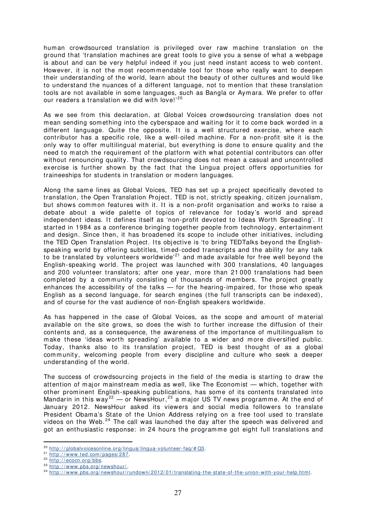human crowdsourced translation is privileged over raw machine translation on the ground that 'translation machines are great tools to give you a sense of what a webpage is about and can be very helpful indeed if you just need instant access to web content. However, it is not the most recommendable tool for those who really want to deepen their understanding of the world, learn about the beauty of other cultures and would like to understand the nuances of a different language, not to m ention that these translation tools are not available in some languages, such as Bangla or Aymara. We prefer to offer our readers a translation we did with love!'<sup>[20](#page-28-0)</sup>

As we see from this declaration, at Global Voices crowdsourcing translation does not m ean sending som ething into the cyberspace and waiting for it to come back worded in a different language. Quite the opposite. It is a well structured exercise, where each contributor has a specific role, like a well-oiled machine. For a non-profit site it is the only way to offer multilingual material, but everything is done to ensure quality and the need to match the requirement of the platform with what potential contributors can offer without renouncing quality. That crowdsourcing does not mean a casual and uncontrolled exercise is further shown by the fact that the Lingua project offers opportunities for traineeships for students in translation or m odern languages.

Along the same lines as Global Voices, TED has set up a project specifically devoted to translation, the Open Translation Project. TED is not, strictly speaking, citizen journalism , but shows common features with it. It is a non-profit organisation and works to raise a debate about a wide palette of topics of relevance for today's world and spread independent ideas. It defines itself as 'non-profit devoted to Ideas Worth Spreading'. It started in 1984 as a conference bringing together people from technology, entertainment and design. Since then, it has broadened its scope to include other initiatives, including the TED Open Translation Project. I ts objective is 'to bring TEDTalks beyond the Englishspeaking world by offering subtitles, timed-coded transcripts and the ability for any talk to be translated by volunteers worldwide<sup>[21](#page-28-1)</sup> and made available for free well beyond the English-speaking world. The project was launched with 300 translations, 40 languages and 200 volunteer translators; after one year, more than 21 000 translations had been completed by a community consisting of thousands of members. The project greatly enhances the accessibility of the talks — for the hearing-impaired, for those who speak English as a second language, for search engines (the full transcripts can be indexed), and of course for the vast audience of non-English speakers worldwide.

As has happened in the case of Global Voices, as the scope and amount of material available on the site grows, so does the wish to further increase the diffusion of their contents and, as a consequence, the awareness of the importance of multilingualism to make these 'ideas worth spreading' available to a wider and more diversified public. Today, thanks also to its translation project, TED is best thought of as a global community, welcoming people from every discipline and culture who seek a deeper understanding of the world.

The success of crowdsourcing projects in the field of the m edia is starting to draw the attention of major mainstream media as well, like The Economist — which, together with other prominent English-speaking publications, has some of its contents translated into Mandarin in this way<sup>[22](#page-28-2)</sup> — or NewsHour,<sup>[23](#page-28-3)</sup> a major US TV news programme. At the end of January 2012. NewsHour asked its viewers and social media followers to translate President Obama's State of the Union Address relying on a free tool used to translate videos on the Web. $24$  The call was launched the day after the speech was delivered and got an enthusiastic response: in 24 hours the programme got eight full translations and

<span id="page-28-0"></span> $20$  http://globalvoicesonline.org/lingua/lingua-volunteer-faq/# $Q3$ .

<span id="page-28-1"></span><sup>&</sup>lt;sup>21</sup> http://www.ted.com/pages/287.

<sup>&</sup>lt;sup>22</sup> http://ecocn.org/bbs.

<span id="page-28-4"></span><span id="page-28-3"></span><span id="page-28-2"></span><sup>23</sup> http://www.pbs.org/newshour/.

<sup>&</sup>lt;sup>24</sup> http://www.pbs.org/newshour/rundown/2012/01/translating-the-state-of-the-union-with-your-help.html.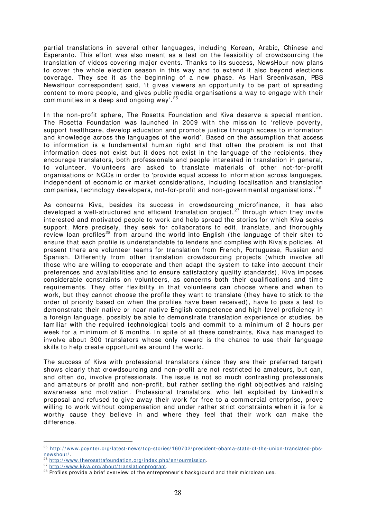partial translations in several other languages, including Korean, Arabic, Chinese and Esperanto. This effort was also meant as a test on the feasibility of crowdsourcing the translation of videos covering m ajor events. Thanks to its success, NewsHour now plans to cover the whole election season in this way and to extend it also beyond elections coverage. They see it as the beginning of a new phase. As Hari Sreenivasan, PBS NewsHour correspondent said, 'it gives viewers an opportunity to be part of spreading content to more people, and gives public media organisations a way to engage with their communities in a deep and ongoing way'.<sup>[25](#page-29-0)</sup>

In the non-profit sphere, The Rosetta Foundation and Kiva deserve a special mention. The Rosetta Foundation was launched in 2009 with the mission to 'relieve poverty, support healthcare, develop education and promote justice through access to inform ation and knowledge across the languages of the world'. Based on the assumption that access to information is a fundamental human right and that often the problem is not that information does not exist but it does not exist in the language of the recipients, they encourage translators, both professionals and people interested in translation in general, to volunteer. Volunteers are asked to translate materials of other not-for-profit organisations or NGOs in order to 'provide equal access to information across languages, independent of economic or market considerations, including localisation and translation companies, technology developers, not-for-profit and non-governmental organisations'.<sup>[26](#page-29-1)</sup>

As concerns Kiva, besides its success in crowdsourcing microfinance, it has also developed a well-structured and efficient translation project,<sup>[27](#page-29-2)</sup> through which they invite interested and m otivated people to work and help spread the stories for which Kiva seeks support. More precisely, they seek for collaborators to edit, translate, and thoroughly review loan profiles<sup>[28](#page-29-3)</sup> from around the world into English (the language of their site) to ensure that each profile is understandable to lenders and complies with Kiva's policies. At present there are volunteer teams for translation from French, Portuguese, Russian and Spanish. Differently from other translation crowdsourcing projects (which involve all those who are willing to cooperate and then adapt the system to take into account their preferences and availabilities and to ensure satisfactory quality standards), Kiva imposes considerable constraints on volunteers, as concerns both their qualifications and tim e requirements. They offer flexibility in that volunteers can choose where and when to work, but they cannot choose the profile they want to translate (they have to stick to the order of priority based on when the profiles have been received), have to pass a test to dem onstrate their native or near-native English competence and high-level proficiency in a foreign language, possibly be able to demonstrate translation experience or studies, be familiar with the required technological tools and commit to a minimum of 2 hours per week for a minimum of 6 months. In spite of all these constraints, Kiva has managed to involve about 300 translators whose only reward is the chance to use their language skills to help create opportunities around the world.

The success of Kiva with professional translators (since they are their preferred target) shows clearly that crowdsourcing and non-profit are not restricted to amateurs, but can, and often do, involve professionals. The issue is not so much contrasting professionals and am ateurs or profit and non-profit, but rather setting the right objectives and raising awareness and motivation. Professional translators, who felt exploited by LinkedIn's proposal and refused to give away their work for free to a commercial enterprise, prove willing to work without compensation and under rather strict constraints when it is for a worthy cause they believe in and where they feel that their work can make the difference.

<span id="page-29-0"></span><sup>&</sup>lt;sup>25</sup> http://www.poynter.org/latest-news/top-stories/160702/president-obama-state-of-the-union-translated-pbs[newshour/](http://www.poynter.org/latest-news/top-stories/160702/president-obama-state-of-the-union-translated-pbs-newshour/)

<span id="page-29-1"></span>http://www.therosettafoundation.org/index.php/en/ourmission.

<span id="page-29-2"></span><sup>27</sup> http://www.kiva.org/about/translationprogram.

<span id="page-29-3"></span><sup>&</sup>lt;sup>28</sup> Profiles provide a brief overview of the entrepreneur's background and their microloan use.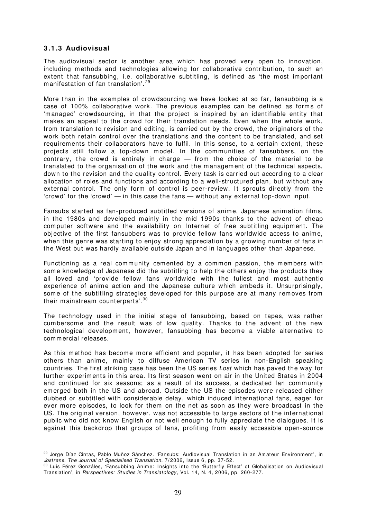#### <span id="page-30-0"></span>**3 .1 .3 Audiovisual**

 $\overline{a}$ 

The audiovisual sector is another area which has proved very open to innovation, including methods and technologies allowing for collaborative contribution, to such an extent that fansubbing, i.e. collaborative subtitling, is defined as 'the most important m anifestation of fan translation'. [29](#page-30-1)

More than in the examples of crowdsourcing we have looked at so far, fansubbing is a case of 100% collaborative work. The previous exam ples can be defined as forms of 'm anaged' crowdsourcing, in that the project is inspired by an identifiable entity that m akes an appeal to the crowd for their translation needs. Even when the whole work, from translation to revision and editing, is carried out by the crowd, the originators of the work both retain control over the translations and the content to be translated, and set requirements their collaborators have to fulfil. In this sense, to a certain extent, these projects still follow a top-down model. In the communities of fansubbers, on the contrary, the crowd is entirely in charge  $-$  from the choice of the material to be translated to the organisation of the work and the management of the technical aspects, down to the revision and the quality control. Every task is carried out according to a clear allocation of roles and functions and according to a well-structured plan, but without any external control. The only form of control is peer-review. It sprouts directly from the 'crowd' for the 'crowd' — in this case the fans — without any external top-down input.

Fansubs started as fan-produced subtitled versions of anime, Japanese animation films, in the 1980s and developed mainly in the mid 1990s thanks to the advent of cheap com puter software and the availability on I nternet of free subtitling equipm ent. The objective of the first fansubbers was to provide fellow fans worldwide access to anime, when this genre was starting to enjoy strong appreciation by a growing number of fans in the West but was hardly available outside Japan and in languages other than Japanese.

Functioning as a real community cemented by a common passion, the members with some knowledge of Japanese did the subtitling to help the others enjoy the products they all loved and 'provide fellow fans worldwide with the fullest and m ost authentic experience of anime action and the Japanese culture which em beds it. Unsurprisingly, some of the subtitling strategies developed for this purpose are at many removes from their mainstream counterparts'.<sup>[30](#page-30-2)</sup>

The technology used in the initial stage of fansubbing, based on tapes, was rather cum bersom e and the result was of low quality. Thanks to the advent of the new technological developm ent, however, fansubbing has become a viable alternative to commercial releases.

As this method has become more efficient and popular, it has been adopted for series others than anime, mainly to diffuse American TV series in non-English speaking countries. The first striking case has been the US series Lost which has paved the way for further experiments in this area. Its first season went on air in the United States in 2004 and continued for six seasons; as a result of its success, a dedicated fan community em erged both in the US and abroad. Outside the US the episodes were released either dubbed or subtitled with considerable delay, which induced international fans, eager for ever more episodes, to look for them on the net as soon as they were broadcast in the US. The original version, however, was not accessible to large sectors of the international public who did not know English or not well enough to fully appreciate the dialogues. I t is against this backdrop that groups of fans, profiting from easily accessible open-source

<span id="page-30-1"></span><sup>&</sup>lt;sup>29</sup> Jorge Díaz Cintas, Pablo Muñoz Sánchez. 'Fansubs: Audiovisual Translation in an Amateur Environment', in Jostrans. The Journal of Specialised Translation. 7/2006, Issue 6, pp. 37-52.

<span id="page-30-2"></span><sup>30</sup> Luis Pérez Gonzáles, 'Fansubbing Anime: I nsights into the 'Butterfly Effect' of Globalisation on Audiovisual Translation', in Perspectives: Studies in Translatology, Vol. 14, N. 4, 2006, pp. 260-277.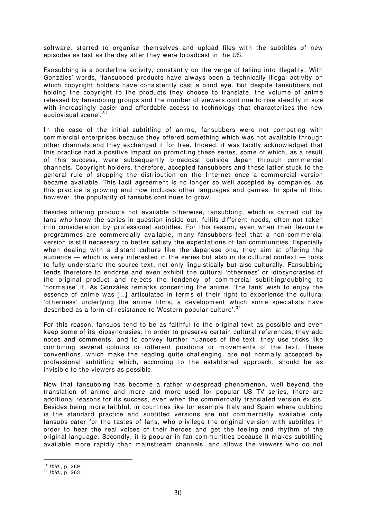software, started to organise them selves and upload files with the subtitles of new episodes as fast as the day after they were broadcast in the US.

Fansubbing is a borderline activity, constantly on the verge of falling into illegality. With Gonzáles' words, 'fansubbed products have always been a technically illegal activity on which copyright holders have consistently cast a blind eye. But despite fansubbers not holding the copyright to the products they choose to translate, the volume of anime released by fansubbing groups and the num ber of viewers continue to rise steadily in size with increasingly easier and affordable access to technology that characterises the new audiovisual scene'. [31](#page-31-0)

In the case of the initial subtitling of anime, fansubbers were not competing with commercial enterprises because they offered something which was not available through other channels and they exchanged it for free. I ndeed, it was tacitly acknowledged that this practice had a positive impact on promoting these series, some of which, as a result of this success, were subsequently broadcast outside Japan through commercial channels. Copyright holders, therefore, accepted fansubbers and these latter stuck to the general rule of stopping the distribution on the I nternet once a commercial version becam e available. This tacit agreem ent is no longer so well accepted by companies, as this practice is growing and now includes other languages and genres. In spite of this, however, the popularity of fansubs continues to grow.

Besides offering products not available otherwise, fansubbing, which is carried out by fans who know the series in question inside out, fulfils different needs, often not taken into consideration by professional subtitles. For this reason, even when their favourite programmes are commercially available, m any fansubbers feel that a non-com m ercial version is still necessary to better satisfy the expectations of fan communities. Especially when dealing with a distant culture like the Japanese one, they aim at offering the audience — which is very interested in the series but also in its cultural context — tools to fully understand the source text, not only linguistically but also culturally. Fansubbing tends therefore to endorse and even exhibit the cultural 'otherness' or idiosyncrasies of the original product and rejects the tendency of commercial subtitling/ dubbing to 'normalise' it. As Gonzáles remarks concerning the anim e, 'the fans' wish to enjoy the essence of anime was [..] articulated in terms of their right to experience the cultural 'otherness' underlying the anime films, a development which some specialists have described as a form of resistance to Western popular culture<sup>'.[32](#page-31-1)</sup>

For this reason, fansubs tend to be as faithful to the original text as possible and even keep some of its idiosyncrasies. I n order to preserve certain cultural references, they add notes and comments, and to convey further nuances of the text, they use tricks like com bining several colours or different positions or m ovem ents of the text. These conventions, which make the reading quite challenging, are not normally accepted by professional subtitling which, according to the established approach, should be as invisible to the viewers as possible.

Now that fansubbing has become a rather widespread phenomenon, well beyond the translation of anime and more and more used for popular US TV series, there are additional reasons for its success, even when the commercially translated version exists. Besides being more faithful, in countries like for example I taly and Spain where dubbing is the standard practice and subtitled versions are not commercially available only fansubs cater for the tastes of fans, who privilege the original version with subtitles in order to hear the real voices of their heroes and get the feeling and rhythm of the original language. Secondly, it is popular in fan communities because it makes subtitling available m ore rapidly than mainstream channels, and allows the viewers who do not

<span id="page-31-0"></span> $31$  I bid., p. 269.

<span id="page-31-1"></span> $32$  I bid., p. 263.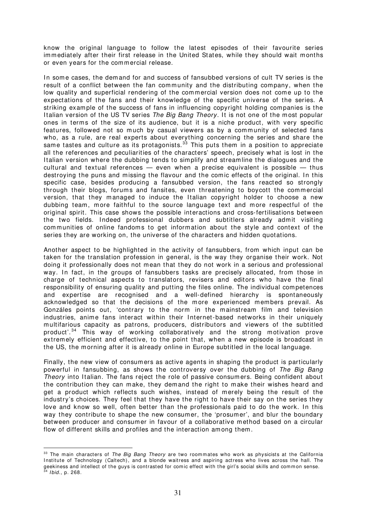know the original language to follow the latest episodes of their favourite series immediately after their first release in the United States, while they should wait months or even years for the commercial release.

In some cases, the dem and for and success of fansubbed versions of cult TV series is the result of a conflict between the fan community and the distributing company, when the low quality and superficial rendering of the commercial version does not come up to the expectations of the fans and their knowledge of the specific universe of the series. A striking exam ple of the success of fans in influencing copyright holding companies is the Italian version of the US TV series The Big Bang Theory. It is not one of the most popular ones in terms of the size of its audience, but it is a niche product, with very specific features, followed not so much by casual viewers as by a community of selected fans who, as a rule, are real experts about everything concerning the series and share the same tastes and culture as its protagonists.<sup>[33](#page-32-0)</sup> This puts them in a position to appreciate all the references and peculiarities of the characters' speech, precisely what is lost in the Italian version where the dubbing tends to simplify and streamline the dialogues and the cultural and textual references  $-$  even when a precise equivalent is possible  $-$  thus destroying the puns and missing the flavour and the comic effects of the original. In this specific case, besides producing a fansubbed version, the fans reacted so strongly through their blogs, forums and fansites, even threatening to boycott the commercial version, that they m anaged to induce the I talian copyright holder to choose a new dubbing team, more faithful to the source language text and more respectful of the original spirit. This case shows the possible interactions and cross-fertilisations between the two fields. Indeed professional dubbers and subtitlers already admit visiting communities of online fandoms to get information about the style and context of the series they are working on, the universe of the characters and hidden quotations.

Another aspect to be highlighted in the activity of fansubbers, from which input can be taken for the translation profession in general, is the way they organise their work. Not doing it professionally does not mean that they do not work in a serious and professional way. In fact, in the groups of fansubbers tasks are precisely allocated, from those in charge of technical aspects to translators, revisers and editors who have the final responsibility of ensuring quality and putting the files online. The individual competences and expertise are recognised and a well-defined hierarchy is spontaneously acknowledged so that the decisions of the more experienced members prevail. As Gonzáles points out, 'contrary to the norm in the mainstream film and television industries, anime fans interact within their I nternet-based networks in their uniquely m ultifarious capacity as patrons, producers, distributors and viewers of the subtitled product'.<sup>[34](#page-32-1)</sup> This way of working collaboratively and the strong motivation prove extrem ely efficient and effective, to the point that, when a new episode is broadcast in the US, the morning after it is already online in Europe subtitled in the local language.

Finally, the new view of consum ers as active agents in shaping the product is particularly powerful in fansubbing, as shows the controversy over the dubbing of The Big Bang Theory into Italian. The fans reject the role of passive consumers. Being confident about the contribution they can m ake, they dem and the right to m ake their wishes heard and get a product which reflects such wishes, instead of m erely being the result of the industry's choices. They feel that they have the right to have their say on the series they love and know so well, often better than the professionals paid to do the work. In this way they contribute to shape the new consumer, the 'prosumer', and blur the boundary between producer and consum er in favour of a collaborative m ethod based on a circular flow of different skills and profiles and the interaction among them.

<span id="page-32-1"></span><span id="page-32-0"></span> $33$  The main characters of The Big Bang Theory are two roommates who work as physicists at the California Institute of Technology (Caltech), and a blonde waitress and aspiring actress who lives across the hall. The geekiness and intellect of the guys is contrasted for comic effect with the girl's social skills and common sense. I bid., p. 268.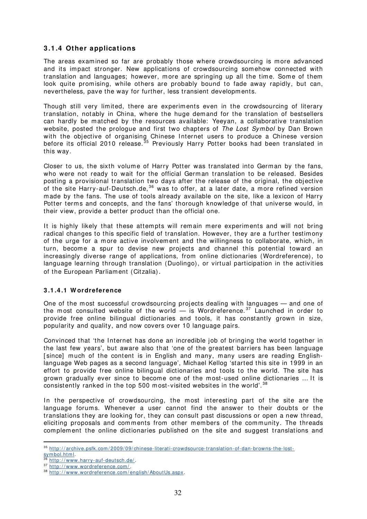#### <span id="page-33-0"></span>**3 .1 .4 Other applications**

The areas examined so far are probably those where crowdsourcing is more advanced and its impact stronger. New applications of crowdsourcing som ehow connected with translation and languages; however, more are springing up all the time. Some of them look quite promising, while others are probably bound to fade away rapidly, but can, nevertheless, pave the way for further, less transient developm ents.

Though still very limited, there are experiments even in the crowdsourcing of literary translation, notably in China, where the huge dem and for the translation of bestsellers can hardly be m atched by the resources available: Yeeyan, a collaborative translation website, posted the prologue and first two chapters of The Lost Symbol by Dan Brown with the objective of organising Chinese Internet users to produce a Chinese version before its official 2010 release.<sup>[35](#page-33-2)</sup> Previously Harry Potter books had been translated in this way.

Closer to us, the sixth volume of Harry Potter was translated into German by the fans, who were not ready to wait for the official German translation to be released. Besides posting a provisional translation two days after the release of the original, the objective of the site Harry-auf-Deutsch.de,<sup>[36](#page-33-3)</sup> was to offer, at a later date, a more refined version made by the fans. The use of tools already available on the site, like a lexicon of Harry Potter terms and concepts, and the fans' thorough knowledge of that universe would, in their view, provide a better product than the official one.

It is highly likely that these attempts will remain mere experiments and will not bring radical changes to this specific field of translation. However, they are a further testimony of the urge for a more active involvement and the willingness to collaborate, which, in turn, become a spur to devise new projects and channel this potential toward an increasingly diverse range of applications, from online dictionaries (Wordreference), to language learning through translation (Duolingo), or virtual participation in the activities of the European Parliament (Citzalia).

#### <span id="page-33-1"></span>**3 .1 .4 .1 W ordreference**

One of the most successful crowdsourcing projects dealing with languages – and one of the most consulted website of the world  $-$  is Wordreference.<sup>[37](#page-33-4)</sup> Launched in order to provide free online bilingual dictionaries and tools, it has constantly grown in size, popularity and quality, and now covers over 10 language pairs.

Convinced that 'the Internet has done an incredible job of bringing the world together in the last few years', but aware also that 'one of the greatest barriers has been language [since] much of the content is in English and many, many users are reading Englishlanguage Web pages as a second language', Michael Kellog 'started this site in 1999 in an effort to provide free online bilingual dictionaries and tools to the world. The site has grown gradually ever since to become one of the most-used online dictionaries ... It is consistently ranked in the top 500 most-visited websites in the world'.<sup>[38](#page-33-5)</sup>

In the perspective of crowdsourcing, the most interesting part of the site are the language forums. Whenever a user cannot find the answer to their doubts or the translations they are looking for, they can consult past discussions or open a new thread, eliciting proposals and comments from other members of the community. The threads complement the online dictionaries published on the site and suggest translations and

<span id="page-33-2"></span><sup>35</sup> http://archive.psfk.com/2009/09/chinese-literati-crowdsource-translation-of-dan-browns-the-lost[symbol.html.](http://archive.psfk.com/2009/09/chinese-literati-crowdsource-translation-of-dan-browns-the-lost-symbol.html)

<span id="page-33-3"></span>http://www.harry-auf-deutsch.de/.

<span id="page-33-4"></span><sup>37</sup> http://www.wordreference.com/

<span id="page-33-5"></span><sup>38</sup> [http: / / www.wordreference.com/ english/ AboutUs.aspx](http://www.wordreference.com/english/AboutUs.aspx).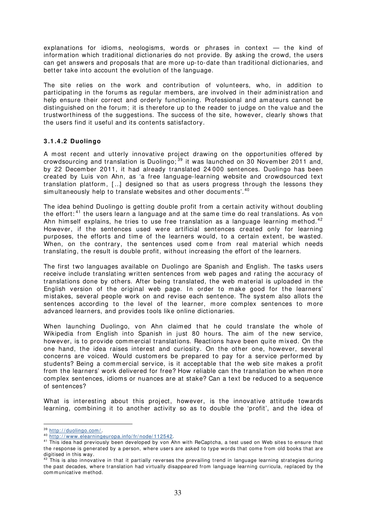explanations for idioms, neologisms, words or phrases in context — the kind of information which traditional dictionaries do not provide. By asking the crowd, the users can get answers and proposals that are m ore up-to-date than traditional dictionaries, and better take into account the evolution of the language.

The site relies on the work and contribution of volunteers, who, in addition to participating in the forums as regular members, are involved in their administration and help ensure their correct and orderly functioning. Professional and amateurs cannot be distinguished on the forum; it is therefore up to the reader to judge on the value and the trustworthiness of the suggestions. The success of the site, however, clearly shows that the users find it useful and its contents satisfactory.

#### <span id="page-34-0"></span>**3 .1 .4 .2 Duolingo**

A m ost recent and utterly innovative project drawing on the opportunities offered by crowdsourcing and translation is Duolingo;  $39$  it was launched on 30 November 2011 and, by 22 Decem ber 2011, it had already translated 24 000 sentences. Duolingo has been created by Luis von Ahn, as 'a free language-learning website and crowdsourced text translation platform,  $[...]$  designed so that as users progress through the lessons they simultaneously help to translate websites and other documents'.  $^{40}$  $^{40}$  $^{40}$ 

The idea behind Duolingo is getting double profit from a certain activity without doubling the effort:<sup>[41](#page-34-3)</sup> the users learn a language and at the same time do real translations. As von Ahn himself explains, he tries to use free translation as a language learning method.<sup>[42](#page-34-4)</sup> However, if the sentences used were artificial sentences created only for learning purposes, the efforts and time of the learners would, to a certain extent, be wasted. When, on the contrary, the sentences used come from real material which needs translating, the result is double profit, without increasing the effort of the learners.

The first two languages available on Duolingo are Spanish and English. The tasks users receive include translating written sentences from web pages and rating the accuracy of translations done by others. After being translated, the web m aterial is uploaded in the English version of the original web page. In order to make good for the learners' mistakes, several people work on and revise each sentence. The system also allots the sentences according to the level of the learner, more complex sentences to more advanced learners, and provides tools like online dictionaries.

When launching Duolingo, von Ahn claim ed that he could translate the whole of Wikipedia from English into Spanish in just 80 hours. The aim of the new service, however, is to provide commercial translations. Reactions have been quite mixed. On the one hand, the idea raises interest and curiosity. On the other one, however, several concerns are voiced. Would customers be prepared to pay for a service performed by students? Being a com mercial service, is it acceptable that the web site makes a profit from the learners' work delivered for free? How reliable can the translation be when more com plex sentences, idiom s or nuances are at stake? Can a text be reduced to a sequence of sentences?

What is interesting about this project, however, is the innovative attitude towards learning, combining it to another activity so as to double the 'profit', and the idea of

<span id="page-34-1"></span><sup>39</sup> http://duolingo.com/

<span id="page-34-2"></span><sup>40</sup> [http: / / www.elearningeuropa.info/ fr/ node/ 112542](http://www.elearningeuropa.info/fr/node/112542).

<span id="page-34-3"></span><sup>&</sup>lt;sup>41</sup> This idea had previously been developed by von Ahn with ReCaptcha, a test used on Web sites to ensure that the response is generated by a person, where users are asked to type words that come from old books that are digitised in this way.

<span id="page-34-4"></span> $42$  This is also innovative in that it partially reverses the prevailing trend in language learning strategies during the past decades, where translation had virtually disappeared from language learning curricula, replaced by the com municative m ethod.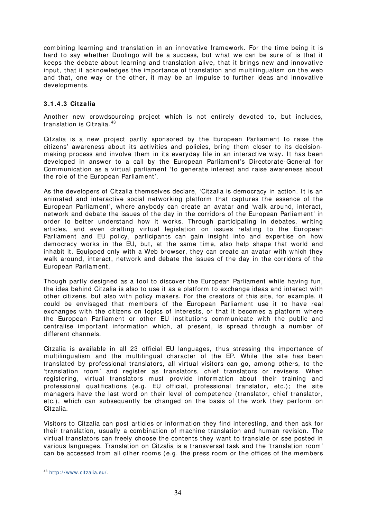combining learning and translation in an innovative framework. For the time being it is hard to say whether Duolingo will be a success, but what we can be sure of is that it keeps the debate about learning and translation alive, that it brings new and innovative input, that it acknowledges the importance of translation and multilingualism on the web and that, one way or the other, it may be an impulse to further ideas and innovative developments.

#### <span id="page-35-0"></span>**3 .1 .4 .3 Citzalia**

Another new crowdsourcing project which is not entirely devoted to, but includes, translation is Citzalia. [43](#page-35-1)

Citzalia is a new project partly sponsored by the European Parliam ent to raise the citizens' awareness about its activities and policies, bring them closer to its decisionmaking process and involve them in its everyday life in an interactive way. It has been developed in answer to a call by the European Parliament's Directorate-General for Communication as a virtual parliament 'to generate interest and raise awareness about the role of the European Parliam ent'.

As the developers of Citzalia themselves declare, 'Citzalia is democracy in action. It is an animated and interactive social networking platform that captures the essence of the European Parliam ent', where anybody can create an avatar and 'walk around, interact, network and debate the issues of the day in the corridors of the European Parliament' in order to better understand how it works. Through participating in debates, writing articles, and even drafting virtual legislation on issues relating to the European Parliam ent and EU policy, participants can gain insight into and expertise on how dem ocracy works in the EU, but, at the same time, also help shape that world and inhabit it. Equipped only with a Web browser, they can create an avatar with which they walk around, interact, network and debate the issues of the day in the corridors of the European Parliam ent.

Though partly designed as a tool to discover the European Parliament while having fun. the idea behind Citzalia is also to use it as a platform to exchange ideas and interact with other citizens, but also with policy m akers. For the creators of this site, for exam ple, it could be envisaged that members of the European Parliament use it to have real exchanges with the citizens on topics of interests, or that it becomes a platform where the European Parliament or other EU institutions communicate with the public and centralise important information which, at present, is spread through a number of different channels.

Citzalia is available in all 23 official EU languages, thus stressing the importance of multilingualism and the multilingual character of the EP. While the site has been translated by professional translators, all virtual visitors can go, am ong others, to the 'translation room' and register as translators, chief translators or revisers. When registering, virtual translators must provide information about their training and professional qualifications (e.g. EU official, professional translator, etc.); the site m anagers have the last word on their level of com petence (translator, chief translator, etc.), which can subsequently be changed on the basis of the work they perform on Citzalia.

Visitors to Citzalia can post articles or inform ation they find interesting, and then ask for their translation, usually a combination of machine translation and hum an revision. The virtual translators can freely choose the contents they want to translate or see posted in various languages. Translation on Citzalia is a transversal task and the 'translation room' can be accessed from all other rooms (e.g. the press room or the offices of the members

<span id="page-35-1"></span><sup>43</sup> http://www.citzalia.eu/.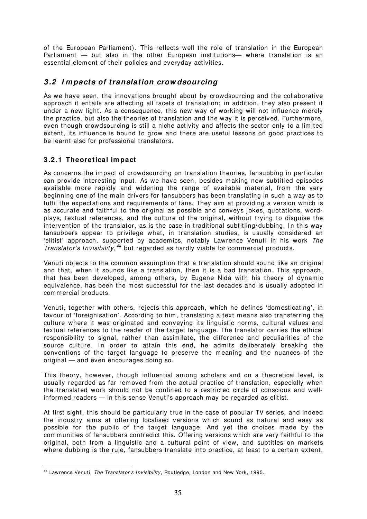of the European Parliament). This reflects well the role of translation in the European Parliam ent — but also in the other European institutions— where translation is an essential element of their policies and everyday activities.

# **3 .2 I m pacts of translation crow dsourcing**

As we have seen, the innovations brought about by crowdsourcing and the collaborative approach it entails are affecting all facets of translation; in addition, they also present it under a new light. As a consequence, this new way of working will not influence m erely the practice, but also the theories of translation and the way it is perceived. Furthermore, even though crowdsourcing is still a niche activity and affects the sector only to a limited extent, its influence is bound to grow and there are useful lessons on good practices to be learnt also for professional translators.

# **3 .2 .1 Theoretical im pact**

 $\overline{a}$ 

As concerns the impact of crowdsourcing on translation theories, fansubbing in particular can provide interesting input. As we have seen, besides making new subtitled episodes available more rapidly and widening the range of available material, from the very beginning one of the main drivers for fansubbers has been translating in such a way as to fulfil the expectations and requirements of fans. They aim at providing a version which is as accurate and faithful to the original as possible and conveys jokes, quotations, wordplays, textual references, and the culture of the original, without trying to disguise the intervention of the translator, as is the case in traditional subtitling/dubbing. In this way fansubbers appear to privilege what, in translation studies, is usually considered an 'elitist' approach, supported by academ ics, notably Lawrence Venuti in his work The Translator's Invisibility,  $44$  but regarded as hardly viable for commercial products.

Venuti objects to the common assumption that a translation should sound like an original and that, when it sounds like a translation, then it is a bad translation. This approach, that has been developed, am ong others, by Eugene Nida with his theory of dynam ic equivalence, has been the most successful for the last decades and is usually adopted in commercial products.

Venuti, together with others, rejects this approach, which he defines 'domesticating', in favour of 'foreignisation'. According to him, translating a text means also transferring the culture where it was originated and conveying its linguistic norms, cultural values and textual references to the reader of the target language. The translator carries the ethical responsibility to signal, rather than assim ilate, the difference and peculiarities of the source culture. In order to attain this end, he admits deliberately breaking the conventions of the target language to preserve the meaning and the nuances of the original — and even encourages doing so.

This theory, however, though influential among scholars and on a theoretical level, is usually regarded as far removed from the actual practice of translation, especially when the translated work should not be confined to a restricted circle of conscious and wellinformed readers — in this sense Venuti's approach may be regarded as elitist.

At first sight, this should be particularly true in the case of popular TV series, and indeed the industry aims at offering localised versions which sound as natural and easy as possible for the public of the target language. And yet the choices m ade by the communities of fansubbers contradict this. Offering versions which are very faithful to the original, both from a linguistic and a cultural point of view, and subtitles on markets where dubbing is the rule, fansubbers translate into practice, at least to a certain extent,

<span id="page-36-0"></span><sup>44</sup> Lawrence Venuti, The Translator's Invisibility, Routledge, London and New York, 1995.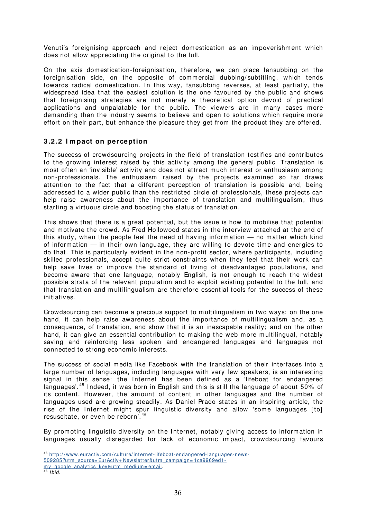Venuti's foreignising approach and reject domestication as an impoverishment which does not allow appreciating the original to the full.

On the axis domestication-foreignisation, therefore, we can place fansubbing on the foreignisation side, on the opposite of commercial dubbing/ subtitling, which tends towards radical domestication. In this way, fansubbing reverses, at least partially, the widespread idea that the easiest solution is the one favoured by the public and shows that foreignising strategies are not m erely a theoretical option devoid of practical applications and unpalatable for the public. The viewers are in many cases more demanding than the industry seems to believe and open to solutions which require more effort on their part, but enhance the pleasure they get from the product they are offered.

# **3 .2 .2 I m pact on perception**

The success of crowdsourcing projects in the field of translation testifies and contributes to the growing interest raised by this activity among the general public. Translation is most often an 'invisible' activity and does not attract much interest or enthusiasm among non-professionals. The enthusiasm raised by the projects exam ined so far draws attention to the fact that a different perception of translation is possible and, being addressed to a wider public than the restricted circle of professionals, these projects can help raise awareness about the importance of translation and multilingualism, thus starting a virtuous circle and boosting the status of translation.

This shows that there is a great potential, but the issue is how to mobilise that potential and motivate the crowd. As Fred Hollowood states in the interview attached at the end of this study, when the people feel the need of having information — no m atter which kind of information — in their own language, they are willing to devote time and energies to do that. This is particularly evident in the non-profit sector, where participants, including skilled professionals, accept quite strict constraints when they feel that their work can help save lives or improve the standard of living of disadvantaged populations, and becom e aware that one language, notably English, is not enough to reach the widest possible strata of the relevant population and to exploit existing potential to the full, and that translation and multilingualism are therefore essential tools for the success of these initiatives.

Crowdsourcing can become a precious support to multilingualism in two ways: on the one hand, it can help raise awareness about the importance of multilingualism and, as a consequence, of translation, and show that it is an inescapable reality; and on the other hand, it can give an essential contribution to making the web more multilingual, notably saving and reinforcing less spoken and endangered languages and languages not connected to strong econom ic interests.

The success of social media like Facebook with the translation of their interfaces into a large number of languages, including languages with very few speakers, is an interesting signal in this sense: the Internet has been defined as a 'lifeboat for endangered languages'.<sup>[45](#page-37-0)</sup> Indeed, it was born in English and this is still the language of about 50% of its content. However, the amount of content in other languages and the number of languages used are growing steadily. As Daniel Prado states in an inspiring article, the rise of the Internet might spur linguistic diversity and allow 'some languages [to] resuscitate, or even be reborn'. [46](#page-37-1)

By promoting linguistic diversity on the Internet, notably giving access to information in languages usually disregarded for lack of economic impact, crowdsourcing favours  $\overline{a}$ 

<span id="page-37-0"></span><sup>45</sup> [http: / / www.euractiv.com / culture/ internet-lifeboat-endangered-languages-news-](http://www.euractiv.com/culture/internet-lifeboat-endangered-languages-news-509285?utm_source=EurActiv+Newsletter&utm_campaign=1ca9969ed1-my_google_analytics_key&utm_medium=email)

[<sup>509285?</sup>utm\\_source= EurActiv+ Newsletter&utm\\_campaign=](http://www.euractiv.com/culture/internet-lifeboat-endangered-languages-news-509285?utm_source=EurActiv+Newsletter&utm_campaign=1ca9969ed1-my_google_analytics_key&utm_medium=email) 1ca9969ed1-

<span id="page-37-1"></span>my\_google\_analytics\_key&utm\_medium= email.

 $46$  I hid.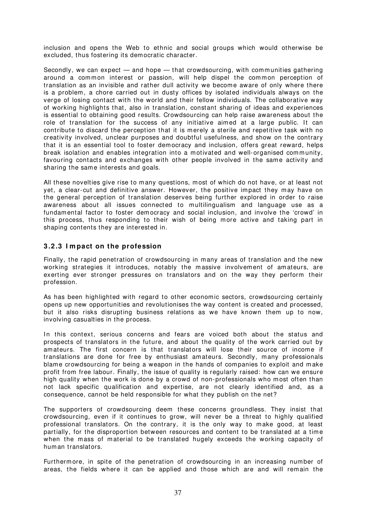inclusion and opens the Web to ethnic and social groups which would otherwise be excluded, thus fostering its dem ocratic character.

Secondly, we can expect  $-$  and hope  $-$  that crowdsourcing, with communities gathering around a common interest or passion, will help dispel the common perception of translation as an invisible and rather dull activity we become aware of only where there is a problem, a chore carried out in dusty offices by isolated individuals always on the verge of losing contact with the world and their fellow individuals. The collaborative way of working highlights that, also in translation, constant sharing of ideas and experiences is essential to obtaining good results. Crowdsourcing can help raise awareness about the role of translation for the success of any initiative aimed at a large public. It can contribute to discard the perception that it is m erely a sterile and repetitive task with no creativity involved, unclear purposes and doubtful usefulness, and show on the contrary that it is an essential tool to foster democracy and inclusion, offers great reward, helps break isolation and enables integration into a motivated and well-organised com munity, favouring contacts and exchanges with other people involved in the same activity and sharing the same interests and goals.

All these novelties give rise to many questions, most of which do not have, or at least not yet, a clear-cut and definitive answer. However, the positive impact they may have on the general perception of translation deserves being further explored in order to raise awareness about all issues connected to multilingualism and language use as a fundamental factor to foster democracy and social inclusion, and involve the 'crowd' in this process, thus responding to their wish of being m ore active and taking part in shaping contents they are interested in.

# **3 .2 .3 I m pact on the profession**

Finally, the rapid penetration of crowdsourcing in many areas of translation and the new working strategies it introduces, notably the massive involvement of amateurs, are exerting ever stronger pressures on translators and on the way they perform their profession.

As has been highlighted with regard to other economic sectors, crowdsourcing certainly opens up new opportunities and revolutionises the way content is created and processed, but it also risks disrupting business relations as we have known them up to now, involving casualties in the process.

In this context, serious concerns and fears are voiced both about the status and prospects of translators in the future, and about the quality of the work carried out by amateurs. The first concern is that translators will lose their source of income if translations are done for free by enthusiast amateurs. Secondly, m any professionals blame crowdsourcing for being a weapon in the hands of com panies to exploit and m ake profit from free labour. Finally, the issue of quality is regularly raised: how can we ensure high quality when the work is done by a crowd of non-professionals who most often than not lack specific qualification and expertise, are not clearly identified and, as a consequence, cannot be held responsible for what they publish on the net?

The supporters of crowdsourcing deem these concerns groundless. They insist that crowdsourcing, even if it continues to grow, will never be a threat to highly qualified professional translators. On the contrary, it is the only way to make good, at least partially, for the disproportion between resources and content to be translated at a time when the mass of material to be translated hugely exceeds the working capacity of hum an translators.

Furtherm ore, in spite of the penetration of crowdsourcing in an increasing number of areas, the fields where it can be applied and those which are and will remain the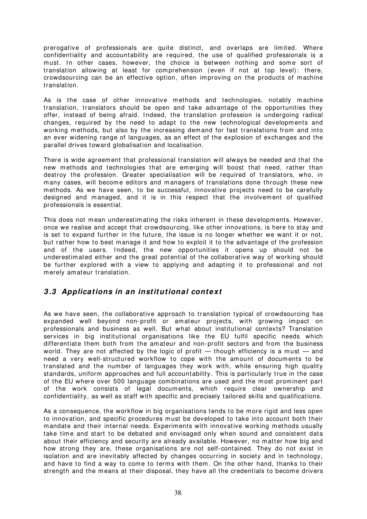prerogative of professionals are quite distinct, and overlaps are limited. Where confidentiality and accountability are required, the use of qualified professionals is a must. In other cases, however, the choice is between nothing and some sort of translation allowing at least for comprehension (even if not at top level): there, crowdsourcing can be an effective option, often improving on the products of machine translation.

As is the case of other innovative m ethods and technologies, notably m achine translation, translators should be open and take advantage of the opportunities they offer, instead of being afraid. I ndeed, the translation profession is undergoing radical changes, required by the need to adapt to the new technological developments and working methods, but also by the increasing demand for fast translations from and into an ever widening range of languages, as an effect of the explosion of exchanges and the parallel drives toward globalisation and localisation.

There is wide agreement that professional translation will always be needed and that the new methods and technologies that are em erging will boost that need, rather than destroy the profession. Greater specialisation will be required of translators, who, in many cases, will become editors and managers of translations done through these new methods. As we have seen, to be successful, innovative projects need to be carefully designed and managed, and it is in this respect that the involvement of qualified professionals is essential.

This does not mean underestimating the risks inherent in these developments. However, once we realise and accept that crowdsourcing, like other innovations, is here to stay and is set to expand further in the future, the issue is no longer whether we want it or not, but rather how to best m anage it and how to exploit it to the advantage of the profession and of the users. Indeed, the new opportunities it opens up should not be underestim ated either and the great potential of the collaborative way of working should be further explored with a view to applying and adapting it to professional and not m erely am ateur translation.

# **3 .3 Applications in an institutional context**

As we have seen, the collaborative approach to translation typical of crowdsourcing has expanded well beyond non-profit or amateur projects, with growing impact on professionals and business as well. But what about institutional contexts? Translation services in big institutional organisations like the EU fulfil specific needs which differentiate them both from the am ateur and non-profit sectors and from the business world. They are not affected by the logic of profit  $-$  though efficiency is a must  $-$  and need a very well-structured workflow to cope with the amount of documents to be translated and the num ber of languages they work with, while ensuring high quality standards, uniform approaches and full accountability. This is particularly true in the case of the EU where over 500 language com binations are used and the m ost prom inent part of the work consists of legal docum ents, which require clear ownership and confidentiality, as well as staff with specific and precisely tailored skills and qualifications.

As a consequence, the workflow in big organisations tends to be m ore rigid and less open to innovation, and specific procedures must be developed to take into account both their mandate and their internal needs. Experiments with innovative working m ethods usually take time and start to be debated and envisaged only when sound and consistent data about their efficiency and security are already available. However, no matter how big and how strong they are, these organisations are not self-contained. They do not exist in isolation and are inevitably affected by changes occurring in society and in technology, and have to find a way to come to terms with them. On the other hand, thanks to their strength and the means at their disposal, they have all the credentials to become drivers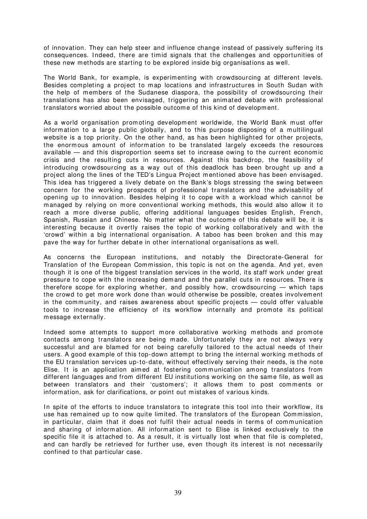of innovation. They can help steer and influence change instead of passively suffering its consequences. I ndeed, there are timid signals that the challenges and opportunities of these new m ethods are starting to be explored inside big organisations as well.

The World Bank, for example, is experimenting with crowdsourcing at different levels. Besides completing a project to map locations and infrastructures in South Sudan with the help of members of the Sudanese diaspora, the possibility of crowdsourcing their translations has also been envisaged, triggering an animated debate with professional translators worried about the possible outcome of this kind of development.

As a world organisation promoting developm ent worldwide, the World Bank must offer information to a large public globally, and to this purpose disposing of a multilingual website is a top priority. On the other hand, as has been highlighted for other projects, the enormous amount of information to be translated largely exceeds the resources available — and this disproportion seems set to increase owing to the current economic crisis and the resulting cuts in resources. Against this backdrop, the feasibility of introducing crowdsourcing as a way out of this deadlock has been brought up and a project along the lines of the TED's Lingua Project mentioned above has been envisaged. This idea has triggered a lively debate on the Bank's blogs stressing the swing between concern for the working prospects of professional translators and the advisability of opening up to innovation. Besides helping it to cope with a workload which cannot be managed by relying on more conventional working methods, this would also allow it to reach a m ore diverse public, offering additional languages besides English, French, Spanish, Russian and Chinese. No m atter what the outcome of this debate will be, it is interesting because it overtly raises the topic of working collaboratively and with the 'crowd' within a big international organisation. A taboo has been broken and this m ay pave the way for further debate in other international organisations as well.

As concerns the European institutions, and notably the Directorate-General for Translation of the European Com mission, this topic is not on the agenda. And yet, even though it is one of the biggest translation services in the world, its staff work under great pressure to cope with the increasing demand and the parallel cuts in resources. There is therefore scope for exploring whether, and possibly how, crowdsourcing — which taps the crowd to get m ore work done than would otherwise be possible, creates involvement in the community, and raises awareness about specific projects  $-$  could offer valuable tools to increase the efficiency of its workflow internally and promote its political m essage externally.

Indeed some attempts to support more collaborative working methods and promote contacts among translators are being made. Unfortunately they are not always very successful and are blamed for not being carefully tailored to the actual needs of their users. A good exam ple of this top-down attempt to bring the internal working m ethods of the EU translation services up-to-date, without effectively serving their needs, is the note Elise. It is an application aimed at fostering communication among translators from different languages and from different EU institutions working on the same file, as well as between translators and their 'customers'; it allows them to post comments or information, ask for clarifications, or point out mistakes of various kinds.

In spite of the efforts to induce translators to integrate this tool into their workflow, its use has rem ained up to now quite lim ited. The translators of the European Commission, in particular, claim that it does not fulfil their actual needs in terms of communication and sharing of information. All information sent to Elise is linked exclusively to the specific file it is attached to. As a result, it is virtually lost when that file is completed, and can hardly be retrieved for further use, even though its interest is not necessarily confined to that particular case.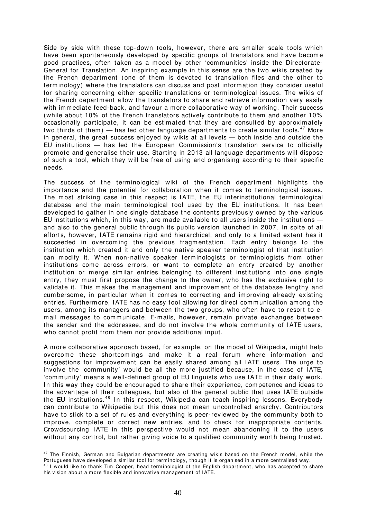Side by side with these top-down tools, however, there are sm aller scale tools which have been spontaneously developed by specific groups of translators and have become good practices, often taken as a model by other 'com munities' inside the Directorate-General for Translation. An inspiring example in this sense are the two wikis created by the French department (one of them is devoted to translation files and the other to term inology) where the translators can discuss and post inform ation they consider useful for sharing concerning either specific translations or terminological issues. The wikis of the French department allow the translators to share and retrieve information very easily with immediate feed-back, and favour a more collaborative way of working. Their success (while about 10% of the French translators actively contribute to them and another 10% occasionally participate, it can be estimated that they are consulted by approxim ately two thirds of them) — has led other language departments to create similar tools.<sup>[47](#page-41-0)</sup> More in general, the great success enjoyed by wikis at all levels — both inside and outside the EU institutions  $-$  has led the European Commission's translation service to officially promote and generalise their use. Starting in 2013 all language departm ents will dispose of such a tool, which they will be free of using and organising according to their specific needs.

The success of the terminological wiki of the French department highlights the importance and the potential for collaboration when it comes to terminological issues. The most striking case in this respect is IATE, the EU interinstitutional terminological database and the main terminological tool used by the EU institutions. It has been developed to gather in one single database the contents previously owned by the various EU institutions which, in this way, are made available to all users inside the institutions and also to the general public through its public version launched in 2007. In spite of all efforts, however, I ATE remains rigid and hierarchical, and only to a limited extent has it succeeded in overcoming the previous fragmentation. Each entry belongs to the institution which created it and only the native speaker terminologist of that institution can m odify it. When non-native speaker terminologists or terminologists from other institutions come across errors, or want to complete an entry created by another institution or merge similar entries belonging to different institutions into one single entry, they must first propose the change to the owner, who has the exclusive right to validate it. This makes the management and improvem ent of the database lengthy and cumbersome, in particular when it comes to correcting and improving already existing entries. Furthermore, IATE has no easy tool allowing for direct communication among the users, am ong its m anagers and between the two groups, who often have to resort to em ail m essages to com municate. E-mails, however, remain private exchanges between the sender and the addressee, and do not involve the whole comm unity of I ATE users, who cannot profit from them nor provide additional input.

A m ore collaborative approach based, for example, on the m odel of Wikipedia, might help overcome these shortcomings and make it a real forum where information and suggestions for improvement can be easily shared among all IATE users. The urge to involve the 'community' would be all the more justified because, in the case of IATE, 'community' means a well-defined group of EU linguists who use IATE in their daily work. In this way they could be encouraged to share their experience, competence and ideas to the advantage of their colleagues, but also of the general public that uses I ATE outside the EU institutions.<sup>[48](#page-41-1)</sup> In this respect, Wikipedia can teach inspiring lessons. Everybody can contribute to Wikipedia but this does not mean uncontrolled anarchy. Contributors have to stick to a set of rules and everything is peer-reviewed by the community both to im prove, com plete or correct new entries, and to check for inappropriate contents. Crowdsourcing IATE in this perspective would not mean abandoning it to the users without any control, but rather giving voice to a qualified community worth being trusted.

 $\overline{a}$ 

<span id="page-41-1"></span><span id="page-41-0"></span><sup>&</sup>lt;sup>47</sup> The Finnish, German and Bulgarian departments are creating wikis based on the French model, while the Portuguese have developed a similar tool for terminology, though it is organised in a more centralised way. 48 I would like to thank Tim Cooper, head terminologist of the English department, who has accepted to share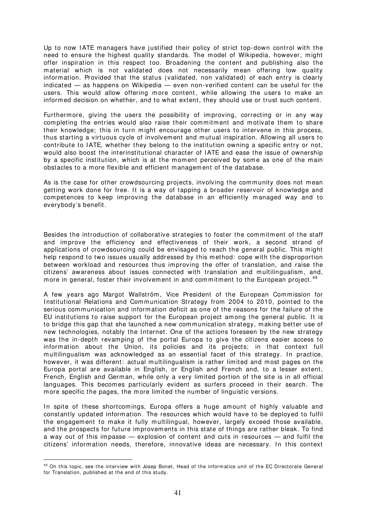Up to now IATE managers have justified their policy of strict top-down control with the need to ensure the highest quality standards. The model of Wikipedia, however, m ight offer inspiration in this respect too. Broadening the content and publishing also the material which is not validated does not necessarily mean offering low quality information. Provided that the status (validated, non validated) of each entry is clearly indicated — as happens on Wikipedia — even non-verified content can be useful for the users. This would allow offering more content, while allowing the users to make an inform ed decision on whether, and to what extent, they should use or trust such content.

Furtherm ore, giving the users the possibility of improving, correcting or in any way completing the entries would also raise their commitment and motivate them to share their knowledge; this in turn might encourage other users to intervene in this process, thus starting a virtuous cycle of involvement and mutual inspiration. Allowing all users to contribute to IATE, whether they belong to the institution owning a specific entry or not, would also boost the interinstitutional character of I ATE and ease the issue of ownership by a specific institution, which is at the moment perceived by some as one of the main obstacles to a m ore flexible and efficient m anagem ent of the database.

As is the case for other crowdsourcing projects, involving the community does not mean getting work done for free. It is a way of tapping a broader reservoir of knowledge and competences to keep improving the database in an efficiently m anaged way and to everybody's benefit.

Besides the introduction of collaborative strategies to foster the commitment of the staff and im prove the efficiency and effectiveness of their work, a second strand of applications of crowdsourcing could be envisaged to reach the general public. This might help respond to two issues usually addressed by this m ethod: cope with the disproportion between workload and resources thus improving the offer of translation, and raise the citizens' awareness about issues connected with translation and multilingualism, and, more in general, foster their involvement in and commitment to the European project.<sup>[49](#page-42-0)</sup>

A few years ago Margot Wallström, Vice President of the European Commission for Institutional Relations and Communication Strategy from 2004 to 2010, pointed to the serious communication and information deficit as one of the reasons for the failure of the EU institutions to raise support for the European project among the general public. It is to bridge this gap that she launched a new communication strategy, making better use of new technologies, notably the Internet. One of the actions foreseen by the new strategy was the in-depth revamping of the portal Europa to give the citizens easier access to information about the Union, its policies and its projects; in that context full multilingualism was acknowledged as an essential facet of this strategy. In practice, however, it was different: actual multilingualism is rather limited and most pages on the Europa portal are available in English, or English and French and, to a lesser extent, French, English and German, while only a very lim ited portion of the site is in all official languages. This becomes particularly evident as surfers proceed in their search. The more specific the pages, the more lim ited the number of linguistic versions.

In spite of these shortcomings, Europa offers a huge amount of highly valuable and constantly updated information. The resources which would have to be deployed to fulfil the engagement to make it fully multilingual, however, largely exceed those available, and the prospects for future im provem ents in this state of things are rather bleak. To find a way out of this im passe — explosion of content and cuts in resources — and fulfil the citizens' information needs, therefore, innovative ideas are necessary. In this context

 $\overline{a}$ 

<span id="page-42-0"></span><sup>49</sup> On this topic, see the interview with Josep Bonet, Head of the informatics unit of the EC Directorate General for Translation, published at the end of this study.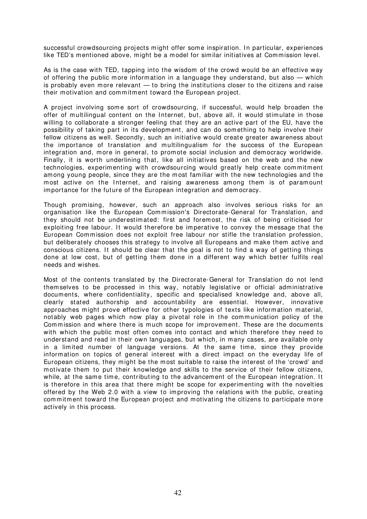successful crowdsourcing projects might offer some inspiration. In particular, experiences like TED's mentioned above, might be a model for similar initiatives at Commission level.

As is the case with TED, tapping into the wisdom of the crowd would be an effective way of offering the public more information in a language they understand, but also — which is probably even more relevant — to bring the institutions closer to the citizens and raise their motivation and commitment toward the European project.

A project involving some sort of crowdsourcing, if successful, would help broaden the offer of multilingual content on the Internet, but, above all, it would stimulate in those willing to collaborate a stronger feeling that they are an active part of the EU, have the possibility of taking part in its developm ent, and can do som ething to help involve their fellow citizens as well. Secondly, such an initiative would create greater awareness about the importance of translation and multilingualism for the success of the European integration and, m ore in general, to prom ote social inclusion and dem ocracy worldwide. Finally, it is worth underlining that, like all initiatives based on the web and the new technologies, experimenting with crowdsourcing would greatly help create commitment am ong young people, since they are the most fam iliar with the new technologies and the most active on the Internet, and raising awareness among them is of paramount importance for the future of the European integration and dem ocracy.

Though promising, however, such an approach also involves serious risks for an organisation like the European Com mission's Directorate-General for Translation, and they should not be underestimated: first and foremost, the risk of being criticised for exploiting free labour. It would therefore be imperative to convey the message that the European Commission does not exploit free labour nor stifle the translation profession, but deliberately chooses this strategy to involve all Europeans and make them active and conscious citizens. It should be clear that the goal is not to find a way of getting things done at low cost, but of getting them done in a different way which better fulfils real needs and wishes.

Most of the contents translated by the Directorate-General for Translation do not lend themselves to be processed in this way, notably legislative or official administrative documents, where confidentiality, specific and specialised knowledge and, above all, clearly stated authorship and accountability are essential. However, innovative approaches m ight prove effective for other typologies of texts like information material, notably web pages which now play a pivotal role in the communication policy of the Commission and where there is much scope for improvement. These are the documents with which the public most often comes into contact and which therefore they need to understand and read in their own languages, but which, in many cases, are available only in a limited number of language versions. At the same time, since they provide information on topics of general interest with a direct im pact on the everyday life of European citizens, they might be the most suitable to raise the interest of the 'crowd' and m otivate them to put their knowledge and skills to the service of their fellow citizens, while, at the same time, contributing to the advancement of the European integration. It is therefore in this area that there might be scope for experimenting with the novelties offered by the Web 2.0 with a view to improving the relations with the public, creating commitment toward the European project and motivating the citizens to participate more actively in this process.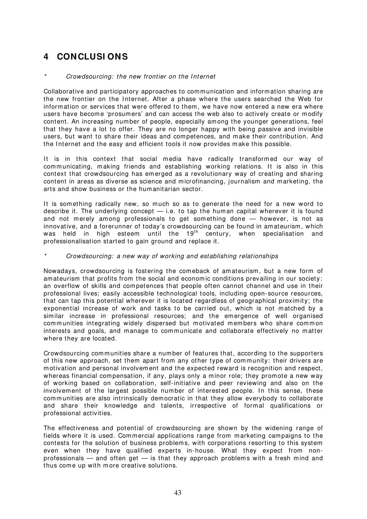# **4 CONCLUSI ONS**

# Crowdsourcing: the new frontier on the Internet

Collaborative and participatory approaches to communication and information sharing are the new frontier on the Internet. After a phase where the users searched the Web for inform ation or services that were offered to them , we have now entered a new era where users have become 'prosumers' and can access the web also to actively create or modify content. An increasing num ber of people, especially among the younger generations, feel that they have a lot to offer. They are no longer happy with being passive and invisible users, but want to share their ideas and competences, and m ake their contribution. And the Internet and the easy and efficient tools it now provides make this possible.

It is in this context that social media have radically transformed our way of communicating, making friends and establishing working relations. It is also in this context that crowdsourcing has em erged as a revolutionary way of creating and sharing content in areas as diverse as science and microfinancing, journalism and marketing, the arts and show business or the humanitarian sector.

It is something radically new, so much so as to generate the need for a new word to describe it. The underlying concept — i.e. to tap the human capital wherever it is found and not merely among professionals to get something done - however, is not as innovative, and a forerunner of today's crowdsourcing can be found in am ateurism , which was held in high esteem until the 19<sup>th</sup> century, when specialisation and professionalisation started to gain ground and replace it.

# Crowdsourcing: a new way of working and establishing relationships

Nowadays, crowdsourcing is fostering the comeback of amateurism, but a new form of amateurism that profits from the social and economic conditions prevailing in our society: an overflow of skills and competences that people often cannot channel and use in their professional lives; easily accessible technological tools, including open-source resources, that can tap this potential wherever it is located regardless of geographical proximity; the exponential increase of work and tasks to be carried out, which is not matched by a similar increase in professional resources; and the emergence of well organised communities integrating widely dispersed but motivated members who share common interests and goals, and manage to communicate and collaborate effectively no matter where they are located.

Crowdsourcing communities share a number of features that, according to the supporters of this new approach, set them apart from any other type of community: their drivers are m otivation and personal involvem ent and the expected reward is recognition and respect, whereas financial compensation, if any, plays only a minor role; they promote a new way of working based on collaboration, self-initiative and peer reviewing and also on the involvement of the largest possible number of interested people. In this sense, these communities are also intrinsically democratic in that they allow everybody to collaborate and share their knowledge and talents, irrespective of formal qualifications or professional activities.

The effectiveness and potential of crowdsourcing are shown by the widening range of fields where it is used. Commercial applications range from marketing campaigns to the contests for the solution of business problem s, with corporations resorting to this system even when they have qualified experts in-house. What they expect from nonprofessionals  $-$  and often get  $-$  is that they approach problems with a fresh mind and thus come up with more creative solutions.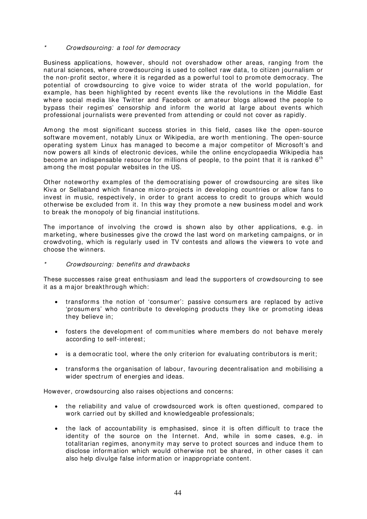# Crowdsourcing: a tool for democracy

Business applications, however, should not overshadow other areas, ranging from the natural sciences, where crowdsourcing is used to collect raw data, to citizen journalism or the non-profit sector, where it is regarded as a powerful tool to promote democracy. The potential of crowdsourcing to give voice to wider strata of the world population, for example, has been highlighted by recent events like the revolutions in the Middle East where social media like Twitter and Facebook or amateur blogs allowed the people to bypass their regimes' censorship and inform the world at large about events which professional journalists were prevented from attending or could not cover as rapidly.

Among the most significant success stories in this field, cases like the open-source software movement, notably Linux or Wikipedia, are worth mentioning. The open-source operating system Linux has managed to become a major competitor of Microsoft's and now powers all kinds of electronic devices, while the online encyclopaedia Wikipedia has become an indispensable resource for millions of people, to the point that it is ranked  $6<sup>th</sup>$ am ong the m ost popular websites in the US.

Other noteworthy examples of the democratising power of crowdsourcing are sites like Kiva or Sellaband which finance micro-projects in developing countries or allow fans to invest in music, respectively, in order to grant access to credit to groups which would otherwise be excluded from it. In this way they promote a new business model and work to break the monopoly of big financial institutions.

The importance of involving the crowd is shown also by other applications, e.g. in marketing, where businesses give the crowd the last word on marketing campaigns, or in crowdvoting, which is regularly used in TV contests and allows the viewers to vote and choose the winners.

# Crowdsourcing: benefits and drawbacks

These successes raise great enthusiasm and lead the supporters of crowdsourcing to see it as a major breakthrough which:

- transforms the notion of 'consumer': passive consumers are replaced by active 'prosum ers' who contribute to developing products they like or promoting ideas they believe in;
- fosters the development of communities where members do not behave merely according to self-interest;
- is a democratic tool, where the only criterion for evaluating contributors is merit;
- transform s the organisation of labour, favouring decentralisation and mobilising a wider spectrum of energies and ideas.

However, crowdsourcing also raises objections and concerns:

- the reliability and value of crowdsourced work is often questioned, compared to work carried out by skilled and knowledgeable professionals;
- the lack of accountability is emphasised, since it is often difficult to trace the identity of the source on the Internet. And, while in some cases, e.g. in totalitarian regimes, anonymity may serve to protect sources and induce them to disclose inform ation which would otherwise not be shared, in other cases it can also help divulge false information or inappropriate content.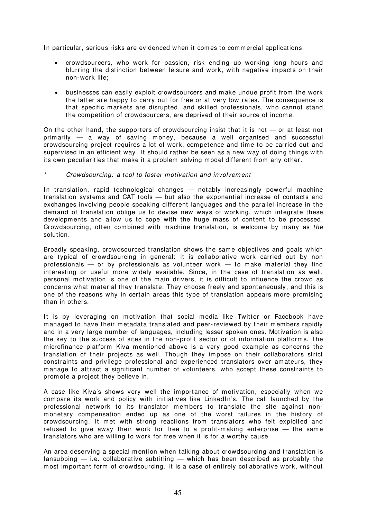In particular, serious risks are evidenced when it comes to commercial applications:

- crowdsourcers, who work for passion, risk ending up working long hours and blurring the distinction between leisure and work, with negative impacts on their non-work life;
- businesses can easily exploit crowdsourcers and m ake undue profit from the work the latter are happy to carry out for free or at very low rates. The consequence is that specific markets are disrupted, and skilled professionals, who cannot stand the com petition of crowdsourcers, are deprived of their source of incom e.

On the other hand, the supporters of crowdsourcing insist that it is not  $-$  or at least not primarily — a way of saving money, because a well organised and successful crowdsourcing project requires a lot of work, competence and time to be carried out and supervised in an efficient way. It should rather be seen as a new way of doing things with its own peculiarities that make it a problem solving model different from any other.

# Crowdsourcing: a tool to foster motivation and involvement

In translation, rapid technological changes  $-$  notably increasingly powerful machine translation system s and CAT tools — but also the exponential increase of contacts and exchanges involving people speaking different languages and the parallel increase in the demand of translation oblige us to devise new ways of working, which integrate these developments and allow us to cope with the huge mass of content to be processed. Crowdsourcing, often combined with machine translation, is welcome by many as the solution.

Broadly speaking, crowdsourced translation shows the same objectives and goals which are typical of crowdsourcing in general: it is collaborative work carried out by non professionals  $-$  or by professionals as volunteer work  $-$  to make material they find interesting or useful more widely available. Since, in the case of translation as well, personal motivation is one of the main drivers, it is difficult to influence the crowd as concerns what m aterial they translate. They choose freely and spontaneously, and this is one of the reasons why in certain areas this type of translation appears more promising than in others.

It is by leveraging on motivation that social media like Twitter or Facebook have m anaged to have their m etadata translated and peer-reviewed by their members rapidly and in a very large number of languages, including lesser spoken ones. Motivation is also the key to the success of sites in the non-profit sector or of information platforms. The microfinance platform Kiva mentioned above is a very good example as concerns the translation of their projects as well. Though they impose on their collaborators strict constraints and privilege professional and experienced translators over amateurs, they m anage to attract a significant number of volunteers, who accept these constraints to promote a project they believe in.

A case like Kiva's shows very well the im portance of m otivation, especially when we compare its work and policy with initiatives like LinkedIn's. The call launched by the professional network to its translator mem bers to translate the site against nonmonetary compensation ended up as one of the worst failures in the history of crowdsourcing. It met with strong reactions from translators who felt exploited and refused to give away their work for free to a profit-making enterprise  $-$  the same translators who are willing to work for free when it is for a worthy cause.

An area deserving a special mention when talking about crowdsourcing and translation is fansubbing — i.e. collaborative subtitling — which has been described as probably the most important form of crowdsourcing. It is a case of entirely collaborative work, without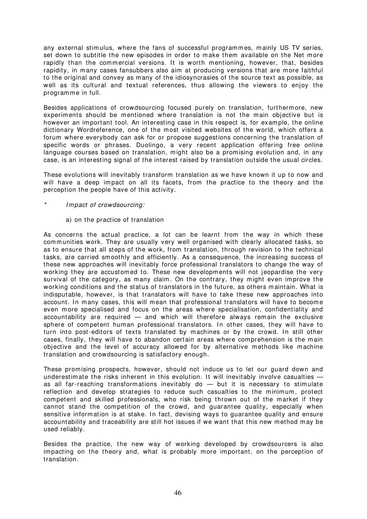any external stim ulus, where the fans of successful programmes, mainly US TV series, set down to subtitle the new episodes in order to make them available on the Net more rapidly than the commercial versions. It is worth mentioning, however, that, besides rapidity, in many cases fansubbers also aim at producing versions that are more faithful to the original and convey as many of the idiosyncrasies of the source text as possible, as well as its cultural and textual references, thus allowing the viewers to enjoy the programme in full.

Besides applications of crowdsourcing focused purely on translation, furthermore, new experiments should be mentioned where translation is not the main objective but is however an important tool. An interesting case in this respect is, for example, the online dictionary Wordreference, one of the m ost visited websites of the world, which offers a forum where everybody can ask for or propose suggestions concerning the translation of specific words or phrases. Duolingo, a very recent application offering free online language courses based on translation, might also be a promising evolution and, in any case, is an interesting signal of the interest raised by translation outside the usual circles.

These evolutions will inevitably transform translation as we have known it up to now and will have a deep impact on all its facets, from the practice to the theory and the perception the people have of this activity.

- I m pact of crowdsourcing:
	- a) on the practice of translation

As concerns the actual practice, a lot can be learnt from the way in which these communities work. They are usually very well organised with clearly allocated tasks, so as to ensure that all steps of the work, from translation, through revision to the technical tasks, are carried smoothly and efficiently. As a consequence, the increasing success of these new approaches will inevitably force professional translators to change the way of working they are accustomed to. These new developments will not jeopardise the very survival of the category, as many claim. On the contrary, they might even improve the working conditions and the status of translators in the future, as others maintain. What is indisputable, however, is that translators will have to take these new approaches into account. In many cases, this will mean that professional translators will have to become even more specialised and focus on the areas where specialisation, confidentiality and accountability are required — and which will therefore always remain the exclusive sphere of competent human professional translators. In other cases, they will have to turn into post-editors of texts translated by machines or by the crowd. In still other cases, finally, they will have to abandon certain areas where comprehension is the main objective and the level of accuracy allowed for by alternative methods like machine translation and crowdsourcing is satisfactory enough.

These promising prospects, however, should not induce us to let our guard down and underestimate the risks inherent in this evolution. It will inevitably involve casualties  $$ as all far-reaching transformations inevitably do — but it is necessary to stimulate reflection and develop strategies to reduce such casualties to the minimum, protect competent and skilled professionals, who risk being thrown out of the market if they cannot stand the com petition of the crowd, and guarantee quality, especially when sensitive information is at stake. In fact, devising ways to guarantee quality and ensure accountability and traceability are still hot issues if we want that this new method may be used reliably.

Besides the practice, the new way of working developed by crowdsourcers is also im pacting on the theory and, what is probably more im portant, on the perception of translation.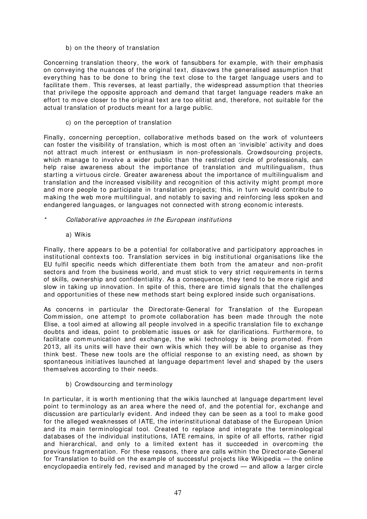b) on the theory of translation

Concerning translation theory, the work of fansubbers for example, with their emphasis on conveying the nuances of the original text, disavows the generalised assum ption that everything has to be done to bring the text close to the target language users and to facilitate them. This reverses, at least partially, the widespread assumption that theories that privilege the opposite approach and demand that target language readers m ake an effort to m ove closer to the original text are too elitist and, therefore, not suitable for the actual translation of products meant for a large public.

c) on the perception of translation

Finally, concerning perception, collaborative m ethods based on the work of volunteers can foster the visibility of translation, which is most often an 'invisible' activity and does not attract much interest or enthusiasm in non-professionals. Crowdsourcing projects, which manage to involve a wider public than the restricted circle of professionals, can help raise awareness about the importance of translation and multilingualism, thus starting a virtuous circle. Greater awareness about the importance of multilingualism and translation and the increased visibility and recognition of this activity might prompt more and more people to participate in translation projects; this, in turn would contribute to m aking the web m ore m ultilingual, and notably to saving and reinforcing less spoken and endangered languages, or languages not connected with strong economic interests.

- Collaborative approaches in the European institutions
	- a) Wikis

Finally, there appears to be a potential for collaborative and participatory approaches in institutional contexts too. Translation services in big institutional organisations like the EU fulfil specific needs which differentiate them both from the amateur and non-profit sectors and from the business world, and must stick to very strict requirements in terms of skills, ownership and confidentiality. As a consequence, they tend to be more rigid and slow in taking up innovation. In spite of this, there are timid signals that the challenges and opportunities of these new methods start being explored inside such organisations.

As concerns in particular the Directorate-General for Translation of the European Commission, one attempt to promote collaboration has been made through the note Elise, a tool aimed at allowing all people involved in a specific translation file to exchange doubts and ideas, point to problem atic issues or ask for clarifications. Furtherm ore, to facilitate communication and exchange, the wiki technology is being promoted. From 2013, all its units will have their own wikis which they will be able to organise as they think best. These new tools are the official response to an existing need, as shown by spontaneous initiatives launched at language department level and shaped by the users themselves according to their needs.

b) Crowdsourcing and terminology

In particular, it is worth mentioning that the wikis launched at language department level point to terminology as an area where the need of, and the potential for, exchange and discussion are particularly evident. And indeed they can be seen as a tool to m ake good for the alleged weaknesses of I ATE, the interinstitutional database of the European Union and its main terminological tool. Created to replace and integrate the terminological databases of the individual institutions, IATE remains, in spite of all efforts, rather rigid and hierarchical, and only to a lim ited extent has it succeeded in overcom ing the previous fragm entation. For these reasons, there are calls within the Directorate-General for Translation to build on the example of successful projects like Wikipedia — the online encyclopaedia entirely fed, revised and managed by the crowd — and allow a larger circle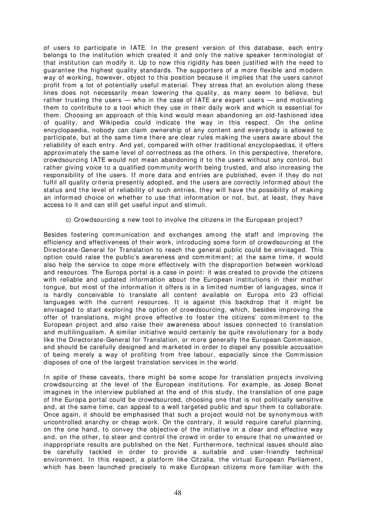of users to participate in IATE. In the present version of this database, each entry belongs to the institution which created it and only the native speaker terminologist of that institution can modify it. Up to now this rigidity has been justified with the need to guarantee the highest quality standards. The supporters of a more flexible and modern way of working, however, object to this position because it implies that the users cannot profit from a lot of potentially useful m aterial. They stress that an evolution along these lines does not necessarily mean lowering the quality, as many seem to believe, but rather trusting the users — who in the case of IATE are expert users — and motivating them to contribute to a tool which they use in their daily work and which is essential for them. Choosing an approach of this kind would mean abandoning an old-fashioned idea of quality, and Wikipedia could indicate the way in this respect. On the online encyclopaedia, nobody can claim ownership of any content and everybody is allowed to participate, but at the same time there are clear rules making the users aware about the reliability of each entry. And yet, compared with other traditional encyclopaedias, it offers approximately the same level of correctness as the others. In this perspective, therefore, crowdsourcing I ATE would not m ean abandoning it to the users without any control, but rather giving voice to a qualified community worth being trusted, and also increasing the responsibility of the users. If more data and entries are published, even if they do not fulfil all quality criteria presently adopted, and the users are correctly informed about the status and the level of reliability of such entries, they will have the possibility of making an informed choice on whether to use that information or not, but, at least, they have access to it and can still get useful input and stimuli.

c) Crowdsourcing a new tool to involve the citizens in the European project?

Besides fostering communication and exchanges among the staff and improving the efficiency and effectiveness of their work, introducing some form of crowdsourcing at the Directorate-General for Translation to reach the general public could be envisaged. This option could raise the public's awareness and commitment; at the same time, it would also help the service to cope more effectively with the disproportion between workload and resources. The Europa portal is a case in point: it was created to provide the citizens with reliable and updated information about the European institutions in their mother tongue, but m ost of the inform ation it offers is in a lim ited num ber of languages, since it is hardly conceivable to translate all content available on Europa into 23 official languages with the current resources. It is against this backdrop that it might be envisaged to start exploring the option of crowdsourcing, which, besides improving the offer of translations, might prove effective to foster the citizens' commitment to the European project and also raise their awareness about issues connected to translation and multilingualism. A similar initiative would certainly be quite revolutionary for a body like the Directorate-General for Translation, or more generally the European Commission, and should be carefully designed and marketed in order to dispel any possible accusation of being m erely a way of profiting from free labour, especially since the Commission disposes of one of the largest translation services in the world.

In spite of these caveats, there might be some scope for translation projects involving crowdsourcing at the level of the European institutions. For example, as Josep Bonet imagines in the interview published at the end of this study, the translation of one page of the Europa portal could be crowdsourced, choosing one that is not politically sensitive and, at the same time, can appeal to a well targeted public and spur them to collaborate. Once again, it should be em phasised that such a project would not be synonymous with uncontrolled anarchy or cheap work. On the contrary, it would require careful planning, on the one hand, to convey the objective of the initiative in a clear and effective way and, on the other, to steer and control the crowd in order to ensure that no unwanted or inappropriate results are published on the Net. Furtherm ore, technical issues should also be carefully tackled in order to provide a suitable and user-friendly technical environment. In this respect, a platform like Citzalia, the virtual European Parliament, which has been launched precisely to make European citizens more familiar with the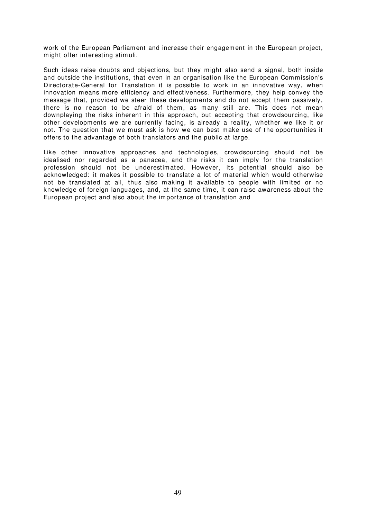work of the European Parliament and increase their engagement in the European project, might offer interesting stimuli.

Such ideas raise doubts and objections, but they might also send a signal, both inside and outside the institutions, that even in an organisation like the European Commission's Directorate-General for Translation it is possible to work in an innovative way, when innovation means more efficiency and effectiveness. Furthermore, they help convey the message that, provided we steer these developm ents and do not accept them passively, there is no reason to be afraid of them, as many still are. This does not mean downplaying the risks inherent in this approach, but accepting that crowdsourcing, like other developments we are currently facing, is already a reality, whether we like it or not. The question that we must ask is how we can best make use of the opportunities it offers to the advantage of both translators and the public at large.

Like other innovative approaches and technologies, crowdsourcing should not be idealised nor regarded as a panacea, and the risks it can imply for the translation profession should not be underestimated. However, its potential should also be acknowledged: it makes it possible to translate a lot of material which would otherwise not be translated at all, thus also making it available to people with limited or no knowledge of foreign languages, and, at the same time, it can raise awareness about the European project and also about the im portance of translation and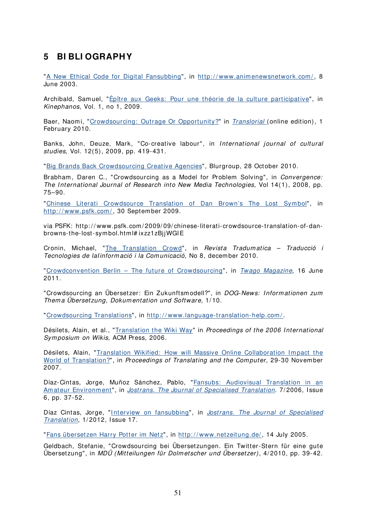# **5 BI BLI OGRAPHY**

"[A New Ethical Code for Digital Fansubbing](http://www.animenewsnetwork.com/feature/2003-06-08/2)", in http://www.animenewsnetwork.com/, 8 June 2003.

Archibald, Samuel, "[Épître aux Geeks: Pour une théorie de la culture participative"](http://www.kinephanos.ca/2009/epitre-aux-geeks%C2%A0-pour-une-theorie-de-la-culture-participative/), in Kinephanos, Vol. 1, no 1, 2009.

Baer, Naomi, "[Crowdsourcing: Outrage Or Opportunity?"](http://translorial.com/2010/02/01/crowdsourcing-outrage-or-opportunity/) in [Translorial](http://translorial.com/) (online edition), 1 February 2010.

Banks, John, Deuze, Mark, "Co-creative labour", in International journal of cultural studies, Vol. 12(5), 2009, pp. 419-431.

"[Big Brands Back Crowdsourcing Creative Agencies](http://www.blurgroup.com/blog/big-brands-back-crowdsourcing-creative-agency/)", Blurgroup, 28 October 2010.

Brabham, Daren C., "Crowdsourcing as a Model for Problem Solving", in Convergence: The International Journal of Research into New Media Technologies, Vol 14(1), 2008, pp. 75–90.

"Chinese Literati Crowdsource Translation of Dan Brown's The Lost Symbol", in http://www.psfk.com/, 30 September 2009.

via PSFK: http: / / www.psfk.com/ 2009/ 09/ chinese-literati-crowdsource-translation-of-danbrowns-the-lost-symbol.html# ixzz1zBjjWGIE

Cronin, Michael, "[The Translation Crowd"](http://ddd.uab.cat/pub/tradumatica/15787559n8a4.pdf), in Revista Tradumatica - Traducció i Tecnologies de lalinformació i la Comunicació, No 8, december 2010.

"[Crowdconvention Berlin – The future of Crowdsourcing"](http://www.twago.com/blog/2011/06/16/crowdconvention-berlin-the-future-of-crowdsourcing/), in [Twago Magazine](http://www.twago.com/blog/), 16 June 2011.

"Crowdsourcing an Übersetzer: Ein Zukunftsmodell?", in DOG-News: Informationen zum Thema Übersetzung, Dokumentation und Software, 1/10.

"[Crowdsourcing Translations](http://www.language-translation-help.com/crowdsourcing.html)", in [http: / / www.language-translation-help.com /](http://www.language-translation-help.com/) .

Désilets, Alain, et al., "[Translation the Wiki Way](http://www.wikisym.org/ws2006/proceedings/p19.pdf)" in Proceedings of the 2006 International Symposium on Wikis, ACM Press, 2006.

Désilets, Alain, "Translation Wikified: How will Massive Online Collaboration Impact the [World of Translation?](http://nparc.cisti-icist.nrc-cnrc.gc.ca/npsi/ctrl?action=rtdoc&an=8913226)", in Proceedings of Translating and the Computer, 29-30 November 2007.

Díaz-Cintas, Jorge, Muñoz Sánchez, Pablo, "Fansubs: Audiovisual Translation in an [Amateur Environment"](http://www.jostrans.org/issue06/art_diaz_munoz.php), in [Jostrans. The Journal of Specialised Translation](http://www.jostrans.org/). 7/2006, Issue 6, pp. 37-52.

Díaz Cintas, Jorge, "Interview on fansubbing", in Jostrans. The Journal of Specialised [Translation](http://www.jostrans.org/), 1/2012, Issue 17.

"[Fans übersetzen Harry Potter im Netz](http://www.netzeitung.de/internet/348436.html)", in http://www.netzeitung.de/, 14 July 2005.

Geldbach, Stefanie, "Crowdsourcing bei Übersetzungen. Ein Twitter-Stern für eine gute Übersetzung", in MDÜ (Mitteilungen für Dolmetscher und Übersetzer), 4/ 2010, pp. 39-42.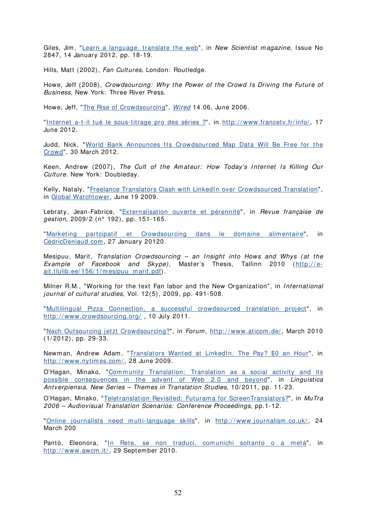Giles, Jim, "[Learn a language, translate the web"](http://www.newscientist.com/article/mg21328476.200-learn-a-language-translate-the-web.html), in New Scientist magazine, Issue No 2847, 14 January 2012, pp. 18-19.

Hills, Matt (2002), Fan Cultures, London: Routledge.

Howe, Jeff (2008), Crowdsourcing: Why the Power of the Crowd Is Driving the Future of Business, New York: Three River Press.

Howe, Jeff, "[The Rise of Crowdsourcing"](http://www.wired.com/wired/archive/14.06/crowds.html), [Wired](http://www.wired.com/) 14.06, June 2006.

"Internet a-t-il tué le sous-titrage pro des séries ?", in http://www.francetv.fr/info/, 17 June 2012.

Judd, Nick, "World Bank Announces Its Crowdsourced Map Data Will Be Free for the [Crowd"](http://techpresident.com/news/21989/world-bank-announces-its-crowdsourced-map-data-will-be-free-crowd), 30 March 2012.

Keen, Andrew (2007), The Cult of the Amateur: How Today's Internet Is Killing Our Culture. New York: Doubleday.

Kelly, Nataly, "Freelance Translators Clash with LinkedIn over Crowdsourced Translation", in [Global Watchtower](http://www.commonsenseadvisory.com/Blogs.aspx), June 19 2009.

Lebraty, Jean-Fabrice, "[Externalisation ouverte et pérennité](http://www.cairn.info/resume.php?ID_ARTICLE=RFG_192_0151)", in Revue française de gestion, 2009/2 (n° 192), pp. 151-165.

"[Marketing partcipatif et Crowdsourcing dans le domaine alimentaire"](http://cdeniaud.canalblog.com/archives/2010/01/27/16644903.html), in [CédricDeniaud.com](http://cdeniaud.canalblog.com/), 27 January 20120.

Mesipuu, Marit, Translation Crowdsourcing  $-$  an Insight into Hows and Whys (at the Example of Facebook and Skype), Master's Thesis, Tallinn 2010 (http://e[ait.tlulib.ee/ 156/ 1/ mesipuu\\_marit.pdf\)](http://e-ait.tlulib.ee/156/1/mesipuu_marit.pdf).

Milner R.M., "Working for the text Fan labor and the New Organization", in International journal of cultural studies, Vol. 12(5), 2009, pp. 491-508.

"[Multilingual Pizza Connection, a successful crowdsourced translation project"](http://www.crowdsourcing.org/document/-multilingual-pizza-connection-a-successful-crowdsourced-translation-project/4185), in http://www.crowdsourcing.org/, 10 July 2011.

"[Nach Outsourcing jetzt Crowdsourcing?](http://www.aticom.de/dateien/ATICOM-Forum-2010-1.pdf)", in Forum, http://www.aticom.de/, March 2010 (1/ 2012), pp. 29-33.

Newman, Andrew Adam, "Translators Wanted at LinkedIn. The Pay? \$0 an Hour", in http://www.nytimes.com/, 28 June 2009.

O'Hagan, Minako, "Community Translation: Translation as a social activity and its [possible consequences in the advent of Web 2.0 and beyond](http://www.lans-tts.be/docs/lans10-2011-intro.pdf)", in Linguistica Antverpiensia, New Series - Themes in Translation Studies, 10/2011, pp. 11-23.

O'Hagan, Minako, "[Teletranslation Revisited: Futurama for ScreenTranslators?"](http://www.euroconferences.info/proceedings/2006_Proceedings/2006_O), in MuTra 2006 – Audiovisual Translation Scenarios: Conference Proceedings, pp.1-12.

"[Online journalists need multi-language skills](http://www.journalism.co.uk/news/online-journalists-need-multi-language-skills/s2/a5843/)", in http://www.journalism.co.uk/, 24 March 200

Pantò, Eleonora, "In Rete, se non traduci, comunichi soltanto o a metà", in http://www.awcm.it/, 29 September 2010.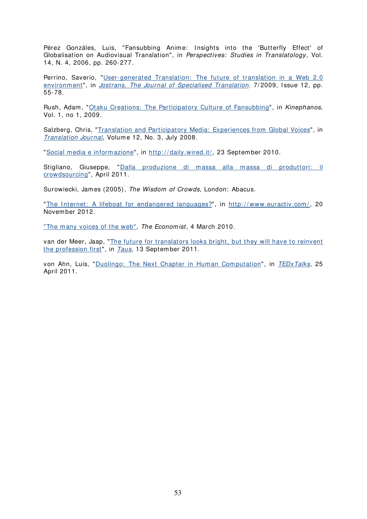Pérez Gonzáles, Luis, "Fansubbing Anime: Insights into the 'Butterfly Effect' of Globalisation on Audiovisual Translation", in Perspectives: Studies in Translatology, Vol. 14, N. 4, 2006, pp. 260-277.

Perrino, Saverio, "[User-generated Translation: The future of translation in a Web 2.0](http://www.jostrans.org/issue12/art_perrino.php)  environment", in [Jostrans. The Journal of Specialised Translation](http://www.jostrans.org/). 7/2009, Issue 12, pp. 55-78.

Rush, Adam, "[Otaku Creations: The Participatory Culture of Fansubbing](http://www.kinephanos.ca/2009/otaku-creations-the-participatory-culture-of-fansubbing/)", in Kinephanos, Vol. 1, no 1, 2009.

Salzberg, Chris, "[Translation and Participatory Media: Experiences from Global Voices](http://www.bokorlang.com/journal/45global.htm)", in [Translation Journal](http://translationjournal.net/journal/), Volume 12, No. 3, July 2008.

"[Social media e informazione](http://daily.wired.it/news/cultura/social-media-e-informazione.html#content)", in [http: / / daily.wired.it/](http://daily.wired.it/) , 23 Septem ber 2010.

Stigliano, Giuseppe, "Dalla produzione di massa alla massa di produttori: il [crowdsourcing](http://wwwdata.unibg.it/dati/bacheca/434/48961.pdf)", April 2011.

Surowiecki, James (2005), The Wisdom of Crowds, London: Abacus.

"The Internet: A lifeboat for endangered languages?", in http://www.euractiv.com/, 20 Novem ber 2012.

"The many voices of the web", The Economist, 4 March 2010.

van der Meer, Jaap, "[The future for translators looks bright, but they will have to reinvent](http://www.translationautomation.com/perspectives/the-future-for-translators-looks-bright-but-they-will-have-to-reinvent-the-profession-first.html)  [the profession first](http://www.translationautomation.com/perspectives/the-future-for-translators-looks-bright-but-they-will-have-to-reinvent-the-profession-first.html)", in [Taus](http://www.translationautomation.com/), 13 September 2011.

von Ahn, Luis, "Duolingo: The Next Chapter in Human Computation", in [TEDxTalks](http://www.youtube.com/user/TEDxTalks), 25 April 2011.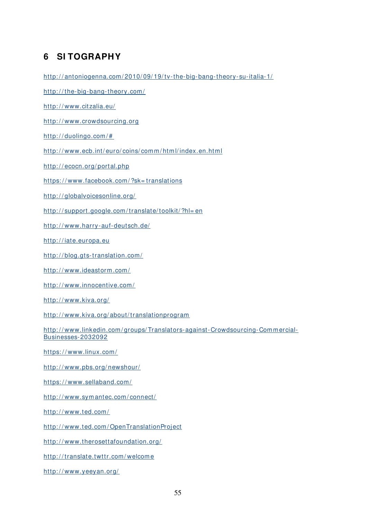# **6 SI TOGRAPHY**

http://antoniogenna.com/2010/09/19/tv-the-big-bang-theory-su-italia-1/

http://the-big-bang-theory.com/

http://www.citzalia.eu/

http://www.crowdsourcing.org

http://duolingo.com/#

http://www.ecb.int/euro/coins/comm/html/index.en.html

http://ecocn.org/portal.php

https://www.facebook.com/?sk=translations

http://globalvoicesonline.org/

[http: / / support.google.com / translate/ toolkit/ ?hl= en](http://support.google.com/translate/toolkit/?hl=en)

http://www.harry-auf-deutsch.de/

http://iate.europa.eu

http://blog.gts-translation.com/

[http: / / www.ideastorm.com/](http://www.ideastorm.com/)

http://www.innocentive.com/

http://www.kiva.org/

http://www.kiva.org/about/translationprogram

http://www.linkedin.com/groups/Translators-against-Crowdsourcing-Commercial-[Businesses-2032092](http://www.linkedin.com/groups/Translators-against-Crowdsourcing-Commercial-Businesses-2032092)

https://www.linux.com/

http://www.pbs.org/newshour/

https://www.sellaband.com/

[http: / / www.sym antec.com / connect/](http://www.symantec.com/connect/)

http://www.ted.com/

http://www.ted.com/OpenTranslationProject

http://www.therosettafoundation.org/

[http: / / translate.twttr.com / welcom e](http://translate.twttr.com/welcome)

http://www.yeeyan.org/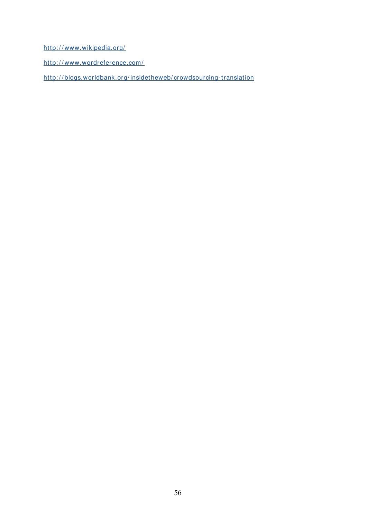http://www.wikipedia.org/

http://www.wordreference.com/

[http: / / blogs.worldbank.org/ insidetheweb/ crowdsourcing-translation](http://blogs.worldbank.org/insidetheweb/crowdsourcing-translation)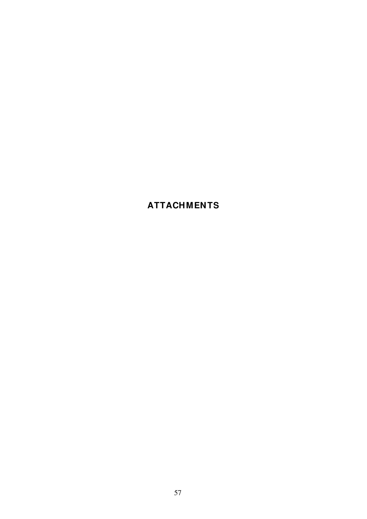# **ATTACHMENTS**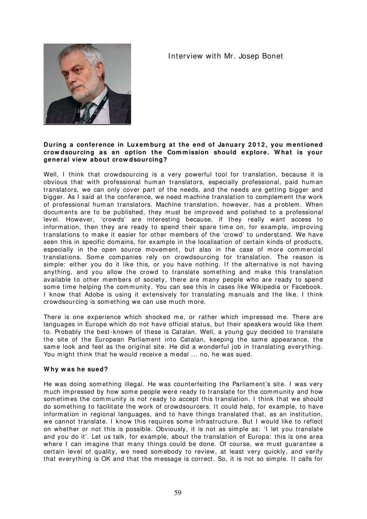# Interview with Mr. Josep Bonet



#### During a conference in Luxemburg at the end of January 2012, you mentioned **crow dsourcing as an option the Com m ission should explore. W hat is your general view about crow dsourcing?**

Well. I think that crowdsourcing is a very powerful tool for translation, because it is obvious that with professional human translators, especially professional, paid human translators, we can only cover part of the needs, and the needs are getting bigger and bigger. As I said at the conference, we need machine translation to complement the work of professional hum an translators. Machine translation, however, has a problem . When documents are to be published, they must be improved and polished to a professional level. However, 'crowds' are interesting because, if they really want access to information, then they are ready to spend their spare time on, for example, improving translations to make it easier for other mem bers of the 'crowd' to understand. We have seen this in specific domains, for example in the localisation of certain kinds of products, especially in the open source movement, but also in the case of more commercial translations. Some companies rely on crowdsourcing for translation. The reason is simple: either you do it like this, or you have nothing. If the alternative is not having anything, and you allow the crowd to translate som ething and make this translation available to other members of society, there are many people who are ready to spend some time helping the community. You can see this in cases like Wikipedia or Facebook. I know that Adobe is using it extensively for translating manuals and the like. I think crowdsourcing is something we can use much more.

There is one experience which shocked me, or rather which impressed me. There are languages in Europe which do not have official status, but their speakers would like them to. Probably the best-known of these is Catalan. Well, a young guy decided to translate the site of the European Parliament into Catalan, keeping the same appearance, the same look and feel as the original site. He did a wonderful job in translating everything. You might think that he would receive a medal ... no, he was sued.

# **W hy w as he sued?**

He was doing something illegal. He was counterfeiting the Parliament's site. I was very much impressed by how some people were ready to translate for the community and how som etimes the community is not ready to accept this translation. I think that we should do something to facilitate the work of crowdsourcers. I t could help, for example, to have information in regional languages, and to have things translated that, as an institution, we cannot translate. I know this requires some infrastructure. But I would like to reflect on whether or not this is possible. Obviously, it is not as simple as: 'I let you translate and you do it'. Let us talk, for exam ple, about the translation of Europa: this is one area where I can imagine that many things could be done. Of course, we must quarantee a certain level of quality, we need somebody to review, at least very quickly, and verify that everything is OK and that the message is correct. So, it is not so simple. It calls for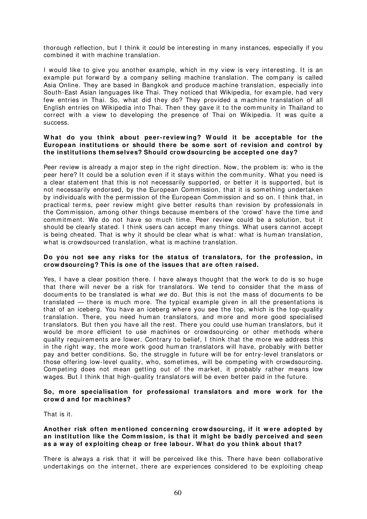thorough reflection, but I think it could be interesting in many instances, especially if you combined it with machine translation.

I would like to give you another example, which in my view is very interesting. It is an example put forward by a company selling machine translation. The company is called Asia Online. They are based in Bangkok and produce machine translation, especially into South-East Asian languages like Thai. They noticed that Wikipedia, for example, had very few entries in Thai. So, what did they do? They provided a m achine translation of all English entries on Wikipedia into Thai. Then they gave it to the community in Thailand to correct with a view to developing the presence of Thai on Wikipedia. It was quite a success.

#### **W hat do you think about peer- review ing? W ould it be acceptable for the**  European institutions or should there be some sort of revision and control by **the institutions them selves? Should crow dsourcing be accepted one day?**

Peer review is already a major step in the right direction. Now, the problem is: who is the peer here? It could be a solution even if it stays within the community. What you need is a clear statement that this is not necessarily supported, or better it is supported, but is not necessarily endorsed, by the European Commission, that it is something undertaken by individuals with the perm ission of the European Com mission and so on. I think that, in practical terms, peer review m ight give better results than revision by professionals in the Commission, among other things because members of the 'crowd' have the time and commitment. We do not have so much time. Peer review could be a solution, but it should be clearly stated. I think users can accept many things. What users cannot accept is being cheated. That is why it should be clear what is what: what is human translation, what is crowdsourced translation, what is machine translation.

# **Do you not see any risks for the status of translators, for the profession, in crow dsourcing? This is one of the issues that are often raised.**

Yes, I have a clear position there. I have always thought that the work to do is so huge that there will never be a risk for translators. We tend to consider that the m ass of documents to be translated is what we do. But this is not the mass of documents to be translated — there is much more. The typical example given in all the presentations is that of an iceberg. You have an iceberg where you see the top, which is the top-quality translation. There, you need hum an translators, and m ore and m ore good specialised translators. But then you have all the rest. There you could use hum an translators, but it would be m ore efficient to use m achines or crowdsourcing or other m ethods where quality requirem ents are lower. Contrary to belief, I think that the more we address this in the right way, the more work good human translators will have, probably with better pay and better conditions. So, the struggle in future will be for entry-level translators or those offering low-level quality, who, sometimes, will be competing with crowdsourcing. Competing does not mean getting out of the market, it probably rather means low wages. But I think that high-quality translators will be even better paid in the future.

#### **So, m ore specialisation for professional translators and m ore w ork for the crow d and for m achines?**

That is it.

#### **Another risk often m entioned concerning crow dsourcing, if it w ere adopted by an institution like the Com m ission, is that it m ight be badly perceived and seen as a w ay of exploiting cheap or free labour. W hat do you think about that?**

There is always a risk that it will be perceived like this. There have been collaborative undertakings on the internet, there are experiences considered to be exploiting cheap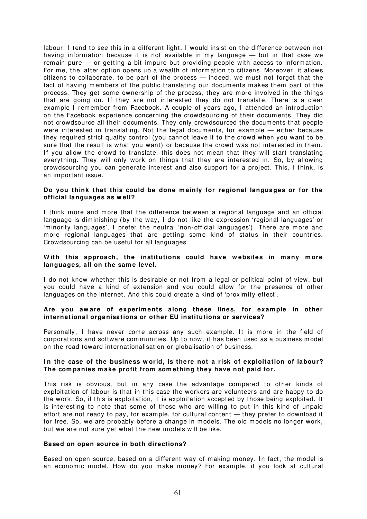labour. I tend to see this in a different light. I would insist on the difference between not having information because it is not available in my language — but in that case we remain pure – or getting a bit impure but providing people with access to information. For me, the latter option opens up a wealth of information to citizens. Moreover, it allows citizens to collaborate, to be part of the process — indeed, we m ust not forget that the fact of having members of the public translating our documents makes them part of the process. They get som e ownership of the process, they are more involved in the things that are going on. If they are not interested they do not translate. There is a clear example I remember from Facebook. A couple of years ago, I attended an introduction on the Facebook experience concerning the crowdsourcing of their docum ents. They did not crowdsource all their documents. They only crowdsourced the docum ents that people were interested in translating. Not the legal documents, for example — either because they required strict quality control (you cannot leave it to the crowd when you want to be sure that the result is what you want) or because the crowd was not interested in them. If you allow the crowd to translate, this does not mean that they will start translating everything. They will only work on things that they are interested in. So, by allowing crowdsourcing you can generate interest and also support for a project. This, I think, is an im portant issue.

#### **Do you think that this could be done m ainly for regional languages or for the official languages as w ell?**

I think m ore and m ore that the difference between a regional language and an official language is dim inishing (by the way, I do not like the expression 'regional languages' or 'minority languages', I prefer the neutral 'non-official languages'). There are more and more regional languages that are getting some kind of status in their countries. Crowdsourcing can be useful for all languages.

#### With this approach, the institutions could have websites in many more languages, all on the same level.

I do not know whether this is desirable or not from a legal or political point of view, but you could have a kind of extension and you could allow for the presence of other languages on the internet. And this could create a kind of 'proxim ity effect'.

# **Are you aw are of experim ents along these lines, for exam ple in other international organisations or other EU institutions or services?**

Personally, I have never come across any such example. It is more in the field of corporations and software communities. Up to now, it has been used as a business m odel on the road toward internationalisation or globalisation of business.

# **I n the case of the business w orld, is there not a risk of exploitation of labour? The com panies m ake profit from som ething they have not paid for.**

This risk is obvious, but in any case the advantage compared to other kinds of exploitation of labour is that in this case the workers are volunteers and are happy to do the work. So, if this is exploitation, it is exploitation accepted by those being exploited. It is interesting to note that some of those who are willing to put in this kind of unpaid effort are not ready to pay, for example, for cultural content — they prefer to download it for free. So, we are probably before a change in models. The old models no longer work, but we are not sure yet what the new m odels will be like.

#### **Based on open source in both directions?**

Based on open source, based on a different way of making money. In fact, the model is an economic model. How do you make money? For example, if you look at cultural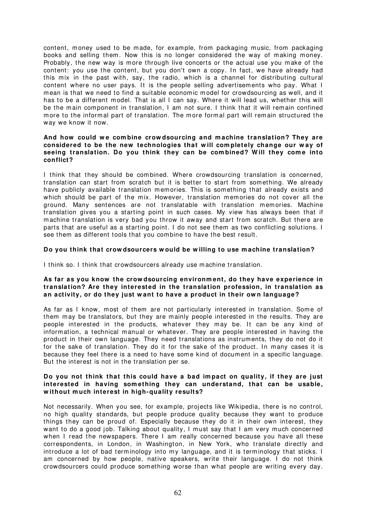content, money used to be made, for example, from packaging music, from packaging books and selling them. Now this is no longer considered the way of making money. Probably, the new way is more through live concerts or the actual use you make of the content: you use the content, but you don't own a copy. In fact, we have already had this mix in the past with, say, the radio, which is a channel for distributing cultural content where no user pays. It is the people selling advertisements who pay. What I mean is that we need to find a suitable econom ic m odel for crowdsourcing as well, and it has to be a different model. That is all I can say. Where it will lead us, whether this will be the main component in translation, I am not sure. I think that it will remain confined more to the informal part of translation. The more formal part will remain structured the way we know it now.

#### And how could we combine crowdsourcing and machine translation? They are **considered to be the new technologies that w ill com pletely change our w ay of**  seeing translation. Do you think they can be combined? Will they come into **conflict?**

I think that they should be combined. Where crowdsourcing translation is concerned, translation can start from scratch but it is better to start from som ething. We already have publicly available translation memories. This is som ething that already exists and which should be part of the mix. However, translation memories do not cover all the ground. Many sentences are not translatable with translation memories. Machine translation gives you a starting point in such cases. My view has always been that if machine translation is very bad you throw it away and start from scratch. But there are parts that are useful as a starting point. I do not see them as two conflicting solutions. I see them as different tools that you com bine to have the best result.

# **Do you think that crow dsourcers w ould be w illing to use m achine translation?**

I think so. I think that crowdsourcers already use machine translation.

# **As far as you know the crow dsourcing environm ent, do they have experience in translation? Are they interested in the translation profession, in translation as an activity, or do they just w ant to have a product in their ow n language?**

As far as I know, most of them are not particularly interested in translation. Some of them may be translators, but they are mainly people interested in the results. They are people interested in the products, whatever they may be. It can be any kind of information, a technical manual or whatever. They are people interested in having the product in their own language. They need translations as instrum ents, they do not do it for the sake of translation. They do it for the sake of the product. In many cases it is because they feel there is a need to have some kind of document in a specific language. But the interest is not in the translation per se.

#### **Do you not think that this could have a bad im pact on quality, if they are just**  interested in having something they can understand, that can be usable, **w ithout m uch interest in high- quality results?**

Not necessarily. When you see, for example, projects like Wikipedia, there is no control, no high quality standards, but people produce quality because they want to produce things they can be proud of. Especially because they do it in their own interest, they want to do a good job. Talking about quality, I must say that I am very much concerned when I read the newspapers. There I am really concerned because you have all these correspondents, in London, in Washington, in New York, who translate directly and introduce a lot of bad terminology into my language, and it is term inology that sticks. I am concerned by how people, native speakers, write their language. I do not think crowdsourcers could produce something worse than what people are writing every day.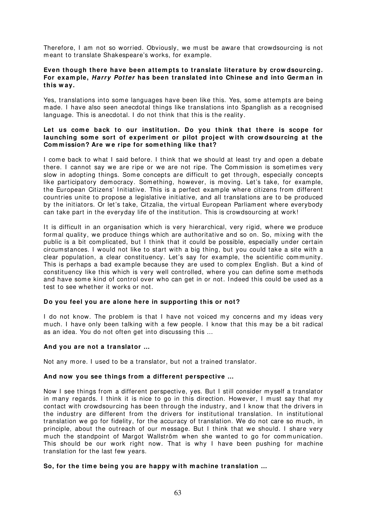Therefore, I am not so worried. Obviously, we must be aware that crowdsourcing is not meant to translate Shakespeare's works, for example.

#### **Even though there have been attem pts to translate literature by crow dsourcing. For exam ple, Harry Potter has been translated into Chinese and into Germ an in this w ay.**

Yes, translations into some languages have been like this. Yes, some attempts are being made. I have also seen anecdotal things like translations into Spanglish as a recognised language. This is anecdotal. I do not think that this is the reality.

#### Let us come back to our institution. Do you think that there is scope for launching some sort of experiment or pilot project with crowdsourcing at the Commission? Are we ripe for something like that?

I come back to what I said before. I think that we should at least try and open a debate there. I cannot say we are ripe or we are not ripe. The Commission is sometimes very slow in adopting things. Some concepts are difficult to get through, especially concepts like participatory democracy. Something, however, is moving. Let's take, for example, the European Citizens' I nitiative. This is a perfect example where citizens from different countries unite to propose a legislative initiative, and all translations are to be produced by the initiators. Or let's take, Citzalia, the virtual European Parliament where everybody can take part in the everyday life of the institution. This is crowdsourcing at work!

It is difficult in an organisation which is very hierarchical, very rigid, where we produce formal quality, we produce things which are authoritative and so on. So, mixing with the public is a bit complicated, but I think that it could be possible, especially under certain circum stances. I would not like to start with a big thing, but you could take a site with a clear population, a clear constituency. Let's say for example, the scientific community. This is perhaps a bad example because they are used to complex English. But a kind of constituency like this which is very well controlled, where you can define some methods and have some kind of control over who can get in or not. Indeed this could be used as a test to see whether it works or not.

# **Do you feel you are alone here in supporting this or not?**

I do not know. The problem is that I have not voiced my concerns and my ideas very much. I have only been talking with a few people. I know that this m ay be a bit radical as an idea. You do not often get into discussing this …

# **And you are not a translator …**

Not any more. I used to be a translator, but not a trained translator.

# **And now you see things from a different perspective …**

Now I see things from a different perspective, yes. But I still consider m yself a translator in many regards. I think it is nice to go in this direction. However, I must say that my contact with crowdsourcing has been through the industry, and I know that the drivers in the industry are different from the drivers for institutional translation. In institutional translation we go for fidelity, for the accuracy of translation. We do not care so much, in principle, about the outreach of our message. But I think that we should. I share very much the standpoint of Margot Wallström when she wanted to go for communication. This should be our work right now. That is why I have been pushing for machine translation for the last few years.

# So, for the time being you are happy with machine translation ...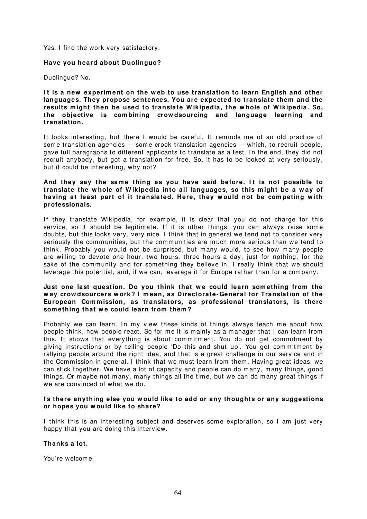Yes. I find the work very satisfactory.

# **Have you heard about Duolinguo?**

Duolinguo? No.

**I t is a new experim ent on the w eb to use translation to learn English and other languages. They propose sentences. You are expected to translate them and the results m ight then be used to translate W ikipedia, the w hole of W ikipedia. So, the objective is com bining crow dsourcing and language learning and translation.** 

It looks interesting, but there I would be careful. It reminds me of an old practice of some translation agencies — some crook translation agencies — which, to recruit people, gave full paragraphs to different applicants to translate as a test. In the end, they did not recruit anybody, but got a translation for free. So, it has to be looked at very seriously, but it could be interesting, why not?

#### And they say the same thing as you have said before. It is not possible to **translate the w hole of W ikipedia into all languages, so this m ight be a w ay of having at least part of it translated. Here, they w ould not be com peting w ith professionals.**

If they translate Wikipedia, for example, it is clear that you do not charge for this service, so it should be legitimate. If it is other things, you can always raise some doubts, but this looks very, very nice. I think that in general we tend not to consider very seriously the communities, but the communities are much more serious than we tend to think. Probably you would not be surprised, but many would, to see how many people are willing to devote one hour, two hours, three hours a day, just for nothing, for the sake of the community and for something they believe in. I really think that we should leverage this potential, and, if we can, leverage it for Europe rather than for a company.

#### Just one last question. Do you think that we could learn something from the **w ay crow dsourcers w ork? I m ean, as Directorate- General for Translation of the European Com m ission, as translators, as professional translators, is there**  som ething that we could learn from them?

Probably we can learn. In my view these kinds of things always teach me about how people think, how people react. So for me it is mainly as a manager that I can learn from this. It shows that everything is about commitment. You do not get commitment by giving instructions or by telling people 'Do this and shut up'. You get commitment by rallying people around the right idea, and that is a great challenge in our service and in the Commission in general. I think that we must learn from them. Having great ideas, we can stick together. We have a lot of capacity and people can do many, many things, good things. Or maybe not many, many things all the time, but we can do many great things if we are convinced of what we do.

#### **I s there anything else you w ould like to add or any thoughts or any suggestions or hopes you w ould like to share?**

I think this is an interesting subject and deserves some exploration, so I am just very happy that you are doing this interview.

# **Thanks a lot.**

You're welcome.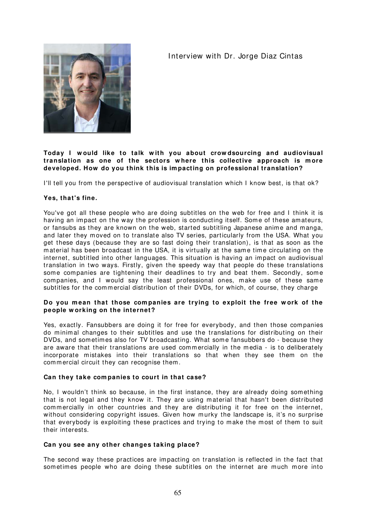# Interview with Dr. Jorge Diaz Cintas



# **Today I w ould like to talk w ith you about crow dsourcing and audiovisual translation as one of the sectors w here this collective approach is m ore developed. How do you think this is im pacting on professional translation?**

I'll tell you from the perspective of audiovisual translation which I know best, is that ok?

# **Yes, that's fine.**

You've got all these people who are doing subtitles on the web for free and I think it is having an impact on the way the profession is conducting itself. Some of these amateurs, or fansubs as they are known on the web, started subtitling Japanese anime and m anga, and later they m oved on to translate also TV series, particularly from the USA. What you get these days (because they are so fast doing their translation), is that as soon as the m aterial has been broadcast in the USA, it is virtually at the same tim e circulating on the internet, subtitled into other languages. This situation is having an impact on audiovisual translation in two ways. Firstly, given the speedy way that people do these translations some companies are tightening their deadlines to try and beat them. Secondly, some com panies, and I would say the least professional ones, make use of these same subtitles for the commercial distribution of their DVDs, for which, of course, they charge

# **Do you m ean that those com panies are trying to exploit the free w ork of the people w orking on the internet?**

Yes, exactly. Fansubbers are doing it for free for everybody, and then those companies do minimal changes to their subtitles and use the translations for distributing on their DVDs, and sometimes also for TV broadcasting. What some fansubbers do - because they are aware that their translations are used commercially in the media - is to deliberately incorporate mistakes into their translations so that when they see them on the commercial circuit they can recognise them.

# **Can they take com panies to court in that case?**

No, I wouldn't think so because, in the first instance, they are already doing something that is not legal and they know it. They are using m aterial that hasn't been distributed commercially in other countries and they are distributing it for free on the internet, without considering copyright issues. Given how murky the landscape is, it's no surprise that everybody is exploiting these practices and trying to m ake the m ost of them to suit their interests.

# **Can you see any other changes taking place?**

The second way these practices are impacting on translation is reflected in the fact that sometimes people who are doing these subtitles on the internet are much more into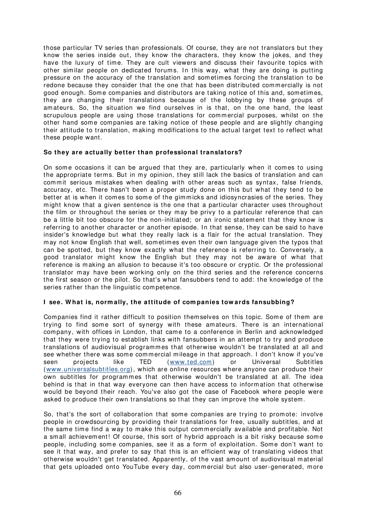those particular TV series than professionals. Of course, they are not translators but they know the series inside out, they know the characters, they know the jokes, and they have the luxury of time. They are cult viewers and discuss their favourite topics with other similar people on dedicated forums. In this way, what they are doing is putting pressure on the accuracy of the translation and som etim es forcing the translation to be redone because they consider that the one that has been distributed commercially is not good enough. Some companies and distributors are taking notice of this and, sometimes, they are changing their translations because of the lobbying by these groups of am ateurs. So, the situation we find ourselves in is that, on the one hand, the least scrupulous people are using those translations for commercial purposes, whilst on the other hand som e com panies are taking notice of these people and are slightly changing their attitude to translation, making modifications to the actual target text to reflect what these people want.

# **So they are actually better than professional translators?**

On some occasions it can be argued that they are, particularly when it comes to using the appropriate terms. But in my opinion, they still lack the basics of translation and can commit serious mistakes when dealing with other areas such as syntax, false friends, accuracy, etc. There hasn't been a proper study done on this but what they tend to be better at is when it comes to some of the gimmicks and idiosyncrasies of the series. They might know that a given sentence is the one that a particular character uses throughout the film or throughout the series or they m ay be privy to a particular reference that can be a little bit too obscure for the non-initiated; or an ironic statem ent that they know is referring to another character or another episode. In that sense, they can be said to have insider's knowledge but what they really lack is a flair for the actual translation. They may not know English that well, sometimes even their own language given the typos that can be spotted, but they know exactly what the reference is referring to. Conversely, a good translator might know the English but they may not be aware of what that reference is m aking an allusion to because it's too obscure or cryptic. Or the professional translator m ay have been working only on the third series and the reference concerns the first season or the pilot. So that's what fansubbers tend to add: the knowledge of the series rather than the linguistic competence.

# **I see. W hat is, norm ally, the attitude of com panies tow ards fansubbing?**

Companies find it rather difficult to position them selves on this topic. Some of them are trying to find some sort of synergy with these amateurs. There is an international company, with offices in London, that came to a conference in Berlin and acknowledged that they were trying to establish links with fansubbers in an attem pt to try and produce translations of audiovisual programmes that otherwise wouldn't be translated at all and see whether there was some commercial mileage in that approach. I don't know if you've seen projects like TED ([www.ted.com\)](http://www.ted.com/) or Universal Subtitles ([www.universalsubtitles.org\)](http://www.universalsubtitles.org/), which are online resources where anyone can produce their own subtitles for programmes that otherwise wouldn't be translated at all. The idea behind is that in that way everyone can then have access to inform ation that otherwise would be beyond their reach. You've also got the case of Facebook where people were asked to produce their own translations so that they can improve the whole system.

So, that's the sort of collaboration that some companies are trying to promote: involve people in crowdsourcing by providing their translations for free, usually subtitles, and at the same time find a way to make this output commercially available and profitable. Not a small achievement! Of course, this sort of hybrid approach is a bit risky because some people, including some companies, see it as a form of exploitation. Some don't want to see it that way, and prefer to say that this is an efficient way of translating videos that otherwise wouldn't get translated. Apparently, of the vast amount of audiovisual material that gets uploaded onto YouTube every day, commercial but also user-generated, more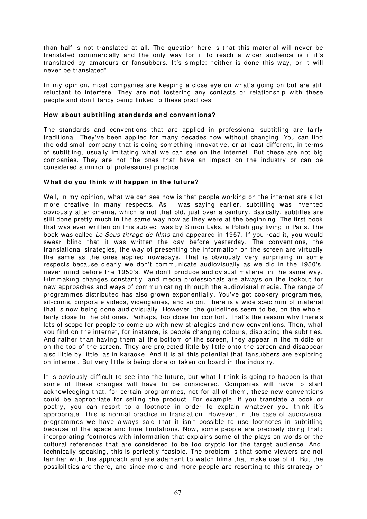than half is not translated at all. The question here is that this material will never be translated commercially and the only way for it to reach a wider audience is if it's translated by amateurs or fansubbers. It's simple: "either is done this way, or it will never be translated".

In my opinion, most companies are keeping a close eye on what's going on but are still reluctant to interfere. They are not fostering any contacts or relationship with these people and don't fancy being linked to these practices.

# **How about subtitling standards and conventions?**

The standards and conventions that are applied in professional subtitling are fairly traditional. They've been applied for many decades now without changing. You can find the odd small company that is doing something innovative, or at least different, in terms of subtitling, usually imitating what we can see on the internet. But these are not big com panies. They are not the ones that have an im pact on the industry or can be considered a mirror of professional practice.

# **W hat do you think w ill happen in the future?**

Well, in my opinion, what we can see now is that people working on the internet are a lot more creative in many respects. As I was saying earlier, subtitling was invented obviously after cinem a, which is not that old, just over a century. Basically, subtitles are still done pretty much in the same way now as they were at the beginning. The first book that was ever written on this subject was by Simon Laks, a Polish guy living in Paris. The book was called Le Sous-titrage de films and appeared in 1957. If you read it, you would swear blind that it was written the day before yesterday. The conventions, the translational strategies, the way of presenting the information on the screen are virtually the same as the ones applied nowadays. That is obviously very surprising in some respects because clearly we don't com municate audiovisually as we did in the 1950's, never mind before the 1950's. We don't produce audiovisual material in the same way. Film making changes constantly, and media professionals are always on the lookout for new approaches and ways of communicating through the audiovisual m edia. The range of programmes distributed has also grown exponentially. You've got cookery programmes, sit-coms, corporate videos, videogames, and so on. There is a wide spectrum of material that is now being done audiovisually. However, the guidelines seem to be, on the whole, fairly close to the old ones. Perhaps, too close for comfort. That's the reason why there's lots of scope for people to come up with new strategies and new conventions. Then, what you find on the internet, for instance, is people changing colours, displacing the subtitles. And rather than having them at the bottom of the screen, they appear in the middle or on the top of the screen. They are projected little by little onto the screen and disappear also little by little, as in karaoke. And it is all this potential that fansubbers are exploring on internet. But very little is being done or taken on board in the industry.

It is obviously difficult to see into the future, but what I think is going to happen is that some of these changes will have to be considered. Companies will have to start acknowledging that, for certain programmes, not for all of them, these new conventions could be appropriate for selling the product. For example, if you translate a book or poetry, you can resort to a footnote in order to explain whatever you think it's appropriate. This is norm al practice in translation. However, in the case of audiovisual program m es we have always said that it isn't possible to use footnotes in subtitling because of the space and time limitations. Now, some people are precisely doing that: incorporating footnotes with information that explains some of the plays on words or the cultural references that are considered to be too cryptic for the target audience. And, technically speaking, this is perfectly feasible. The problem is that some viewers are not familiar with this approach and are adamant to watch films that make use of it. But the possibilities are there, and since more and more people are resorting to this strategy on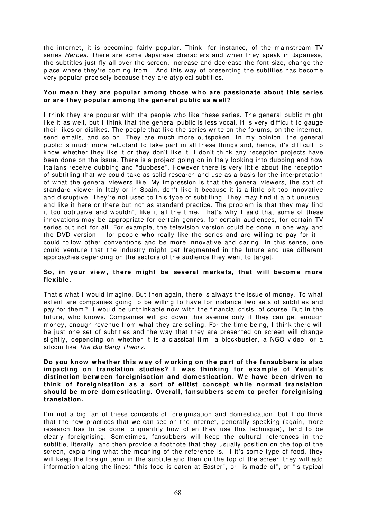the internet, it is becoming fairly popular. Think, for instance, of the mainstream TV series Heroes. There are some Japanese characters and when they speak in Japanese, the subtitles just fly all over the screen, increase and decrease the font size, change the place where they're coming from... And this way of presenting the subtitles has become very popular precisely because they are atypical subtitles.

#### **You m ean they are popular am ong those w ho are passionate about this series or are they popular am ong the general public as w ell?**

I think they are popular with the people who like these series. The general public might like it as well, but I think that the general public is less vocal. It is very difficult to gauge their likes or dislikes. The people that like the series write on the forum s, on the internet, send emails, and so on. They are much more outspoken. In my opinion, the general public is much more reluctant to take part in all these things and, hence, it's difficult to know whether they like it or they don't like it. I don't think any reception projects have been done on the issue. There is a project going on in I taly looking into dubbing and how I talians receive dubbing and "dubbese". However there is very little about the reception of subtitling that we could take as solid research and use as a basis for the interpretation of what the general viewers like. My impression is that the general viewers, the sort of standard viewer in Italy or in Spain, don't like it because it is a little bit too innovative and disruptive. They're not used to this type of subtitling. They m ay find it a bit unusual, and like it here or there but not as standard practice. The problem is that they may find it too obtrusive and wouldn't like it all the time. That's why I said that some of these innovations may be appropriate for certain genres, for certain audiences, for certain TV series but not for all. For example, the television version could be done in one way and the DVD version – for people who really like the series and are willing to pay for it – could follow other conventions and be more innovative and daring. In this sense, one could venture that the industry might get fragmented in the future and use different approaches depending on the sectors of the audience they want to target.

# So, in your view, there might be several markets, that will become more **flexible.**

That's what I would im agine. But then again, there is always the issue of m oney. To what extent are companies going to be willing to have for instance two sets of subtitles and pay for them? It would be unthinkable now with the financial crisis, of course. But in the future, who knows. Companies will go down this avenue only if they can get enough money, enough revenue from what they are selling. For the time being, I think there will be just one set of subtitles and the way that they are presented on screen will change slightly, depending on whether it is a classical film, a blockbuster, a NGO video, or a sitcom like The Big Bang Theory.

#### **Do you know w hether this w ay of w orking on the part of the fansubbers is also im pacting on translation studies? I w as thinking for exam ple of Venuti's distinction betw een foreignisation and dom estication. W e have been driven to think of foreignisation as a sort of elitist concept w hile norm al translation should be m ore dom esticating. Overall, fansubbers seem to prefer foreignising translation.**

I'm not a big fan of these concepts of foreignisation and domestication, but I do think that the new practices that we can see on the internet, generally speaking (again, m ore research has to be done to quantify how often they use this technique), tend to be clearly foreignising. Som etim es, fansubbers will keep the cultural references in the subtitle, literally, and then provide a footnote that they usually position on the top of the screen, explaining what the meaning of the reference is. If it's some type of food, they will keep the foreign term in the subtitle and then on the top of the screen they will add information along the lines: "this food is eaten at Easter", or "is made of", or "is typical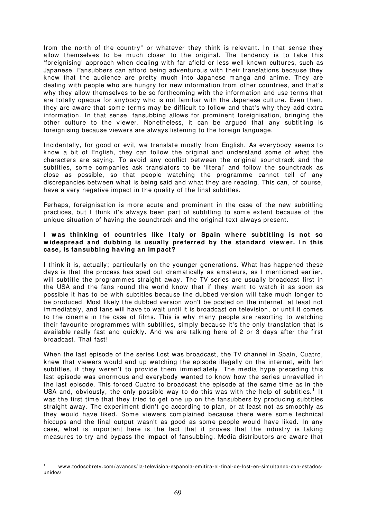from the north of the country" or whatever they think is relevant. In that sense they allow themselves to be much closer to the original. The tendency is to take this 'foreignising' approach when dealing with far afield or less well known cultures, such as Japanese. Fansubbers can afford being adventurous with their translations because they know that the audience are pretty much into Japanese manga and anime. They are dealing with people who are hungry for new information from other countries, and that's why they allow them selves to be so forthcoming with the information and use terms that are totally opaque for anybody who is not fam iliar with the Japanese culture. Even then, they are aware that some terms may be difficult to follow and that's why they add extra information. In that sense, fansubbing allows for prominent foreignisation, bringing the other culture to the viewer. Nonetheless, it can be argued that any subtitling is foreignising because viewers are always listening to the foreign language.

Incidentally, for good or evil, we translate mostly from English. As everybody seems to know a bit of English, they can follow the original and understand some of what the characters are saying. To avoid any conflict between the original soundtrack and the subtitles, some companies ask translators to be 'literal' and follow the soundtrack as close as possible, so that people watching the programme cannot tell of any discrepancies between what is being said and what they are reading. This can, of course, have a very negative impact in the quality of the final subtitles.

Perhaps, foreignisation is more acute and prominent in the case of the new subtitling practices, but I think it's always been part of subtitling to some extent because of the unique situation of having the soundtrack and the original text always present.

#### **I w as thinking of countries like I taly or Spain w here subtitling is not so**  widespread and dubbing is usually preferred by the standard viewer. In this **case, is fansubbing having an im pact?**

I think it is, actually; particularly on the younger generations. What has happened these days is that the process has sped out dramatically as amateurs, as I mentioned earlier, will subtitle the programmes straight away. The TV series are usually broadcast first in the USA and the fans round the world know that if they want to watch it as soon as possible it has to be with subtitles because the dubbed version will take much longer to be produced. Most likely the dubbed version won't be posted on the internet, at least not immediately, and fans will have to wait until it is broadcast on television, or until it comes to the cinema in the case of films. This is why many people are resorting to watching their favourite program mes with subtitles, simply because it's the only translation that is available really fast and quickly. And we are talking here of 2 or 3 days after the first broadcast. That fast!

When the last episode of the series Lost was broadcast, the TV channel in Spain, Cuatro, knew that viewers would end up watching the episode illegally on the internet, with fan subtitles, if they weren't to provide them immediately. The media hype preceding this last episode was enormous and everybody wanted to know how the series unravelled in the last episode. This forced Cuatro to broadcast the episode at the same time as in the USA and, obviously, the only possible way to do this was with the help of subtitles.<sup>[1](#page-70-0)</sup> It was the first time that they tried to get one up on the fansubbers by producing subtitles straight away. The experim ent didn't go according to plan, or at least not as sm oothly as they would have liked. Some viewers complained because there were some technical hiccups and the final output wasn't as good as some people would have liked. In any case, what is important here is the fact that it proves that the industry is taking m easures to try and bypass the im pact of fansubbing. Media distributors are aware that

 $\overline{a}$ 

<span id="page-70-0"></span><sup>1</sup> www.todosobretv.com / avances/ la-television-espanola-em itira-el-final-de-lost-en-sim ultaneo- con-estadosunidos/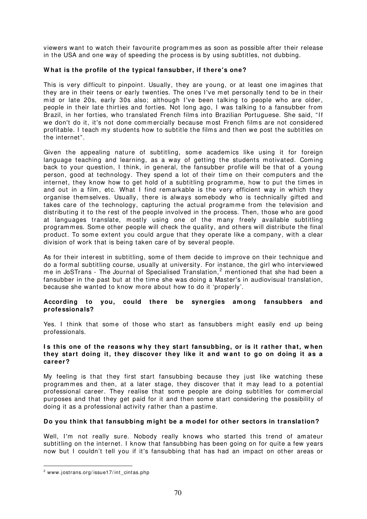viewers want to watch their favourite programmes as soon as possible after their release in the USA and one way of speeding the process is by using subtitles, not dubbing.

# **W hat is the profile of the typical fansubber, if there's one?**

This is very difficult to pinpoint. Usually, they are young, or at least one imagines that they are in their teens or early twenties. The ones I've met personally tend to be in their mid or late 20s, early 30s also; although I 've been talking to people who are older, people in their late thirties and forties. Not long ago, I was talking to a fansubber from Brazil, in her forties, who translated French films into Brazilian Portuguese. She said, "If we don't do it, it's not done commercially because most French film s are not considered profitable. I teach my students how to subtitle the films and then we post the subtitles on the internet".

Given the appealing nature of subtitling, some academics like using it for foreign language teaching and learning, as a way of getting the students motivated. Coming back to your question, I think, in general, the fansubber profile will be that of a young person, good at technology. They spend a lot of their time on their computers and the internet, they know how to get hold of a subtitling programme, how to put the times in and out in a film, etc. What I find remarkable is the very efficient way in which they organise themselves. Usually, there is always somebody who is technically gifted and takes care of the technology, capturing the actual programme from the television and distributing it to the rest of the people involved in the process. Then, those who are good at languages translate, mostly using one of the many freely available subtitling programmes. Some other people will check the quality, and others will distribute the final product. To some extent you could argue that they operate like a company, with a clear division of work that is being taken care of by several people.

As for their interest in subtitling, some of them decide to im prove on their technique and do a formal subtitling course, usually at university. For instance, the girl who interviewed me in JoSTrans - The Journal of Specialised Translation,<sup>[2](#page-71-0)</sup> mentioned that she had been a fansubber in the past but at the time she was doing a Master's in audiovisual translation, because she wanted to know m ore about how to do it 'properly'.

#### **According to you, could there be synergies am ong fansubbers and professionals?**

Yes. I think that some of those who start as fansubbers might easily end up being professionals.

#### Is this one of the reasons why they start fansubbing, or is it rather that, when **they start doing it, they discover they like it and w ant to go on doing it as a career?**

My feeling is that they first start fansubbing because they just like watching these programmes and then, at a later stage, they discover that it m ay lead to a potential professional career. They realise that some people are doing subtitles for commercial purposes and that they get paid for it and then some start considering the possibility of doing it as a professional activity rather than a pastime.

# **Do you think that fansubbing m ight be a m odel for other sectors in translation?**

Well, I'm not really sure. Nobody really knows who started this trend of amateur subtitling on the internet. I know that fansubbing has been going on for quite a few years now but I couldn't tell you if it's fansubbing that has had an im pact on other areas or

 $\overline{a}$ 

<span id="page-71-0"></span><sup>2</sup> www.jostrans.org/ issue17/ int\_cintas.php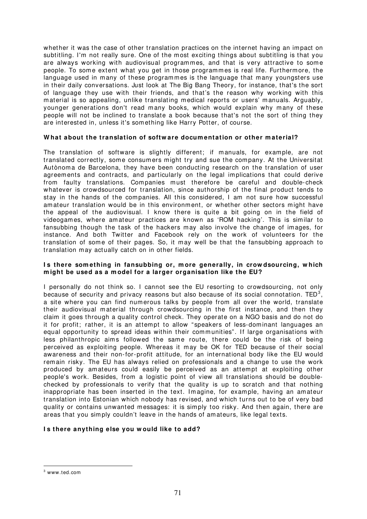whether it was the case of other translation practices on the internet having an impact on subtitling. I'm not really sure. One of the most exciting things about subtitling is that you are always working with audiovisual programmes, and that is very attractive to some people. To some extent what you get in those programmes is real life. Furthermore, the language used in many of these programmes is the language that many youngsters use in their daily conversations. Just look at The Big Bang Theory, for instance, that's the sort of language they use with their friends, and that's the reason why working with this material is so appealing, unlike translating medical reports or users' manuals. Arguably, younger generations don't read many books, which would explain why many of these people will not be inclined to translate a book because that's not the sort of thing they are interested in, unless it's something like Harry Potter, of course.

# **W hat about the translation of softw are docum entation or other m aterial?**

The translation of software is slightly different; if manuals, for example, are not translated correctly, some consumers might try and sue the company. At the Universitat Autònom a de Barcelona, they have been conducting research on the translation of user agreements and contracts, and particularly on the legal implications that could derive from faulty translations. Companies must therefore be careful and double-check whatever is crowdsourced for translation, since authorship of the final product tends to stay in the hands of the companies. All this considered, I am not sure how successful amateur translation would be in this environment, or whether other sectors might have the appeal of the audiovisual. I know there is quite a bit going on in the field of videogames, where amateur practices are known as 'ROM hacking'. This is similar to fansubbing though the task of the hackers may also involve the change of images, for instance. And both Twitter and Facebook rely on the work of volunteers for the translation of some of their pages. So, it may well be that the fansubbing approach to translation m ay actually catch on in other fields.

## **I s there som ething in fansubbing or, m ore generally, in crow dsourcing, w hich m ight be used as a m odel for a larger organisation like the EU?**

I personally do not think so. I cannot see the EU resorting to crowdsourcing, not only because of security and privacy reasons but also because of its social connotation. TED<sup>[3](#page-72-0)</sup>, a site where you can find num erous talks by people from all over the world, translate their audiovisual m aterial through crowdsourcing in the first instance, and then they claim it goes through a quality control check. They operate on a NGO basis and do not do it for profit; rather, it is an attempt to allow "speakers of less-dominant languages an equal opportunity to spread ideas within their communities". If large organisations with less philanthropic aims followed the same route, there could be the risk of being perceived as exploiting people. Whereas it m ay be OK for TED because of their social awareness and their non-for-profit attitude, for an international body like the EU would rem ain risky. The EU has always relied on professionals and a change to use the work produced by amateurs could easily be perceived as an attem pt at exploiting other people's work. Besides, from a logistic point of view all translations should be doublechecked by professionals to verify that the quality is up to scratch and that nothing inappropriate has been inserted in the text. Imagine, for example, having an amateur translation into Estonian which nobody has revised, and which turns out to be of very bad quality or contains unwanted m essages: it is sim ply too risky. And then again, there are areas that you simply couldn't leave in the hands of amateurs, like legal texts.

## **I s there anything else you w ould like to add?**

 $\overline{a}$ 

<span id="page-72-0"></span> $^3$  www.ted.com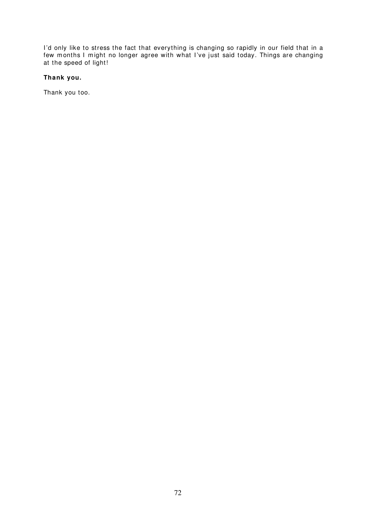I'd only like to stress the fact that everything is changing so rapidly in our field that in a few m onths I m ight no longer agree with what I 've just said today. Things are changing at the speed of light!

# **Thank you.**

Thank you too.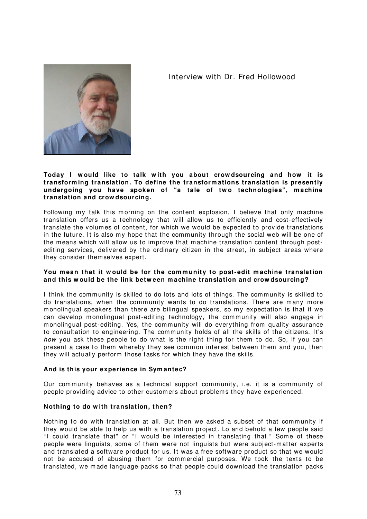# I nterview with Dr. Fred Hollowood



# **Today I w ould like to talk w ith you about crow dsourcing and how it is transform ing translation. To define the transform ations translation is presently**  undergoing you have spoken of "a tale of two technologies", machine **translation and crow dsourcing.**

Following my talk this morning on the content explosion, I believe that only machine translation offers us a technology that will allow us to efficiently and cost-effectively translate the volum es of content, for which we would be expected to provide translations in the future. It is also my hope that the community through the social web will be one of the means which will allow us to improve that machine translation content through postediting services, delivered by the ordinary citizen in the street, in subject areas where they consider them selves expert.

# You mean that it would be for the community to post-edit machine translation **and this w ould be the link betw een m achine translation and crow dsourcing?**

I think the community is skilled to do lots and lots of things. The community is skilled to do translations, when the community wants to do translations. There are many more monolingual speakers than there are bilingual speakers, so my expectation is that if we can develop monolingual post-editing technology, the community will also engage in monolingual post-editing. Yes, the community will do everything from quality assurance to consultation to engineering. The community holds of all the skills of the citizens. It's how you ask these people to do what is the right thing for them to do. So, if you can present a case to them whereby they see common interest between them and you, then they will actually perform those tasks for which they have the skills.

## **And is this your experience in Sym antec?**

Our community behaves as a technical support community, i.e. it is a community of people providing advice to other customers about problem s they have experienced.

## **Nothing to do w ith translation, then?**

Nothing to do with translation at all. But then we asked a subset of that community if they would be able to help us with a translation project. Lo and behold a few people said "I could translate that" or "I would be interested in translating that." Some of these people were linguists, some of them were not linguists but were subject-matter experts and translated a software product for us. It was a free software product so that we would not be accused of abusing them for commercial purposes. We took the texts to be translated, we m ade language packs so that people could download the translation packs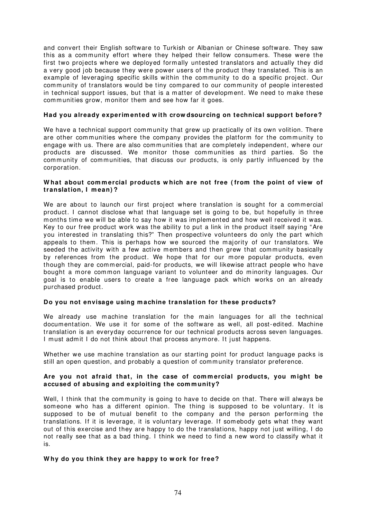and convert their English software to Turkish or Albanian or Chinese software. They saw this as a community effort where they helped their fellow consumers. These were the first two projects where we deployed formally untested translators and actually they did a very good job because they were power users of the product they translated. This is an example of leveraging specific skills within the community to do a specific project. Our community of translators would be tiny compared to our community of people interested in technical support issues, but that is a matter of developm ent. We need to m ake these communities grow, monitor them and see how far it goes.

# **Had you already experim ented w ith crow dsourcing on technical support before?**

We have a technical support community that grew up practically of its own volition. There are other communities where the company provides the platform for the community to engage with us. There are also communities that are completely independent, where our products are discussed. We monitor those communities as third parties. So the community of communities, that discuss our products, is only partly influenced by the corporation.

#### **W hat about com m ercial products w hich are not free ( from the point of view of translation, I m ean) ?**

We are about to launch our first project where translation is sought for a commercial product. I cannot disclose what that language set is going to be, but hopefully in three months time we will be able to say how it was implemented and how well received it was. Key to our free product work was the ability to put a link in the product itself saying "Are you interested in translating this?" Then prospective volunteers do only the part which appeals to them. This is perhaps how we sourced the majority of our translators. We seeded the activity with a few active members and then grew that community basically by references from the product. We hope that for our m ore popular products, even though they are comm ercial, paid-for products, we will likewise attract people who have bought a more common language variant to volunteer and do minority languages. Our goal is to enable users to create a free language pack which works on an already purchased product.

## **Do you not envisage using m achine translation for these products?**

We already use machine translation for the main languages for all the technical documentation. We use it for some of the software as well, all post-edited. Machine translation is an everyday occurrence for our technical products across seven languages. I must admit I do not think about that process anymore. It just happens.

Whether we use machine translation as our starting point for product language packs is still an open question, and probably a question of community translator preference.

## Are you not afraid that, in the case of commercial products, you might be **accused of abusing and exploiting the com m unity?**

Well, I think that the community is going to have to decide on that. There will always be someone who has a different opinion. The thing is supposed to be voluntary. It is supposed to be of mutual benefit to the company and the person performing the translations. If it is leverage, it is voluntary leverage. If somebody gets what they want out of this exercise and they are happy to do the translations, happy not just willing, I do not really see that as a bad thing. I think we need to find a new word to classify what it is.

## **W hy do you think they are happy to w ork for free?**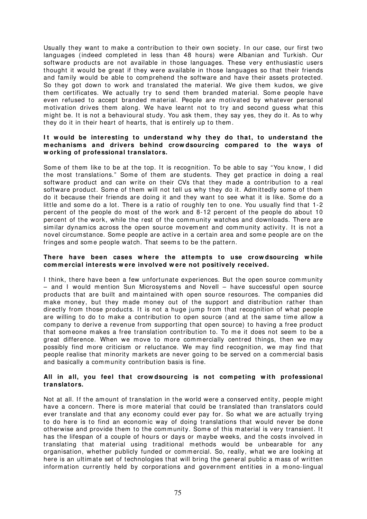Usually they want to make a contribution to their own society. In our case, our first two languages (indeed com pleted in less than 48 hours) were Albanian and Turkish. Our software products are not available in those languages. These very enthusiastic users thought it would be great if they were available in those languages so that their friends and family would be able to comprehend the software and have their assets protected. So they got down to work and translated the material. We give them kudos, we give them certificates. We actually try to send them branded material. Some people have even refused to accept branded material. People are motivated by whatever personal m otivation drives them along. We have learnt not to try and second guess what this might be. It is not a behavioural study. You ask them, they say yes, they do it. As to why they do it in their heart of hearts, that is entirely up to them .

# It would be interesting to understand why they do that, to understand the **m echanism s and drivers behind crow dsourcing com pared to the w ays of w orking of professional translators.**

Some of them like to be at the top. It is recognition. To be able to say "You know, I did the most translations." Some of them are students. They get practice in doing a real software product and can write on their CVs that they m ade a contribution to a real software product. Some of them will not tell us why they do it. Admittedly some of them do it because their friends are doing it and they want to see what it is like. Some do a little and some do a lot. There is a ratio of roughly ten to one. You usually find that 1-2 percent of the people do most of the work and 8-12 percent of the people do about 10 percent of the work, while the rest of the community watches and downloads. There are similar dynamics across the open source movement and community activity. It is not a novel circumstance. Some people are active in a certain area and some people are on the fringes and some people watch. That seems to be the pattern.

## There have been cases where the attempts to use crowdsourcing while **com m ercial interests w ere involved w ere not positively received.**

I think, there have been a few unfortunate experiences. But the open source community  $-$  and I would mention Sun Microsystems and Novell  $-$  have successful open source products that are built and maintained with open source resources. The companies did make money, but they made money out of the support and distribution rather than directly from those products. It is not a huge jump from that recognition of what people are willing to do to make a contribution to open source (and at the same time allow a com pany to derive a revenue from supporting that open source) to having a free product that som eone m akes a free translation contribution to. To me it does not seem to be a great difference. When we move to more com mercially centred things, then we may possibly find more criticism or reluctance. We may find recognition, we may find that people realise that minority markets are never going to be served on a commercial basis and basically a community contribution basis is fine.

#### **All in all, you feel that crow dsourcing is not com peting w ith professional translators.**

Not at all. If the amount of translation in the world were a conserved entity, people might have a concern. There is more material that could be translated than translators could ever translate and that any economy could ever pay for. So what we are actually trying to do here is to find an economic way of doing translations that would never be done otherwise and provide them to the community. Some of this material is very transient. It has the lifespan of a couple of hours or days or maybe weeks, and the costs involved in translating that material using traditional m ethods would be unbearable for any organisation, whether publicly funded or commercial. So, really, what we are looking at here is an ultimate set of technologies that will bring the general public a mass of written information currently held by corporations and government entities in a mono-lingual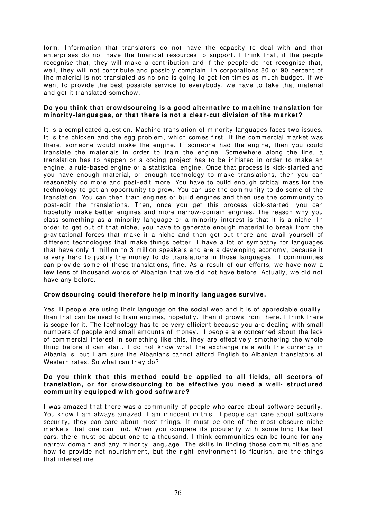form. Information that translators do not have the capacity to deal with and that enterprises do not have the financial resources to support. I think that, if the people recognise that, they will make a contribution and if the people do not recognise that, well, they will not contribute and possibly complain. In corporations 80 or 90 percent of the material is not translated as no one is going to get ten times as much budget. If we want to provide the best possible service to everybody, we have to take that m aterial and get it translated som ehow.

## **Do you think that crow dsourcing is a good alternative to m achine translation for m inority- languages, or that there is not a clear- cut division of the m arket?**

It is a complicated question. Machine translation of minority languages faces two issues. It is the chicken and the egg problem, which comes first. If the commercial market was there, someone would make the engine. If someone had the engine, then you could translate the m aterials in order to train the engine. Somewhere along the line, a translation has to happen or a coding project has to be initiated in order to make an engine, a rule-based engine or a statistical engine. Once that process is kick-started and you have enough material, or enough technology to make translations, then you can reasonably do more and post-edit more. You have to build enough critical mass for the technology to get an opportunity to grow. You can use the community to do some of the translation. You can then train engines or build engines and then use the community to post-edit the translations. Then, once you get this process kick-started, you can hopefully make better engines and more narrow-domain engines. The reason why you class something as a minority language or a minority interest is that it is a niche. In order to get out of that niche, you have to generate enough m aterial to break from the gravitational forces that make it a niche and then get out there and avail yourself of different technologies that m ake things better. I have a lot of sym pathy for languages that have only 1 million to 3 million speakers and are a developing economy, because it is very hard to justify the money to do translations in those languages. If communities can provide some of these translations, fine. As a result of our efforts, we have now a few tens of thousand words of Albanian that we did not have before. Actually, we did not have any before.

## **Crow dsourcing could therefore help m inority languages survive.**

Yes. If people are using their language on the social web and it is of appreciable quality, then that can be used to train engines, hopefully. Then it grows from there. I think there is scope for it. The technology has to be very efficient because you are dealing with sm all numbers of people and small amounts of money. If people are concerned about the lack of commercial interest in something like this, they are effectively smothering the whole thing before it can start. I do not know what the exchange rate with the currency in Albania is, but I am sure the Albanians cannot afford English to Albanian translators at Western rates. So what can they do?

## **Do you think that this m ethod could be applied to all fields, all sectors of translation, or for crow dsourcing to be effective you need a w ell- structured com m unity equipped w ith good softw are?**

I was amazed that there was a community of people who cared about software security. You know I am always amazed, I am innocent in this. If people can care about software security, they can care about most things. It must be one of the most obscure niche m arkets that one can find. When you compare its popularity with something like fast cars, there must be about one to a thousand. I think communities can be found for any narrow domain and any minority language. The skills in finding those communities and how to provide not nourishment, but the right environment to flourish, are the things that interest m e.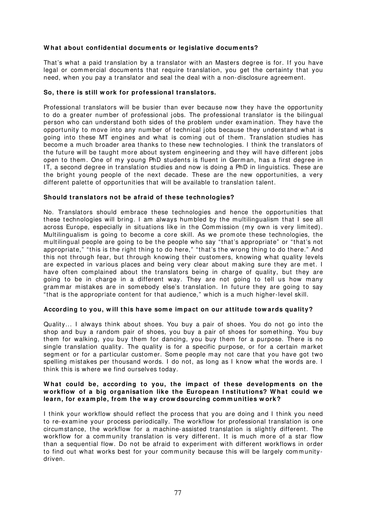# **W hat about confidential docum ents or legislative docum ents?**

That's what a paid translation by a translator with an Masters degree is for. If you have legal or commercial documents that require translation, you get the certainty that you need, when you pay a translator and seal the deal with a non-disclosure agreement.

## **So, there is still w ork for professional translators.**

Professional translators will be busier than ever because now they have the opportunity to do a greater num ber of professional jobs. The professional translator is the bilingual person who can understand both sides of the problem under examination. They have the opportunity to move into any number of technical jobs because they understand what is going into these MT engines and what is coming out of them. Translation studies has become a much broader area thanks to these new technologies. I think the translators of the future will be taught more about system engineering and they will have different jobs open to them. One of my young PhD students is fluent in German, has a first degree in IT, a second degree in translation studies and now is doing a PhD in linguistics. These are the bright young people of the next decade. These are the new opportunities, a very different palette of opportunities that will be available to translation talent.

#### **Should translators not be afraid of these technologies?**

No. Translators should embrace these technologies and hence the opportunities that these technologies will bring. I am always humbled by the multilingualism that I see all across Europe, especially in situations like in the Commission (my own is very limited). Multilingualism is going to become a core skill. As we promote these technologies, the multilingual people are going to be the people who say "that's appropriate" or "that's not appropriate," "this is the right thing to do here," "that's the wrong thing to do there." And this not through fear, but through knowing their customers, knowing what quality levels are expected in various places and being very clear about making sure they are met. I have often complained about the translators being in charge of quality, but they are going to be in charge in a different way. They are not going to tell us how many grammar mistakes are in somebody else's translation. In future they are going to say "that is the appropriate content for that audience," which is a much higher-level skill.

## **According to you, w ill this have som e im pact on our attitude tow ards quality?**

Quality... I always think about shoes. You buy a pair of shoes. You do not go into the shop and buy a random pair of shoes, you buy a pair of shoes for something. You buy them for walking, you buy them for dancing, you buy them for a purpose. There is no single translation quality. The quality is for a specific purpose, or for a certain market segment or for a particular customer. Some people m ay not care that you have got two spelling mistakes per thousand words. I do not, as long as I know what the words are. I think this is where we find ourselves today.

#### What could be, according to you, the impact of these developments on the workflow of a big organisation like the European Institutions? What could we **learn, for exam ple, from the w ay crow dsourcing com m unities w ork?**

I think your workflow should reflect the process that you are doing and I think you need to re-exam ine your process periodically. The workflow for professional translation is one circum stance, the workflow for a m achine-assisted translation is slightly different. The workflow for a community translation is very different. It is much more of a star flow than a sequential flow. Do not be afraid to experiment with different workflows in order to find out what works best for your community because this will be largely communitydriven.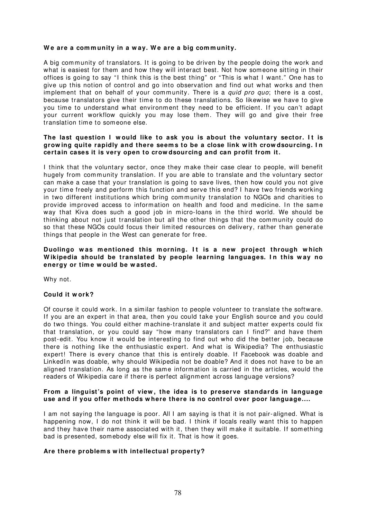#### We are a community in a way. We are a big community.

A big community of translators. It is going to be driven by the people doing the work and what is easiest for them and how they will interact best. Not how someone sitting in their offices is going to say "I think this is the best thing" or "This is what I want." One has to give up this notion of control and go into observation and find out what works and then implement that on behalf of your community. There is a quid pro quo; there is a cost, because translators give their time to do these translations. So likewise we have to give you time to understand what environment they need to be efficient. If you can't adapt your current workflow quickly you may lose them. They will go and give their free translation time to someone else.

#### The last question I would like to ask you is about the voluntary sector. It is **grow ing quite rapidly and there seem s to be a close link w ith crow dsourcing. I n certain cases it is very open to crow dsourcing and can profit from it.**

I think that the voluntary sector, once they m ake their case clear to people, will benefit hugely from community translation. If you are able to translate and the voluntary sector can make a case that your translation is going to save lives, then how could you not give your tim e freely and perform this function and serve this end? I have two friends working in two different institutions which bring community translation to NGOs and charities to provide improved access to information on health and food and medicine. In the same way that Kiva does such a good job in micro-loans in the third world. We should be thinking about not just translation but all the other things that the community could do so that these NGOs could focus their limited resources on delivery, rather than generate things that people in the West can generate for free.

#### Duolingo was mentioned this morning. It is a new project through which Wikipedia should be translated by people learning languages. In this way no **energy or tim e w ould be w asted.**

Why not.

## **Could it w ork?**

Of course it could work. In a similar fashion to people volunteer to translate the software. If you are an expert in that area, then you could take your English source and you could do two things. You could either m achine-translate it and subject m atter experts could fix that translation, or you could say "how m any translators can I find?" and have them post-edit. You know it would be interesting to find out who did the better job, because there is nothing like the enthusiastic expert. And what is Wikipedia? The enthusiastic expert! There is every chance that this is entirely doable. If Facebook was doable and LinkedIn was doable, why should Wikipedia not be doable? And it does not have to be an aligned translation. As long as the same information is carried in the articles, would the readers of Wikipedia care if there is perfect alignment across language versions?

#### **From a linguist's point of view , the idea is to preserve standards in language use and if you offer m ethods w here there is no control over poor language....**

I am not saying the language is poor. All I am saying is that it is not pair-aligned. What is happening now, I do not think it will be bad. I think if locals really want this to happen and they have their name associated with it, then they will make it suitable. If something bad is presented, somebody else will fix it. That is how it goes.

## **Are there problem s w ith intellectual property?**